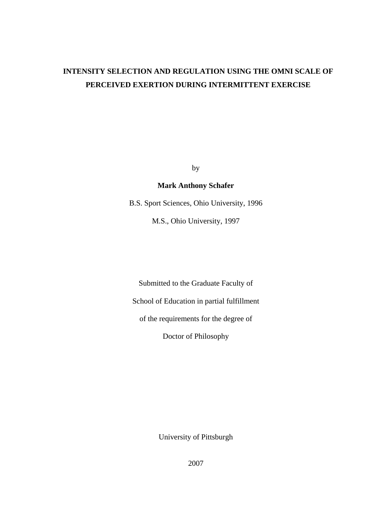# **INTENSITY SELECTION AND REGULATION USING THE OMNI SCALE OF PERCEIVED EXERTION DURING INTERMITTENT EXERCISE**

by

# **Mark Anthony Schafer**

B.S. Sport Sciences, Ohio University, 1996

M.S., Ohio University, 1997

Submitted to the Graduate Faculty of School of Education in partial fulfillment of the requirements for the degree of Doctor of Philosophy

University of Pittsburgh

2007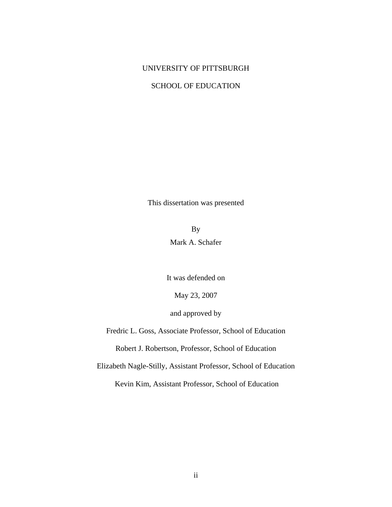## UNIVERSITY OF PITTSBURGH

## SCHOOL OF EDUCATION

This dissertation was presented

By Mark A. Schafer

It was defended on

May 23, 2007

and approved by

Fredric L. Goss, Associate Professor, School of Education

Robert J. Robertson, Professor, School of Education

Elizabeth Nagle-Stilly, Assistant Professor, School of Education

Kevin Kim, Assistant Professor, School of Education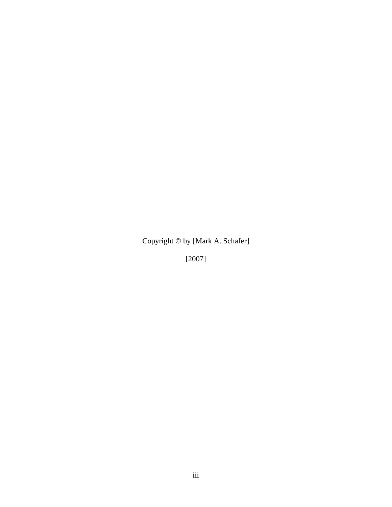Copyright © by [Mark A. Schafer]

[2007]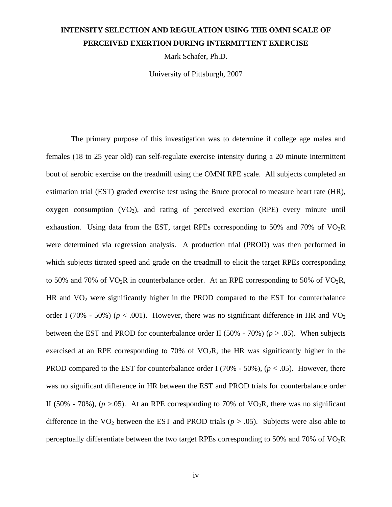# **INTENSITY SELECTION AND REGULATION USING THE OMNI SCALE OF PERCEIVED EXERTION DURING INTERMITTENT EXERCISE**

Mark Schafer, Ph.D.

University of Pittsburgh, 2007

 The primary purpose of this investigation was to determine if college age males and females (18 to 25 year old) can self-regulate exercise intensity during a 20 minute intermittent bout of aerobic exercise on the treadmill using the OMNI RPE scale. All subjects completed an estimation trial (EST) graded exercise test using the Bruce protocol to measure heart rate (HR), oxygen consumption  $(VO_2)$ , and rating of perceived exertion  $(RPE)$  every minute until exhaustion. Using data from the EST, target RPEs corresponding to 50% and 70% of  $VO<sub>2</sub>R$ were determined via regression analysis. A production trial (PROD) was then performed in which subjects titrated speed and grade on the treadmill to elicit the target RPEs corresponding to 50% and 70% of  $VO<sub>2</sub>R$  in counterbalance order. At an RPE corresponding to 50% of  $VO<sub>2</sub>R$ , HR and  $VO<sub>2</sub>$  were significantly higher in the PROD compared to the EST for counterbalance order I (70% - 50%) ( $p < .001$ ). However, there was no significant difference in HR and VO<sub>2</sub> between the EST and PROD for counterbalance order II (50% - 70%) ( $p > .05$ ). When subjects exercised at an RPE corresponding to 70% of  $VO<sub>2</sub>R$ , the HR was significantly higher in the PROD compared to the EST for counterbalance order I (70% - 50%),  $(p < .05)$ . However, there was no significant difference in HR between the EST and PROD trials for counterbalance order II (50% - 70%),  $(p > 0.05)$ . At an RPE corresponding to 70% of VO<sub>2</sub>R, there was no significant difference in the  $VO<sub>2</sub>$  between the EST and PROD trials ( $p > .05$ ). Subjects were also able to perceptually differentiate between the two target RPEs corresponding to 50% and 70% of VO2R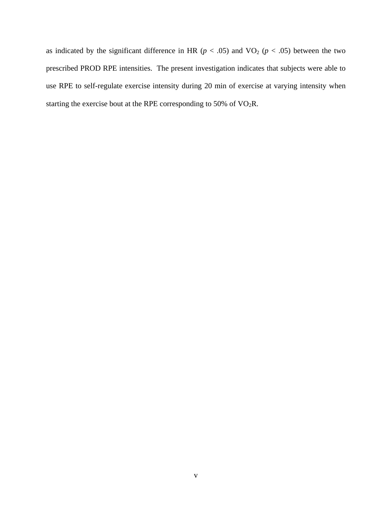as indicated by the significant difference in HR ( $p < .05$ ) and VO<sub>2</sub> ( $p < .05$ ) between the two prescribed PROD RPE intensities. The present investigation indicates that subjects were able to use RPE to self-regulate exercise intensity during 20 min of exercise at varying intensity when starting the exercise bout at the RPE corresponding to 50% of  $VO<sub>2</sub>R$ .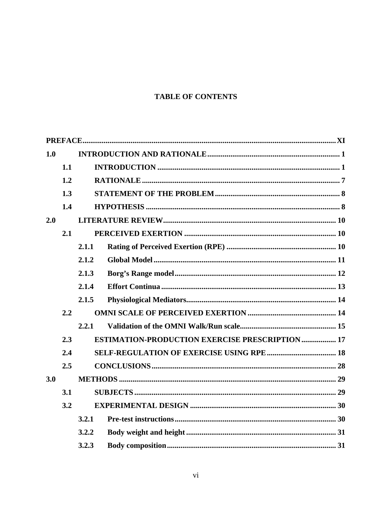# **TABLE OF CONTENTS**

| 1.0 |     |       |                                                        |  |
|-----|-----|-------|--------------------------------------------------------|--|
|     | 1.1 |       |                                                        |  |
|     | 1.2 |       |                                                        |  |
|     | 1.3 |       |                                                        |  |
|     | 1.4 |       |                                                        |  |
| 2.0 |     |       |                                                        |  |
|     | 2.1 |       |                                                        |  |
|     |     | 2.1.1 |                                                        |  |
|     |     | 2.1.2 |                                                        |  |
|     |     | 2.1.3 |                                                        |  |
|     |     | 2.1.4 |                                                        |  |
|     |     | 2.1.5 |                                                        |  |
|     | 2.2 |       |                                                        |  |
|     |     | 2.2.1 |                                                        |  |
|     | 2.3 |       | <b>ESTIMATION-PRODUCTION EXERCISE PRESCRIPTION  17</b> |  |
|     | 2.4 |       |                                                        |  |
|     | 2.5 |       |                                                        |  |
| 3.0 |     |       |                                                        |  |
|     | 3.1 |       |                                                        |  |
|     | 3.2 |       |                                                        |  |
|     |     | 3.2.1 |                                                        |  |
|     |     | 3.2.2 |                                                        |  |
|     |     | 3.2.3 |                                                        |  |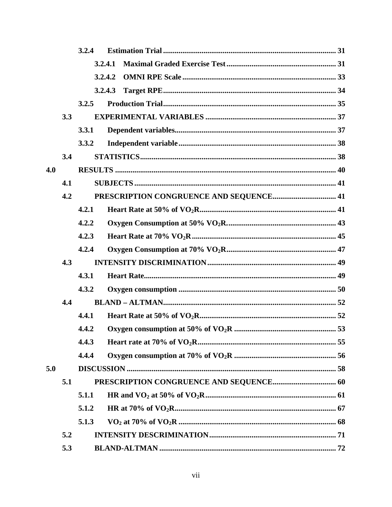|     |     | 3.2.4   |         |  |  |  |  |
|-----|-----|---------|---------|--|--|--|--|
|     |     | 3.2.4.1 |         |  |  |  |  |
|     |     |         | 3.2.4.2 |  |  |  |  |
|     |     | 3.2.4.3 |         |  |  |  |  |
|     |     | 3.2.5   |         |  |  |  |  |
|     | 3.3 |         |         |  |  |  |  |
|     |     | 3.3.1   |         |  |  |  |  |
|     |     | 3.3.2   |         |  |  |  |  |
|     | 3.4 |         |         |  |  |  |  |
| 4.0 |     |         |         |  |  |  |  |
|     | 4.1 |         |         |  |  |  |  |
|     | 4.2 |         |         |  |  |  |  |
|     |     | 4.2.1   |         |  |  |  |  |
|     |     | 4.2.2   |         |  |  |  |  |
|     |     | 4.2.3   |         |  |  |  |  |
|     |     | 4.2.4   |         |  |  |  |  |
|     | 4.3 |         |         |  |  |  |  |
|     |     | 4.3.1   |         |  |  |  |  |
|     |     | 4.3.2   |         |  |  |  |  |
|     | 4.4 |         |         |  |  |  |  |
|     |     | 4.4.1   |         |  |  |  |  |
|     |     | 4.4.2   |         |  |  |  |  |
|     |     | 4.4.3   |         |  |  |  |  |
|     |     | 4.4.4   |         |  |  |  |  |
| 5.0 |     |         |         |  |  |  |  |
|     | 5.1 |         |         |  |  |  |  |
|     |     | 5.1.1   |         |  |  |  |  |
|     |     | 5.1.2   |         |  |  |  |  |
|     |     | 5.1.3   |         |  |  |  |  |
|     | 5.2 |         |         |  |  |  |  |
|     | 5.3 |         |         |  |  |  |  |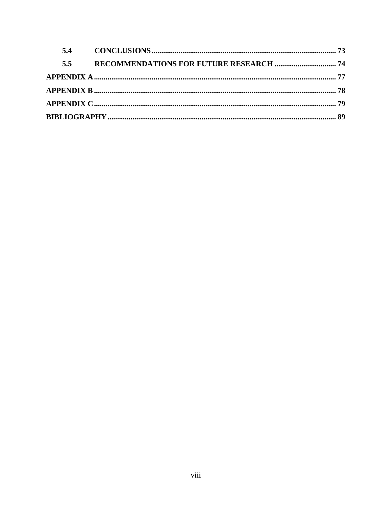| 5.4 |  |
|-----|--|
| 5.5 |  |
|     |  |
|     |  |
|     |  |
|     |  |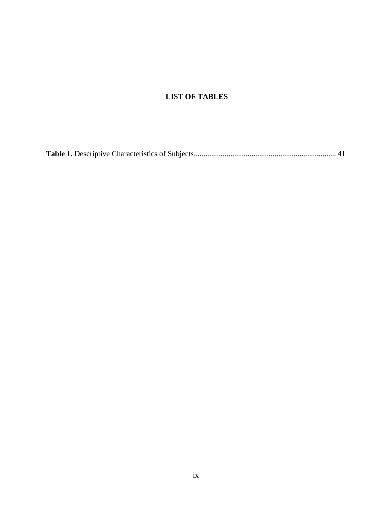# **LIST OF TABLES**

|--|--|--|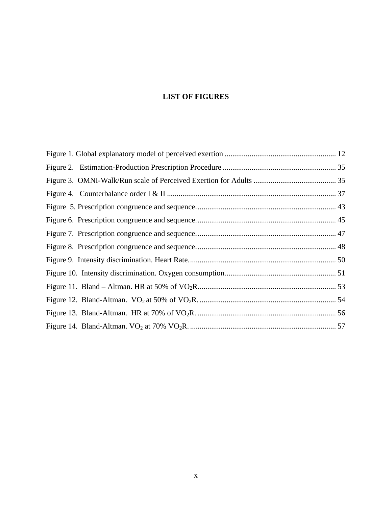# **LIST OF FIGURES**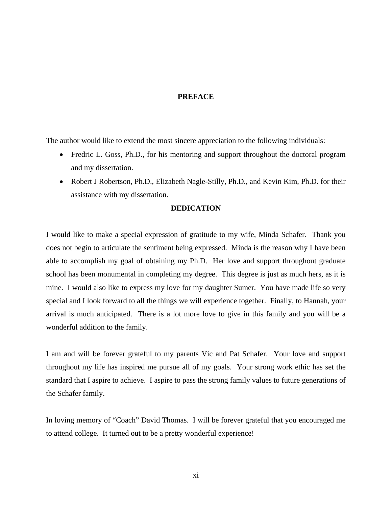# **PREFACE**

<span id="page-10-0"></span>The author would like to extend the most sincere appreciation to the following individuals:

- Fredric L. Goss, Ph.D., for his mentoring and support throughout the doctoral program and my dissertation.
- Robert J Robertson, Ph.D., Elizabeth Nagle-Stilly, Ph.D., and Kevin Kim, Ph.D. for their assistance with my dissertation.

## **DEDICATION**

I would like to make a special expression of gratitude to my wife, Minda Schafer. Thank you does not begin to articulate the sentiment being expressed. Minda is the reason why I have been able to accomplish my goal of obtaining my Ph.D. Her love and support throughout graduate school has been monumental in completing my degree. This degree is just as much hers, as it is mine. I would also like to express my love for my daughter Sumer. You have made life so very special and I look forward to all the things we will experience together. Finally, to Hannah, your arrival is much anticipated. There is a lot more love to give in this family and you will be a wonderful addition to the family.

I am and will be forever grateful to my parents Vic and Pat Schafer. Your love and support throughout my life has inspired me pursue all of my goals. Your strong work ethic has set the standard that I aspire to achieve. I aspire to pass the strong family values to future generations of the Schafer family.

In loving memory of "Coach" David Thomas. I will be forever grateful that you encouraged me to attend college. It turned out to be a pretty wonderful experience!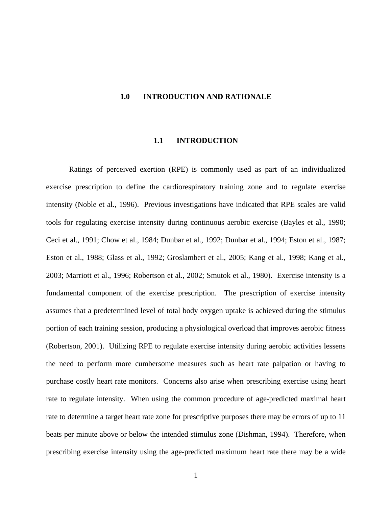#### <span id="page-11-0"></span>**1.0 INTRODUCTION AND RATIONALE**

#### **1.1 INTRODUCTION**

Ratings of perceived exertion (RPE) is commonly used as part of an individualized exercise prescription to define the cardiorespiratory training zone and to regulate exercise intensity (Noble et al., 1996). Previous investigations have indicated that RPE scales are valid tools for regulating exercise intensity during continuous aerobic exercise (Bayles et al., 1990; Ceci et al., 1991; Chow et al., 1984; Dunbar et al., 1992; Dunbar et al., 1994; Eston et al., 1987; Eston et al., 1988; Glass et al., 1992; Groslambert et al., 2005; Kang et al., 1998; Kang et al., 2003; Marriott et al., 1996; Robertson et al., 2002; Smutok et al., 1980). Exercise intensity is a fundamental component of the exercise prescription. The prescription of exercise intensity assumes that a predetermined level of total body oxygen uptake is achieved during the stimulus portion of each training session, producing a physiological overload that improves aerobic fitness (Robertson, 2001). Utilizing RPE to regulate exercise intensity during aerobic activities lessens the need to perform more cumbersome measures such as heart rate palpation or having to purchase costly heart rate monitors. Concerns also arise when prescribing exercise using heart rate to regulate intensity. When using the common procedure of age-predicted maximal heart rate to determine a target heart rate zone for prescriptive purposes there may be errors of up to 11 beats per minute above or below the intended stimulus zone (Dishman, 1994). Therefore, when prescribing exercise intensity using the age-predicted maximum heart rate there may be a wide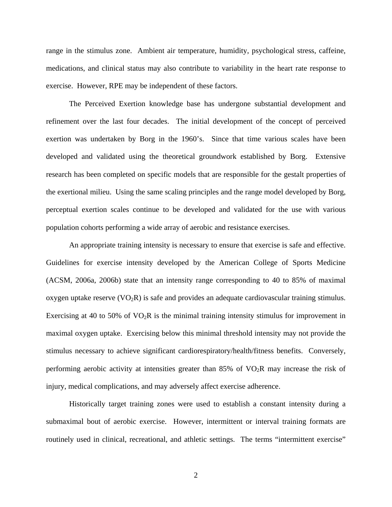range in the stimulus zone. Ambient air temperature, humidity, psychological stress, caffeine, medications, and clinical status may also contribute to variability in the heart rate response to exercise. However, RPE may be independent of these factors.

The Perceived Exertion knowledge base has undergone substantial development and refinement over the last four decades. The initial development of the concept of perceived exertion was undertaken by Borg in the 1960's. Since that time various scales have been developed and validated using the theoretical groundwork established by Borg. Extensive research has been completed on specific models that are responsible for the gestalt properties of the exertional milieu. Using the same scaling principles and the range model developed by Borg, perceptual exertion scales continue to be developed and validated for the use with various population cohorts performing a wide array of aerobic and resistance exercises.

An appropriate training intensity is necessary to ensure that exercise is safe and effective. Guidelines for exercise intensity developed by the American College of Sports Medicine (ACSM, 2006a, 2006b) state that an intensity range corresponding to 40 to 85% of maximal oxygen uptake reserve  $(VO_2R)$  is safe and provides an adequate cardiovascular training stimulus. Exercising at 40 to 50% of  $VO<sub>2</sub>R$  is the minimal training intensity stimulus for improvement in maximal oxygen uptake. Exercising below this minimal threshold intensity may not provide the stimulus necessary to achieve significant cardiorespiratory/health/fitness benefits. Conversely, performing aerobic activity at intensities greater than  $85\%$  of  $VO<sub>2</sub>R$  may increase the risk of injury, medical complications, and may adversely affect exercise adherence.

Historically target training zones were used to establish a constant intensity during a submaximal bout of aerobic exercise. However, intermittent or interval training formats are routinely used in clinical, recreational, and athletic settings. The terms "intermittent exercise"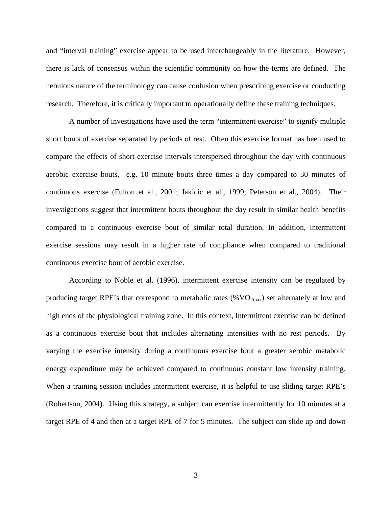and "interval training" exercise appear to be used interchangeably in the literature. However, there is lack of consensus within the scientific community on how the terms are defined. The nebulous nature of the terminology can cause confusion when prescribing exercise or conducting research. Therefore, it is critically important to operationally define these training techniques.

A number of investigations have used the term "intermittent exercise" to signify multiple short bouts of exercise separated by periods of rest. Often this exercise format has been used to compare the effects of short exercise intervals interspersed throughout the day with continuous aerobic exercise bouts, e.g. 10 minute bouts three times a day compared to 30 minutes of continuous exercise (Fulton et al., 2001; Jakicic et al., 1999; Peterson et al., 2004). Their investigations suggest that intermittent bouts throughout the day result in similar health benefits compared to a continuous exercise bout of similar total duration. In addition, intermittent exercise sessions may result in a higher rate of compliance when compared to traditional continuous exercise bout of aerobic exercise.

According to Noble et al. (1996), intermittent exercise intensity can be regulated by producing target RPE's that correspond to metabolic rates  $(\%VO_{2max})$  set alternately at low and high ends of the physiological training zone. In this context, Intermittent exercise can be defined as a continuous exercise bout that includes alternating intensities with no rest periods. By varying the exercise intensity during a continuous exercise bout a greater aerobic metabolic energy expenditure may be achieved compared to continuous constant low intensity training. When a training session includes intermittent exercise, it is helpful to use sliding target RPE's (Robertson, 2004). Using this strategy, a subject can exercise intermittently for 10 minutes at a target RPE of 4 and then at a target RPE of 7 for 5 minutes. The subject can slide up and down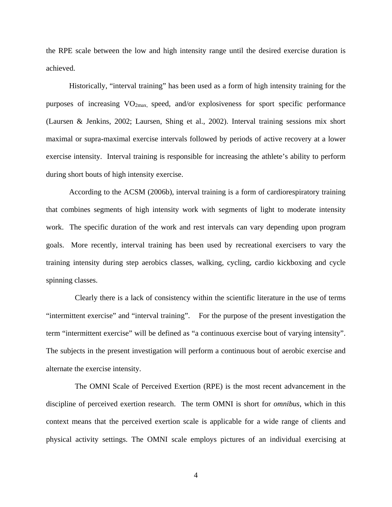the RPE scale between the low and high intensity range until the desired exercise duration is achieved.

Historically, "interval training" has been used as a form of high intensity training for the purposes of increasing  $VO_{2max}$ , speed, and/or explosiveness for sport specific performance (Laursen & Jenkins, 2002; Laursen, Shing et al., 2002). Interval training sessions mix short maximal or supra-maximal exercise intervals followed by periods of active recovery at a lower exercise intensity. Interval training is responsible for increasing the athlete's ability to perform during short bouts of high intensity exercise.

According to the ACSM (2006b), interval training is a form of cardiorespiratory training that combines segments of high intensity work with segments of light to moderate intensity work. The specific duration of the work and rest intervals can vary depending upon program goals. More recently, interval training has been used by recreational exercisers to vary the training intensity during step aerobics classes, walking, cycling, cardio kickboxing and cycle spinning classes.

Clearly there is a lack of consistency within the scientific literature in the use of terms "intermittent exercise" and "interval training". For the purpose of the present investigation the term "intermittent exercise" will be defined as "a continuous exercise bout of varying intensity". The subjects in the present investigation will perform a continuous bout of aerobic exercise and alternate the exercise intensity.

 The OMNI Scale of Perceived Exertion (RPE) is the most recent advancement in the discipline of perceived exertion research. The term OMNI is short for *omnibus*, which in this context means that the perceived exertion scale is applicable for a wide range of clients and physical activity settings. The OMNI scale employs pictures of an individual exercising at

4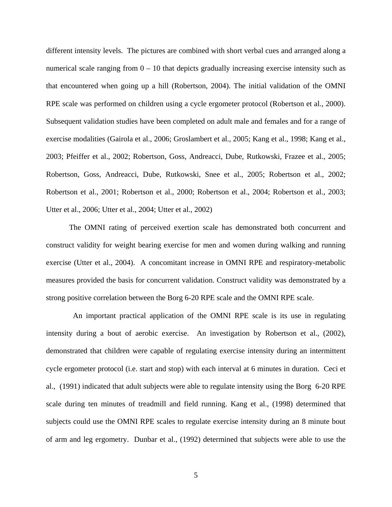different intensity levels. The pictures are combined with short verbal cues and arranged along a numerical scale ranging from  $0 - 10$  that depicts gradually increasing exercise intensity such as that encountered when going up a hill (Robertson, 2004). The initial validation of the OMNI RPE scale was performed on children using a cycle ergometer protocol (Robertson et al., 2000). Subsequent validation studies have been completed on adult male and females and for a range of exercise modalities (Gairola et al., 2006; Groslambert et al., 2005; Kang et al., 1998; Kang et al., 2003; Pfeiffer et al., 2002; Robertson, Goss, Andreacci, Dube, Rutkowski, Frazee et al., 2005; Robertson, Goss, Andreacci, Dube, Rutkowski, Snee et al., 2005; Robertson et al., 2002; Robertson et al., 2001; Robertson et al., 2000; Robertson et al., 2004; Robertson et al., 2003; Utter et al., 2006; Utter et al., 2004; Utter et al., 2002)

The OMNI rating of perceived exertion scale has demonstrated both concurrent and construct validity for weight bearing exercise for men and women during walking and running exercise (Utter et al., 2004). A concomitant increase in OMNI RPE and respiratory-metabolic measures provided the basis for concurrent validation. Construct validity was demonstrated by a strong positive correlation between the Borg 6-20 RPE scale and the OMNI RPE scale.

 An important practical application of the OMNI RPE scale is its use in regulating intensity during a bout of aerobic exercise. An investigation by Robertson et al., (2002), demonstrated that children were capable of regulating exercise intensity during an intermittent cycle ergometer protocol (i.e. start and stop) with each interval at 6 minutes in duration. Ceci et al., (1991) indicated that adult subjects were able to regulate intensity using the Borg 6-20 RPE scale during ten minutes of treadmill and field running. Kang et al., (1998) determined that subjects could use the OMNI RPE scales to regulate exercise intensity during an 8 minute bout of arm and leg ergometry. Dunbar et al., (1992) determined that subjects were able to use the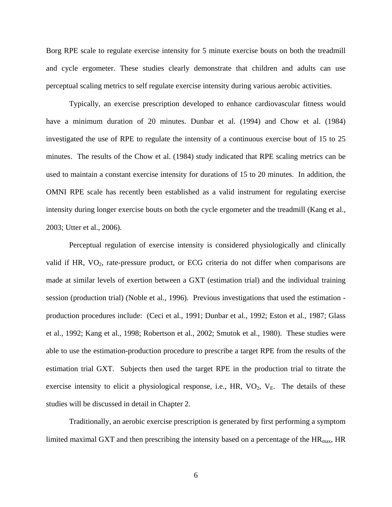Borg RPE scale to regulate exercise intensity for 5 minute exercise bouts on both the treadmill and cycle ergometer. These studies clearly demonstrate that children and adults can use perceptual scaling metrics to self regulate exercise intensity during various aerobic activities.

Typically, an exercise prescription developed to enhance cardiovascular fitness would have a minimum duration of 20 minutes. Dunbar et al. (1994) and Chow et al. (1984) investigated the use of RPE to regulate the intensity of a continuous exercise bout of 15 to 25 minutes. The results of the Chow et al. (1984) study indicated that RPE scaling metrics can be used to maintain a constant exercise intensity for durations of 15 to 20 minutes. In addition, the OMNI RPE scale has recently been established as a valid instrument for regulating exercise intensity during longer exercise bouts on both the cycle ergometer and the treadmill (Kang et al., 2003; Utter et al., 2006).

Perceptual regulation of exercise intensity is considered physiologically and clinically valid if HR, VO<sub>2</sub>, rate-pressure product, or ECG criteria do not differ when comparisons are made at similar levels of exertion between a GXT (estimation trial) and the individual training session (production trial) (Noble et al., 1996). Previous investigations that used the estimation production procedures include: (Ceci et al., 1991; Dunbar et al., 1992; Eston et al., 1987; Glass et al., 1992; Kang et al., 1998; Robertson et al., 2002; Smutok et al., 1980). These studies were able to use the estimation-production procedure to prescribe a target RPE from the results of the estimation trial GXT. Subjects then used the target RPE in the production trial to titrate the exercise intensity to elicit a physiological response, i.e.,  $HR$ ,  $VO<sub>2</sub>$ ,  $V<sub>E</sub>$ . The details of these studies will be discussed in detail in Chapter 2.

Traditionally, an aerobic exercise prescription is generated by first performing a symptom limited maximal GXT and then prescribing the intensity based on a percentage of the  $HR_{max}$ , HR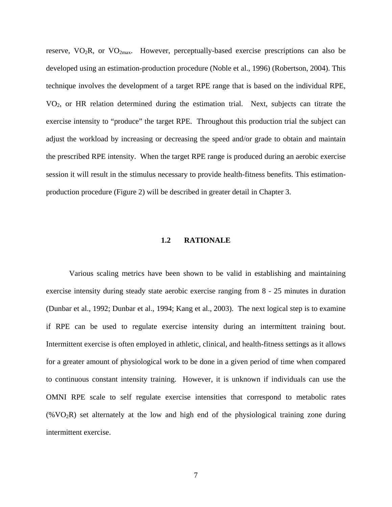<span id="page-17-0"></span>reserve,  $VO<sub>2</sub>R$ , or  $VO<sub>2max</sub>$ . However, perceptually-based exercise prescriptions can also be developed using an estimation-production procedure (Noble et al., 1996) (Robertson, 2004). This technique involves the development of a target RPE range that is based on the individual RPE, VO2, or HR relation determined during the estimation trial. Next, subjects can titrate the exercise intensity to "produce" the target RPE. Throughout this production trial the subject can adjust the workload by increasing or decreasing the speed and/or grade to obtain and maintain the prescribed RPE intensity. When the target RPE range is produced during an aerobic exercise session it will result in the stimulus necessary to provide health-fitness benefits. This estimationproduction procedure (Figure 2) will be described in greater detail in Chapter 3.

### **1.2 RATIONALE**

Various scaling metrics have been shown to be valid in establishing and maintaining exercise intensity during steady state aerobic exercise ranging from 8 - 25 minutes in duration (Dunbar et al., 1992; Dunbar et al., 1994; Kang et al., 2003). The next logical step is to examine if RPE can be used to regulate exercise intensity during an intermittent training bout. Intermittent exercise is often employed in athletic, clinical, and health-fitness settings as it allows for a greater amount of physiological work to be done in a given period of time when compared to continuous constant intensity training. However, it is unknown if individuals can use the OMNI RPE scale to self regulate exercise intensities that correspond to metabolic rates  $(\%VO<sub>2</sub>R)$  set alternately at the low and high end of the physiological training zone during intermittent exercise.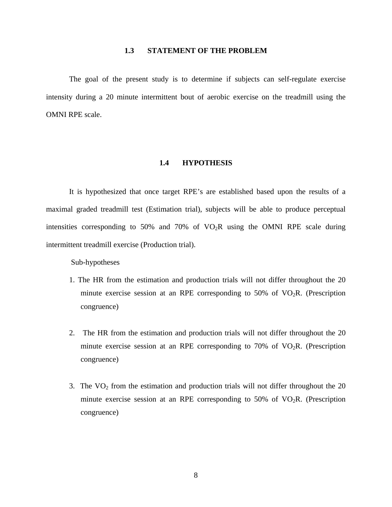### **1.3 STATEMENT OF THE PROBLEM**

<span id="page-18-0"></span>The goal of the present study is to determine if subjects can self-regulate exercise intensity during a 20 minute intermittent bout of aerobic exercise on the treadmill using the OMNI RPE scale.

### **1.4 HYPOTHESIS**

It is hypothesized that once target RPE's are established based upon the results of a maximal graded treadmill test (Estimation trial), subjects will be able to produce perceptual intensities corresponding to 50% and 70% of  $VO<sub>2</sub>R$  using the OMNI RPE scale during intermittent treadmill exercise (Production trial).

Sub-hypotheses

- 1. The HR from the estimation and production trials will not differ throughout the 20 minute exercise session at an RPE corresponding to 50% of  $VO<sub>2</sub>R$ . (Prescription congruence)
- 2. The HR from the estimation and production trials will not differ throughout the 20 minute exercise session at an RPE corresponding to 70% of  $VO<sub>2</sub>R$ . (Prescription congruence)
- 3. The  $VO<sub>2</sub>$  from the estimation and production trials will not differ throughout the 20 minute exercise session at an RPE corresponding to 50% of  $VO<sub>2</sub>R$ . (Prescription congruence)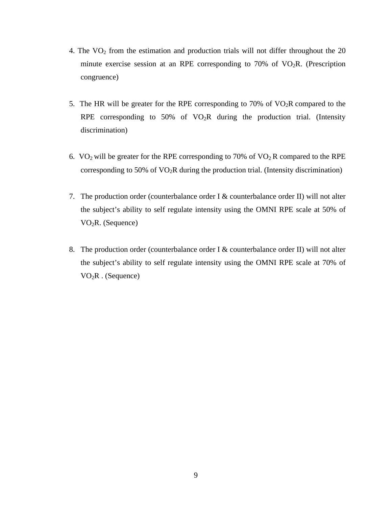- 4. The  $VO<sub>2</sub>$  from the estimation and production trials will not differ throughout the 20 minute exercise session at an RPE corresponding to 70% of  $VO<sub>2</sub>R$ . (Prescription congruence)
- 5. The HR will be greater for the RPE corresponding to 70% of  $VO<sub>2</sub>R$  compared to the RPE corresponding to 50% of  $VO<sub>2</sub>R$  during the production trial. (Intensity discrimination)
- 6. VO<sub>2</sub> will be greater for the RPE corresponding to 70% of VO<sub>2</sub> R compared to the RPE corresponding to 50% of  $VO<sub>2</sub>R$  during the production trial. (Intensity discrimination)
- 7. The production order (counterbalance order I & counterbalance order II) will not alter the subject's ability to self regulate intensity using the OMNI RPE scale at 50% of VO2R. (Sequence)
- 8. The production order (counterbalance order I & counterbalance order II) will not alter the subject's ability to self regulate intensity using the OMNI RPE scale at 70% of  $VO<sub>2</sub>R$ . (Sequence)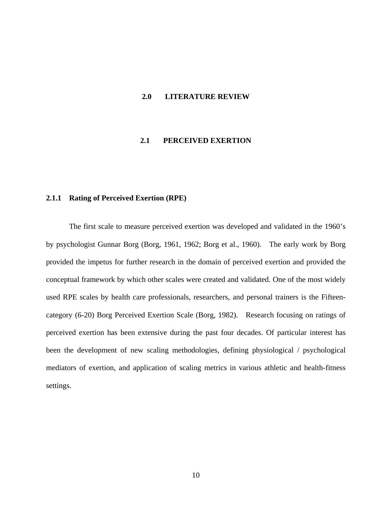#### <span id="page-20-0"></span>**2.0 LITERATURE REVIEW**

### **2.1 PERCEIVED EXERTION**

#### **2.1.1 Rating of Perceived Exertion (RPE)**

The first scale to measure perceived exertion was developed and validated in the 1960's by psychologist Gunnar Borg (Borg, 1961, 1962; Borg et al., 1960). The early work by Borg provided the impetus for further research in the domain of perceived exertion and provided the conceptual framework by which other scales were created and validated. One of the most widely used RPE scales by health care professionals, researchers, and personal trainers is the Fifteencategory (6-20) Borg Perceived Exertion Scale (Borg, 1982). Research focusing on ratings of perceived exertion has been extensive during the past four decades. Of particular interest has been the development of new scaling methodologies, defining physiological / psychological mediators of exertion, and application of scaling metrics in various athletic and health-fitness settings.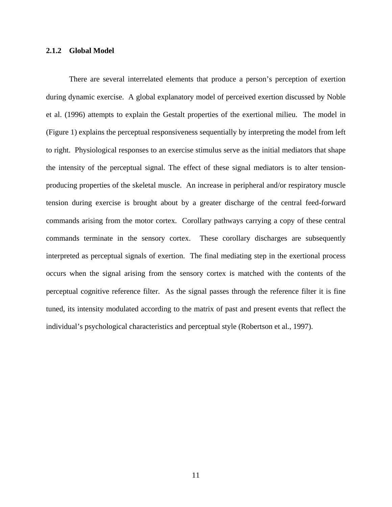#### <span id="page-21-0"></span>**2.1.2 Global Model**

There are several interrelated elements that produce a person's perception of exertion during dynamic exercise. A global explanatory model of perceived exertion discussed by Noble et al. (1996) attempts to explain the Gestalt properties of the exertional milieu. The model in (Figure 1) explains the perceptual responsiveness sequentially by interpreting the model from left to right. Physiological responses to an exercise stimulus serve as the initial mediators that shape the intensity of the perceptual signal. The effect of these signal mediators is to alter tensionproducing properties of the skeletal muscle. An increase in peripheral and/or respiratory muscle tension during exercise is brought about by a greater discharge of the central feed-forward commands arising from the motor cortex. Corollary pathways carrying a copy of these central commands terminate in the sensory cortex. These corollary discharges are subsequently interpreted as perceptual signals of exertion. The final mediating step in the exertional process occurs when the signal arising from the sensory cortex is matched with the contents of the perceptual cognitive reference filter. As the signal passes through the reference filter it is fine tuned, its intensity modulated according to the matrix of past and present events that reflect the individual's psychological characteristics and perceptual style (Robertson et al., 1997).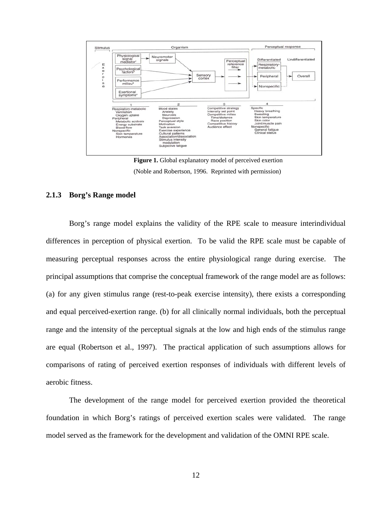<span id="page-22-0"></span>

**Figure 1.** Global explanatory model of perceived exertion (Noble and Robertson, 1996. Reprinted with permission)

### **2.1.3 Borg's Range model**

Borg's range model explains the validity of the RPE scale to measure interindividual differences in perception of physical exertion. To be valid the RPE scale must be capable of measuring perceptual responses across the entire physiological range during exercise. The principal assumptions that comprise the conceptual framework of the range model are as follows: (a) for any given stimulus range (rest-to-peak exercise intensity), there exists a corresponding and equal perceived-exertion range. (b) for all clinically normal individuals, both the perceptual range and the intensity of the perceptual signals at the low and high ends of the stimulus range are equal (Robertson et al., 1997). The practical application of such assumptions allows for comparisons of rating of perceived exertion responses of individuals with different levels of aerobic fitness.

The development of the range model for perceived exertion provided the theoretical foundation in which Borg's ratings of perceived exertion scales were validated. The range model served as the framework for the development and validation of the OMNI RPE scale.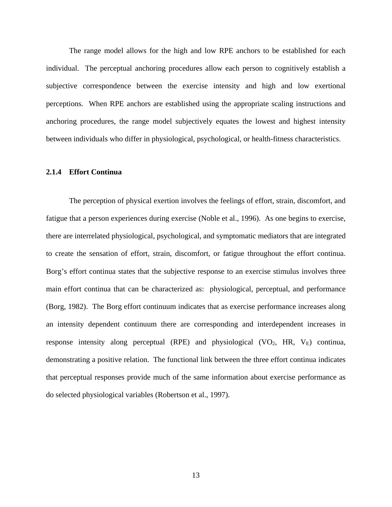<span id="page-23-0"></span>The range model allows for the high and low RPE anchors to be established for each individual. The perceptual anchoring procedures allow each person to cognitively establish a subjective correspondence between the exercise intensity and high and low exertional perceptions. When RPE anchors are established using the appropriate scaling instructions and anchoring procedures, the range model subjectively equates the lowest and highest intensity between individuals who differ in physiological, psychological, or health-fitness characteristics.

### **2.1.4 Effort Continua**

The perception of physical exertion involves the feelings of effort, strain, discomfort, and fatigue that a person experiences during exercise (Noble et al., 1996). As one begins to exercise, there are interrelated physiological, psychological, and symptomatic mediators that are integrated to create the sensation of effort, strain, discomfort, or fatigue throughout the effort continua. Borg's effort continua states that the subjective response to an exercise stimulus involves three main effort continua that can be characterized as: physiological, perceptual, and performance (Borg, 1982). The Borg effort continuum indicates that as exercise performance increases along an intensity dependent continuum there are corresponding and interdependent increases in response intensity along perceptual (RPE) and physiological (VO<sub>2</sub>, HR,  $V_E$ ) continua, demonstrating a positive relation. The functional link between the three effort continua indicates that perceptual responses provide much of the same information about exercise performance as do selected physiological variables (Robertson et al., 1997).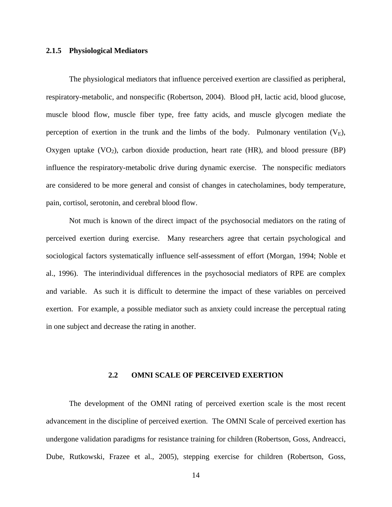#### <span id="page-24-0"></span>**2.1.5 Physiological Mediators**

The physiological mediators that influence perceived exertion are classified as peripheral, respiratory-metabolic, and nonspecific (Robertson, 2004). Blood pH, lactic acid, blood glucose, muscle blood flow, muscle fiber type, free fatty acids, and muscle glycogen mediate the perception of exertion in the trunk and the limbs of the body. Pulmonary ventilation  $(V_E)$ , Oxygen uptake  $(VO_2)$ , carbon dioxide production, heart rate  $(HR)$ , and blood pressure  $(BP)$ influence the respiratory-metabolic drive during dynamic exercise. The nonspecific mediators are considered to be more general and consist of changes in catecholamines, body temperature, pain, cortisol, serotonin, and cerebral blood flow.

Not much is known of the direct impact of the psychosocial mediators on the rating of perceived exertion during exercise. Many researchers agree that certain psychological and sociological factors systematically influence self-assessment of effort (Morgan, 1994; Noble et al., 1996). The interindividual differences in the psychosocial mediators of RPE are complex and variable. As such it is difficult to determine the impact of these variables on perceived exertion. For example, a possible mediator such as anxiety could increase the perceptual rating in one subject and decrease the rating in another.

## **2.2 OMNI SCALE OF PERCEIVED EXERTION**

The development of the OMNI rating of perceived exertion scale is the most recent advancement in the discipline of perceived exertion. The OMNI Scale of perceived exertion has undergone validation paradigms for resistance training for children (Robertson, Goss, Andreacci, Dube, Rutkowski, Frazee et al., 2005), stepping exercise for children (Robertson, Goss,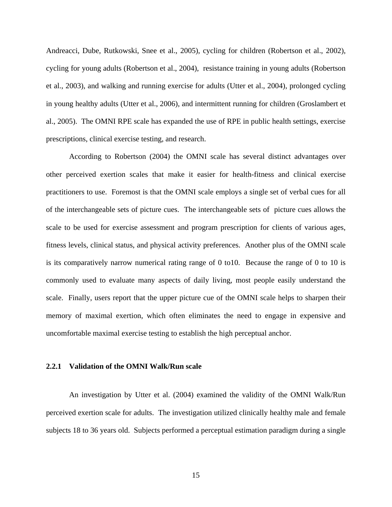<span id="page-25-0"></span>Andreacci, Dube, Rutkowski, Snee et al., 2005), cycling for children (Robertson et al., 2002), cycling for young adults (Robertson et al., 2004), resistance training in young adults (Robertson et al., 2003), and walking and running exercise for adults (Utter et al., 2004), prolonged cycling in young healthy adults (Utter et al., 2006), and intermittent running for children (Groslambert et al., 2005). The OMNI RPE scale has expanded the use of RPE in public health settings, exercise prescriptions, clinical exercise testing, and research.

According to Robertson (2004) the OMNI scale has several distinct advantages over other perceived exertion scales that make it easier for health-fitness and clinical exercise practitioners to use. Foremost is that the OMNI scale employs a single set of verbal cues for all of the interchangeable sets of picture cues. The interchangeable sets of picture cues allows the scale to be used for exercise assessment and program prescription for clients of various ages, fitness levels, clinical status, and physical activity preferences. Another plus of the OMNI scale is its comparatively narrow numerical rating range of 0 to10. Because the range of 0 to 10 is commonly used to evaluate many aspects of daily living, most people easily understand the scale. Finally, users report that the upper picture cue of the OMNI scale helps to sharpen their memory of maximal exertion, which often eliminates the need to engage in expensive and uncomfortable maximal exercise testing to establish the high perceptual anchor.

## **2.2.1 Validation of the OMNI Walk/Run scale**

An investigation by Utter et al. (2004) examined the validity of the OMNI Walk/Run perceived exertion scale for adults. The investigation utilized clinically healthy male and female subjects 18 to 36 years old. Subjects performed a perceptual estimation paradigm during a single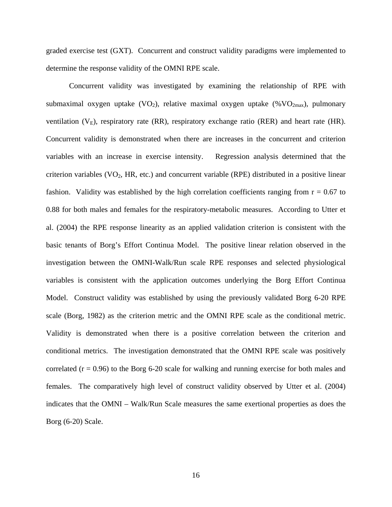graded exercise test (GXT). Concurrent and construct validity paradigms were implemented to determine the response validity of the OMNI RPE scale.

Concurrent validity was investigated by examining the relationship of RPE with submaximal oxygen uptake (VO<sub>2</sub>), relative maximal oxygen uptake (%VO<sub>2max</sub>), pulmonary ventilation  $(V_E)$ , respiratory rate (RR), respiratory exchange ratio (RER) and heart rate (HR). Concurrent validity is demonstrated when there are increases in the concurrent and criterion variables with an increase in exercise intensity. Regression analysis determined that the criterion variables  $(VO<sub>2</sub>, HR, etc.)$  and concurrent variable  $(RPE)$  distributed in a positive linear fashion. Validity was established by the high correlation coefficients ranging from  $r = 0.67$  to 0.88 for both males and females for the respiratory-metabolic measures. According to Utter et al. (2004) the RPE response linearity as an applied validation criterion is consistent with the basic tenants of Borg's Effort Continua Model. The positive linear relation observed in the investigation between the OMNI-Walk/Run scale RPE responses and selected physiological variables is consistent with the application outcomes underlying the Borg Effort Continua Model. Construct validity was established by using the previously validated Borg 6-20 RPE scale (Borg, 1982) as the criterion metric and the OMNI RPE scale as the conditional metric. Validity is demonstrated when there is a positive correlation between the criterion and conditional metrics. The investigation demonstrated that the OMNI RPE scale was positively correlated  $(r = 0.96)$  to the Borg 6-20 scale for walking and running exercise for both males and females. The comparatively high level of construct validity observed by Utter et al. (2004) indicates that the OMNI – Walk/Run Scale measures the same exertional properties as does the Borg (6-20) Scale.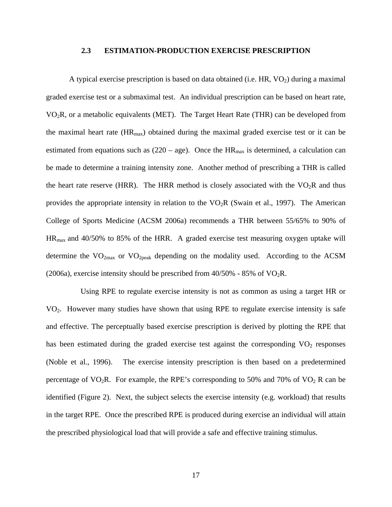#### **2.3 ESTIMATION-PRODUCTION EXERCISE PRESCRIPTION**

<span id="page-27-0"></span>A typical exercise prescription is based on data obtained (i.e.  $HR$ ,  $VO<sub>2</sub>$ ) during a maximal graded exercise test or a submaximal test. An individual prescription can be based on heart rate, VO2R, or a metabolic equivalents (MET). The Target Heart Rate (THR) can be developed from the maximal heart rate  $(HR<sub>max</sub>)$  obtained during the maximal graded exercise test or it can be estimated from equations such as  $(220 - age)$ . Once the HR<sub>max</sub> is determined, a calculation can be made to determine a training intensity zone. Another method of prescribing a THR is called the heart rate reserve (HRR). The HRR method is closely associated with the  $VO<sub>2</sub>R$  and thus provides the appropriate intensity in relation to the  $VO<sub>2</sub>R$  (Swain et al., 1997). The American College of Sports Medicine (ACSM 2006a) recommends a THR between 55/65% to 90% of HRmax and 40/50% to 85% of the HRR. A graded exercise test measuring oxygen uptake will determine the  $VO<sub>2max</sub>$  or  $VO<sub>2peak</sub>$  depending on the modality used. According to the ACSM (2006a), exercise intensity should be prescribed from  $40/50\%$  - 85% of VO<sub>2</sub>R.

 Using RPE to regulate exercise intensity is not as common as using a target HR or VO2. However many studies have shown that using RPE to regulate exercise intensity is safe and effective. The perceptually based exercise prescription is derived by plotting the RPE that has been estimated during the graded exercise test against the corresponding  $VO<sub>2</sub>$  responses (Noble et al., 1996). The exercise intensity prescription is then based on a predetermined percentage of  $VO<sub>2</sub>R$ . For example, the RPE's corresponding to 50% and 70% of  $VO<sub>2</sub> R$  can be identified (Figure 2). Next, the subject selects the exercise intensity (e.g. workload) that results in the target RPE. Once the prescribed RPE is produced during exercise an individual will attain the prescribed physiological load that will provide a safe and effective training stimulus.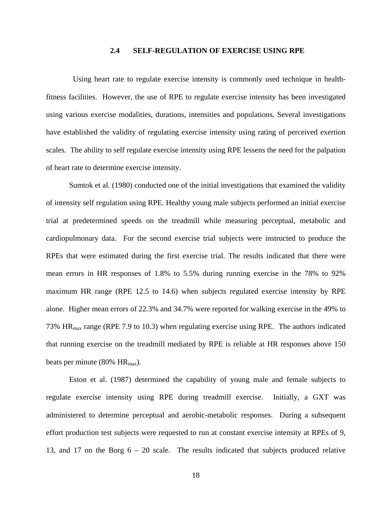### **2.4 SELF-REGULATION OF EXERCISE USING RPE**

<span id="page-28-0"></span> Using heart rate to regulate exercise intensity is commonly used technique in healthfitness facilities. However, the use of RPE to regulate exercise intensity has been investigated using various exercise modalities, durations, intensities and populations. Several investigations have established the validity of regulating exercise intensity using rating of perceived exertion scales. The ability to self regulate exercise intensity using RPE lessens the need for the palpation of heart rate to determine exercise intensity.

Sumtok et al. (1980) conducted one of the initial investigations that examined the validity of intensity self regulation using RPE. Healthy young male subjects performed an initial exercise trial at predetermined speeds on the treadmill while measuring perceptual, metabolic and cardiopulmonary data. For the second exercise trial subjects were instructed to produce the RPEs that were estimated during the first exercise trial. The results indicated that there were mean errors in HR responses of 1.8% to 5.5% during running exercise in the 78% to 92% maximum HR range (RPE 12.5 to 14.6) when subjects regulated exercise intensity by RPE alone. Higher mean errors of 22.3% and 34.7% were reported for walking exercise in the 49% to 73% HRmax range (RPE 7.9 to 10.3) when regulating exercise using RPE. The authors indicated that running exercise on the treadmill mediated by RPE is reliable at HR responses above 150 beats per minute (80%  $HR_{max}$ ).

Eston et al. (1987) determined the capability of young male and female subjects to regulate exercise intensity using RPE during treadmill exercise. Initially, a GXT was administered to determine perceptual and aerobic-metabolic responses. During a subsequent effort production test subjects were requested to run at constant exercise intensity at RPEs of 9, 13, and 17 on the Borg 6 – 20 scale. The results indicated that subjects produced relative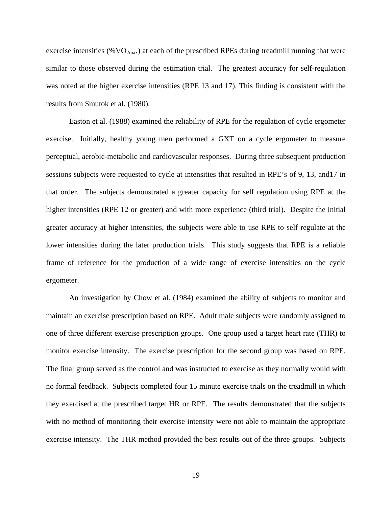exercise intensities ( $\%$ VO<sub>2max</sub>) at each of the prescribed RPEs during treadmill running that were similar to those observed during the estimation trial. The greatest accuracy for self-regulation was noted at the higher exercise intensities (RPE 13 and 17). This finding is consistent with the results from Smutok et al. (1980).

 Easton et al. (1988) examined the reliability of RPE for the regulation of cycle ergometer exercise. Initially, healthy young men performed a GXT on a cycle ergometer to measure perceptual, aerobic-metabolic and cardiovascular responses. During three subsequent production sessions subjects were requested to cycle at intensities that resulted in RPE's of 9, 13, and17 in that order. The subjects demonstrated a greater capacity for self regulation using RPE at the higher intensities (RPE 12 or greater) and with more experience (third trial). Despite the initial greater accuracy at higher intensities, the subjects were able to use RPE to self regulate at the lower intensities during the later production trials. This study suggests that RPE is a reliable frame of reference for the production of a wide range of exercise intensities on the cycle ergometer.

An investigation by Chow et al. (1984) examined the ability of subjects to monitor and maintain an exercise prescription based on RPE. Adult male subjects were randomly assigned to one of three different exercise prescription groups. One group used a target heart rate (THR) to monitor exercise intensity. The exercise prescription for the second group was based on RPE. The final group served as the control and was instructed to exercise as they normally would with no formal feedback. Subjects completed four 15 minute exercise trials on the treadmill in which they exercised at the prescribed target HR or RPE. The results demonstrated that the subjects with no method of monitoring their exercise intensity were not able to maintain the appropriate exercise intensity. The THR method provided the best results out of the three groups. Subjects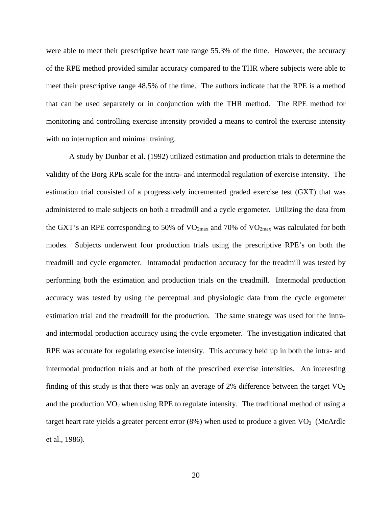were able to meet their prescriptive heart rate range 55.3% of the time. However, the accuracy of the RPE method provided similar accuracy compared to the THR where subjects were able to meet their prescriptive range 48.5% of the time. The authors indicate that the RPE is a method that can be used separately or in conjunction with the THR method. The RPE method for monitoring and controlling exercise intensity provided a means to control the exercise intensity with no interruption and minimal training.

A study by Dunbar et al. (1992) utilized estimation and production trials to determine the validity of the Borg RPE scale for the intra- and intermodal regulation of exercise intensity. The estimation trial consisted of a progressively incremented graded exercise test (GXT) that was administered to male subjects on both a treadmill and a cycle ergometer. Utilizing the data from the GXT's an RPE corresponding to 50% of  $VO_{2max}$  and 70% of  $VO_{2max}$  was calculated for both modes. Subjects underwent four production trials using the prescriptive RPE's on both the treadmill and cycle ergometer. Intramodal production accuracy for the treadmill was tested by performing both the estimation and production trials on the treadmill. Intermodal production accuracy was tested by using the perceptual and physiologic data from the cycle ergometer estimation trial and the treadmill for the production. The same strategy was used for the intraand intermodal production accuracy using the cycle ergometer. The investigation indicated that RPE was accurate for regulating exercise intensity. This accuracy held up in both the intra- and intermodal production trials and at both of the prescribed exercise intensities. An interesting finding of this study is that there was only an average of 2% difference between the target  $VO<sub>2</sub>$ and the production  $VO<sub>2</sub>$  when using RPE to regulate intensity. The traditional method of using a target heart rate yields a greater percent error  $(8\%)$  when used to produce a given  $VO<sub>2</sub>$  (McArdle et al., 1986).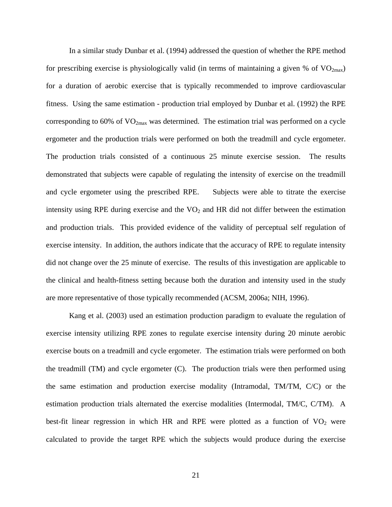In a similar study Dunbar et al. (1994) addressed the question of whether the RPE method for prescribing exercise is physiologically valid (in terms of maintaining a given % of  $VO_{2max}$ ) for a duration of aerobic exercise that is typically recommended to improve cardiovascular fitness. Using the same estimation - production trial employed by Dunbar et al. (1992) the RPE corresponding to 60% of  $VO_{2max}$  was determined. The estimation trial was performed on a cycle ergometer and the production trials were performed on both the treadmill and cycle ergometer. The production trials consisted of a continuous 25 minute exercise session. The results demonstrated that subjects were capable of regulating the intensity of exercise on the treadmill and cycle ergometer using the prescribed RPE. Subjects were able to titrate the exercise intensity using RPE during exercise and the  $VO<sub>2</sub>$  and HR did not differ between the estimation and production trials. This provided evidence of the validity of perceptual self regulation of exercise intensity. In addition, the authors indicate that the accuracy of RPE to regulate intensity did not change over the 25 minute of exercise. The results of this investigation are applicable to the clinical and health-fitness setting because both the duration and intensity used in the study are more representative of those typically recommended (ACSM, 2006a; NIH, 1996).

Kang et al. (2003) used an estimation production paradigm to evaluate the regulation of exercise intensity utilizing RPE zones to regulate exercise intensity during 20 minute aerobic exercise bouts on a treadmill and cycle ergometer. The estimation trials were performed on both the treadmill (TM) and cycle ergometer (C). The production trials were then performed using the same estimation and production exercise modality (Intramodal, TM/TM, C/C) or the estimation production trials alternated the exercise modalities (Intermodal, TM/C, C/TM). A best-fit linear regression in which HR and RPE were plotted as a function of  $VO<sub>2</sub>$  were calculated to provide the target RPE which the subjects would produce during the exercise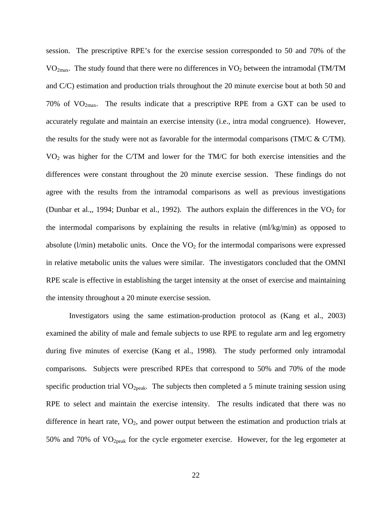session. The prescriptive RPE's for the exercise session corresponded to 50 and 70% of the  $VO<sub>2max</sub>$ . The study found that there were no differences in  $VO<sub>2</sub>$  between the intramodal (TM/TM and C/C) estimation and production trials throughout the 20 minute exercise bout at both 50 and 70% of  $VO<sub>2max</sub>$ . The results indicate that a prescriptive RPE from a GXT can be used to accurately regulate and maintain an exercise intensity (i.e., intra modal congruence). However, the results for the study were not as favorable for the intermodal comparisons (TM/C & C/TM). VO2 was higher for the C/TM and lower for the TM/C for both exercise intensities and the differences were constant throughout the 20 minute exercise session. These findings do not agree with the results from the intramodal comparisons as well as previous investigations (Dunbar et al.,, 1994; Dunbar et al., 1992). The authors explain the differences in the  $VO<sub>2</sub>$  for the intermodal comparisons by explaining the results in relative (ml/kg/min) as opposed to absolute ( $l/min$ ) metabolic units. Once the  $VO<sub>2</sub>$  for the intermodal comparisons were expressed in relative metabolic units the values were similar. The investigators concluded that the OMNI RPE scale is effective in establishing the target intensity at the onset of exercise and maintaining the intensity throughout a 20 minute exercise session.

Investigators using the same estimation-production protocol as (Kang et al., 2003) examined the ability of male and female subjects to use RPE to regulate arm and leg ergometry during five minutes of exercise (Kang et al., 1998). The study performed only intramodal comparisons. Subjects were prescribed RPEs that correspond to 50% and 70% of the mode specific production trial  $VO<sub>2peak</sub>$ . The subjects then completed a 5 minute training session using RPE to select and maintain the exercise intensity. The results indicated that there was no difference in heart rate,  $VO<sub>2</sub>$ , and power output between the estimation and production trials at 50% and 70% of  $VO<sub>2peak</sub>$  for the cycle ergometer exercise. However, for the leg ergometer at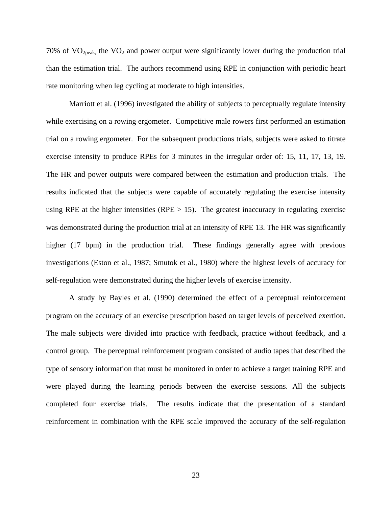70% of  $VO_{2peak}$ , the  $VO_2$  and power output were significantly lower during the production trial than the estimation trial. The authors recommend using RPE in conjunction with periodic heart rate monitoring when leg cycling at moderate to high intensities.

Marriott et al. (1996) investigated the ability of subjects to perceptually regulate intensity while exercising on a rowing ergometer. Competitive male rowers first performed an estimation trial on a rowing ergometer. For the subsequent productions trials, subjects were asked to titrate exercise intensity to produce RPEs for 3 minutes in the irregular order of: 15, 11, 17, 13, 19. The HR and power outputs were compared between the estimation and production trials. The results indicated that the subjects were capable of accurately regulating the exercise intensity using RPE at the higher intensities (RPE  $> 15$ ). The greatest inaccuracy in regulating exercise was demonstrated during the production trial at an intensity of RPE 13. The HR was significantly higher (17 bpm) in the production trial. These findings generally agree with previous investigations (Eston et al., 1987; Smutok et al., 1980) where the highest levels of accuracy for self-regulation were demonstrated during the higher levels of exercise intensity.

A study by Bayles et al. (1990) determined the effect of a perceptual reinforcement program on the accuracy of an exercise prescription based on target levels of perceived exertion. The male subjects were divided into practice with feedback, practice without feedback, and a control group. The perceptual reinforcement program consisted of audio tapes that described the type of sensory information that must be monitored in order to achieve a target training RPE and were played during the learning periods between the exercise sessions. All the subjects completed four exercise trials. The results indicate that the presentation of a standard reinforcement in combination with the RPE scale improved the accuracy of the self-regulation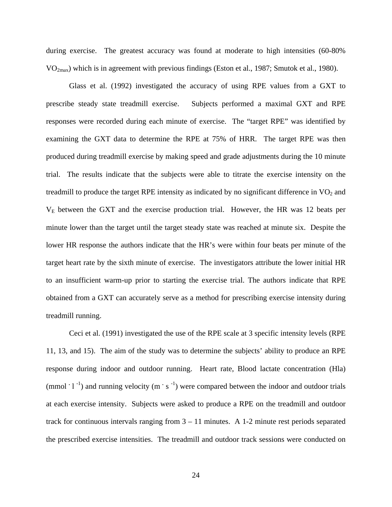during exercise. The greatest accuracy was found at moderate to high intensities (60-80% VO2max) which is in agreement with previous findings (Eston et al., 1987; Smutok et al., 1980).

Glass et al. (1992) investigated the accuracy of using RPE values from a GXT to prescribe steady state treadmill exercise. Subjects performed a maximal GXT and RPE responses were recorded during each minute of exercise. The "target RPE" was identified by examining the GXT data to determine the RPE at 75% of HRR. The target RPE was then produced during treadmill exercise by making speed and grade adjustments during the 10 minute trial. The results indicate that the subjects were able to titrate the exercise intensity on the treadmill to produce the target RPE intensity as indicated by no significant difference in  $VO<sub>2</sub>$  and  $V<sub>E</sub>$  between the GXT and the exercise production trial. However, the HR was 12 beats per minute lower than the target until the target steady state was reached at minute six. Despite the lower HR response the authors indicate that the HR's were within four beats per minute of the target heart rate by the sixth minute of exercise. The investigators attribute the lower initial HR to an insufficient warm-up prior to starting the exercise trial. The authors indicate that RPE obtained from a GXT can accurately serve as a method for prescribing exercise intensity during treadmill running.

Ceci et al. (1991) investigated the use of the RPE scale at 3 specific intensity levels (RPE 11, 13, and 15). The aim of the study was to determine the subjects' ability to produce an RPE response during indoor and outdoor running. Heart rate, Blood lactate concentration (Hla) (mmol  $\cdot$  l<sup>-1</sup>) and running velocity (m  $\cdot$  s<sup>-1</sup>) were compared between the indoor and outdoor trials at each exercise intensity. Subjects were asked to produce a RPE on the treadmill and outdoor track for continuous intervals ranging from  $3 - 11$  minutes. A 1-2 minute rest periods separated the prescribed exercise intensities. The treadmill and outdoor track sessions were conducted on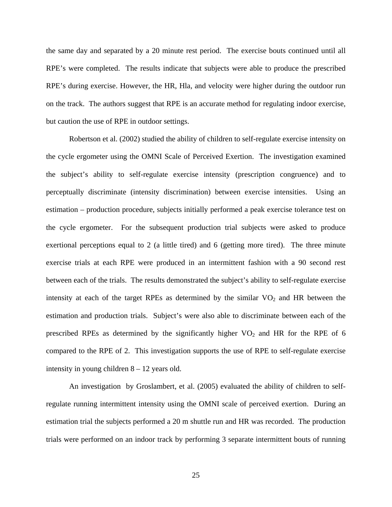the same day and separated by a 20 minute rest period. The exercise bouts continued until all RPE's were completed. The results indicate that subjects were able to produce the prescribed RPE's during exercise. However, the HR, Hla, and velocity were higher during the outdoor run on the track. The authors suggest that RPE is an accurate method for regulating indoor exercise, but caution the use of RPE in outdoor settings.

Robertson et al. (2002) studied the ability of children to self-regulate exercise intensity on the cycle ergometer using the OMNI Scale of Perceived Exertion. The investigation examined the subject's ability to self-regulate exercise intensity (prescription congruence) and to perceptually discriminate (intensity discrimination) between exercise intensities. Using an estimation – production procedure, subjects initially performed a peak exercise tolerance test on the cycle ergometer. For the subsequent production trial subjects were asked to produce exertional perceptions equal to 2 (a little tired) and 6 (getting more tired). The three minute exercise trials at each RPE were produced in an intermittent fashion with a 90 second rest between each of the trials. The results demonstrated the subject's ability to self-regulate exercise intensity at each of the target RPEs as determined by the similar  $VO<sub>2</sub>$  and HR between the estimation and production trials. Subject's were also able to discriminate between each of the prescribed RPEs as determined by the significantly higher  $VO<sub>2</sub>$  and HR for the RPE of 6 compared to the RPE of 2. This investigation supports the use of RPE to self-regulate exercise intensity in young children 8 – 12 years old.

An investigation by Groslambert, et al. (2005) evaluated the ability of children to selfregulate running intermittent intensity using the OMNI scale of perceived exertion. During an estimation trial the subjects performed a 20 m shuttle run and HR was recorded. The production trials were performed on an indoor track by performing 3 separate intermittent bouts of running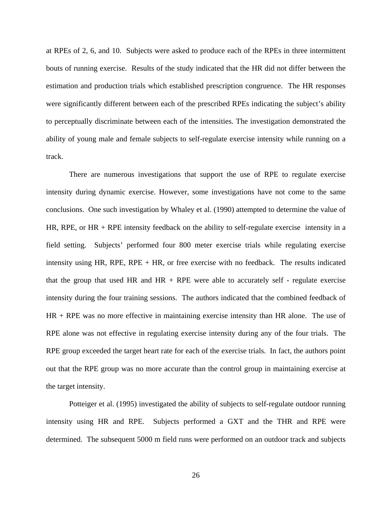at RPEs of 2, 6, and 10. Subjects were asked to produce each of the RPEs in three intermittent bouts of running exercise. Results of the study indicated that the HR did not differ between the estimation and production trials which established prescription congruence. The HR responses were significantly different between each of the prescribed RPEs indicating the subject's ability to perceptually discriminate between each of the intensities. The investigation demonstrated the ability of young male and female subjects to self-regulate exercise intensity while running on a track.

There are numerous investigations that support the use of RPE to regulate exercise intensity during dynamic exercise. However, some investigations have not come to the same conclusions. One such investigation by Whaley et al. (1990) attempted to determine the value of HR, RPE, or HR + RPE intensity feedback on the ability to self-regulate exercise intensity in a field setting. Subjects' performed four 800 meter exercise trials while regulating exercise intensity using HR, RPE, RPE  $+$  HR, or free exercise with no feedback. The results indicated that the group that used HR and  $HR + RPE$  were able to accurately self - regulate exercise intensity during the four training sessions. The authors indicated that the combined feedback of HR + RPE was no more effective in maintaining exercise intensity than HR alone. The use of RPE alone was not effective in regulating exercise intensity during any of the four trials. The RPE group exceeded the target heart rate for each of the exercise trials. In fact, the authors point out that the RPE group was no more accurate than the control group in maintaining exercise at the target intensity.

Potteiger et al. (1995) investigated the ability of subjects to self-regulate outdoor running intensity using HR and RPE. Subjects performed a GXT and the THR and RPE were determined. The subsequent 5000 m field runs were performed on an outdoor track and subjects

26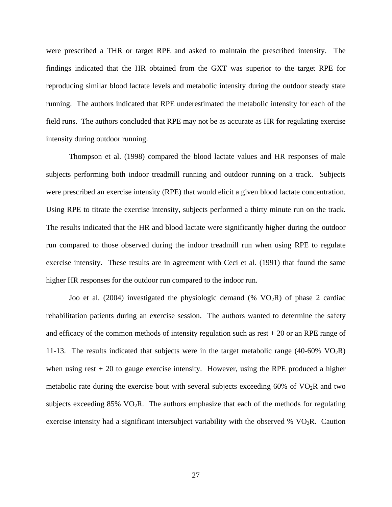were prescribed a THR or target RPE and asked to maintain the prescribed intensity. The findings indicated that the HR obtained from the GXT was superior to the target RPE for reproducing similar blood lactate levels and metabolic intensity during the outdoor steady state running. The authors indicated that RPE underestimated the metabolic intensity for each of the field runs. The authors concluded that RPE may not be as accurate as HR for regulating exercise intensity during outdoor running.

Thompson et al. (1998) compared the blood lactate values and HR responses of male subjects performing both indoor treadmill running and outdoor running on a track. Subjects were prescribed an exercise intensity (RPE) that would elicit a given blood lactate concentration. Using RPE to titrate the exercise intensity, subjects performed a thirty minute run on the track. The results indicated that the HR and blood lactate were significantly higher during the outdoor run compared to those observed during the indoor treadmill run when using RPE to regulate exercise intensity. These results are in agreement with Ceci et al. (1991) that found the same higher HR responses for the outdoor run compared to the indoor run.

Joo et al. (2004) investigated the physiologic demand (%  $VO<sub>2</sub>R$ ) of phase 2 cardiac rehabilitation patients during an exercise session. The authors wanted to determine the safety and efficacy of the common methods of intensity regulation such as rest  $+20$  or an RPE range of 11-13. The results indicated that subjects were in the target metabolic range (40-60%  $VO_2R$ ) when using rest  $+20$  to gauge exercise intensity. However, using the RPE produced a higher metabolic rate during the exercise bout with several subjects exceeding  $60\%$  of  $VO<sub>2</sub>R$  and two subjects exceeding  $85\%$  VO<sub>2</sub>R. The authors emphasize that each of the methods for regulating exercise intensity had a significant intersubject variability with the observed %  $VO<sub>2</sub>R$ . Caution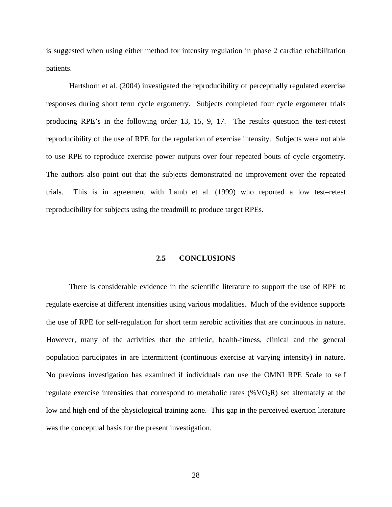is suggested when using either method for intensity regulation in phase 2 cardiac rehabilitation patients.

Hartshorn et al. (2004) investigated the reproducibility of perceptually regulated exercise responses during short term cycle ergometry. Subjects completed four cycle ergometer trials producing RPE's in the following order 13, 15, 9, 17. The results question the test-retest reproducibility of the use of RPE for the regulation of exercise intensity. Subjects were not able to use RPE to reproduce exercise power outputs over four repeated bouts of cycle ergometry. The authors also point out that the subjects demonstrated no improvement over the repeated trials. This is in agreement with Lamb et al. (1999) who reported a low test–retest reproducibility for subjects using the treadmill to produce target RPEs.

# **2.5 CONCLUSIONS**

There is considerable evidence in the scientific literature to support the use of RPE to regulate exercise at different intensities using various modalities. Much of the evidence supports the use of RPE for self-regulation for short term aerobic activities that are continuous in nature. However, many of the activities that the athletic, health-fitness, clinical and the general population participates in are intermittent (continuous exercise at varying intensity) in nature. No previous investigation has examined if individuals can use the OMNI RPE Scale to self regulate exercise intensities that correspond to metabolic rates  $(\%VO_2R)$  set alternately at the low and high end of the physiological training zone. This gap in the perceived exertion literature was the conceptual basis for the present investigation.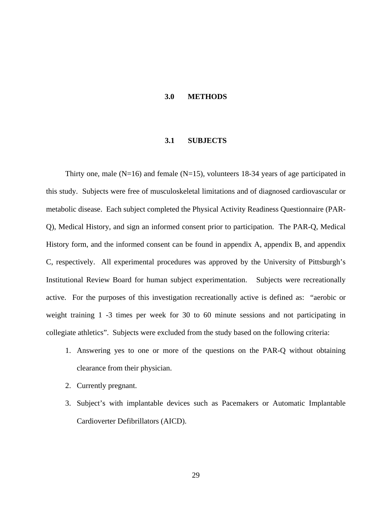#### **3.0 METHODS**

# **3.1 SUBJECTS**

Thirty one, male ( $N=16$ ) and female ( $N=15$ ), volunteers 18-34 years of age participated in this study. Subjects were free of musculoskeletal limitations and of diagnosed cardiovascular or metabolic disease. Each subject completed the Physical Activity Readiness Questionnaire (PAR-Q), Medical History, and sign an informed consent prior to participation. The PAR-Q, Medical History form, and the informed consent can be found in appendix A, appendix B, and appendix C, respectively. All experimental procedures was approved by the University of Pittsburgh's Institutional Review Board for human subject experimentation. Subjects were recreationally active. For the purposes of this investigation recreationally active is defined as: "aerobic or weight training 1 -3 times per week for 30 to 60 minute sessions and not participating in collegiate athletics". Subjects were excluded from the study based on the following criteria:

- 1. Answering yes to one or more of the questions on the PAR-Q without obtaining clearance from their physician.
- 2. Currently pregnant.
- 3. Subject's with implantable devices such as Pacemakers or Automatic Implantable Cardioverter Defibrillators (AICD).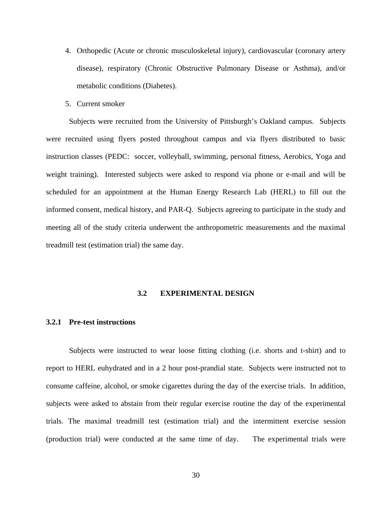- 4. Orthopedic (Acute or chronic musculoskeletal injury), cardiovascular (coronary artery disease), respiratory (Chronic Obstructive Pulmonary Disease or Asthma), and/or metabolic conditions (Diabetes).
- 5. Current smoker

 Subjects were recruited from the University of Pittsburgh's Oakland campus. Subjects were recruited using flyers posted throughout campus and via flyers distributed to basic instruction classes (PEDC: soccer, volleyball, swimming, personal fitness, Aerobics, Yoga and weight training). Interested subjects were asked to respond via phone or e-mail and will be scheduled for an appointment at the Human Energy Research Lab (HERL) to fill out the informed consent, medical history, and PAR-Q. Subjects agreeing to participate in the study and meeting all of the study criteria underwent the anthropometric measurements and the maximal treadmill test (estimation trial) the same day.

### **3.2 EXPERIMENTAL DESIGN**

#### **3.2.1 Pre-test instructions**

Subjects were instructed to wear loose fitting clothing (i.e. shorts and t-shirt) and to report to HERL euhydrated and in a 2 hour post-prandial state. Subjects were instructed not to consume caffeine, alcohol, or smoke cigarettes during the day of the exercise trials. In addition, subjects were asked to abstain from their regular exercise routine the day of the experimental trials. The maximal treadmill test (estimation trial) and the intermittent exercise session (production trial) were conducted at the same time of day. The experimental trials were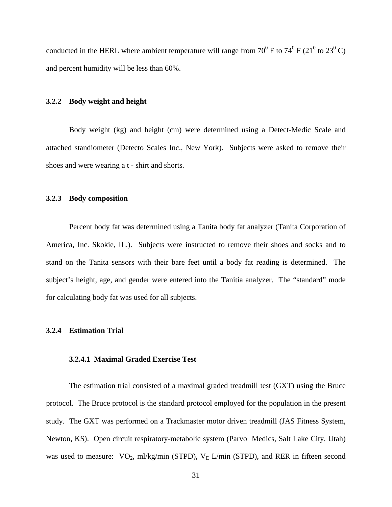conducted in the HERL where ambient temperature will range from  $70^0$  F to  $74^0$  F ( $21^0$  to  $23^0$  C) and percent humidity will be less than 60%.

# **3.2.2 Body weight and height**

Body weight (kg) and height (cm) were determined using a Detect-Medic Scale and attached standiometer (Detecto Scales Inc., New York). Subjects were asked to remove their shoes and were wearing a t - shirt and shorts.

### **3.2.3 Body composition**

Percent body fat was determined using a Tanita body fat analyzer (Tanita Corporation of America, Inc. Skokie, IL.). Subjects were instructed to remove their shoes and socks and to stand on the Tanita sensors with their bare feet until a body fat reading is determined. The subject's height, age, and gender were entered into the Tanitia analyzer. The "standard" mode for calculating body fat was used for all subjects.

# **3.2.4 Estimation Trial**

# **3.2.4.1 Maximal Graded Exercise Test**

The estimation trial consisted of a maximal graded treadmill test (GXT) using the Bruce protocol. The Bruce protocol is the standard protocol employed for the population in the present study. The GXT was performed on a Trackmaster motor driven treadmill (JAS Fitness System, Newton, KS). Open circuit respiratory-metabolic system (Parvo Medics, Salt Lake City, Utah) was used to measure:  $VO_2$ , ml/kg/min (STPD),  $V_E$  L/min (STPD), and RER in fifteen second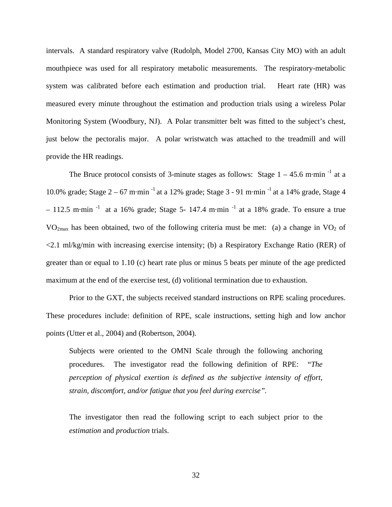intervals. A standard respiratory valve (Rudolph, Model 2700, Kansas City MO) with an adult mouthpiece was used for all respiratory metabolic measurements. The respiratory-metabolic system was calibrated before each estimation and production trial. Heart rate (HR) was measured every minute throughout the estimation and production trials using a wireless Polar Monitoring System (Woodbury, NJ). A Polar transmitter belt was fitted to the subject's chest, just below the pectoralis major. A polar wristwatch was attached to the treadmill and will provide the HR readings.

The Bruce protocol consists of 3-minute stages as follows: Stage  $1 - 45.6$  m·min<sup>-1</sup> at a 10.0% grade; Stage  $2 - 67$  m·min<sup>-1</sup> at a 12% grade; Stage 3 - 91 m·min<sup>-1</sup> at a 14% grade, Stage 4  $-112.5$  m·min<sup>-1</sup> at a 16% grade; Stage 5-147.4 m·min<sup>-1</sup> at a 18% grade. To ensure a true  $VO<sub>2max</sub>$  has been obtained, two of the following criteria must be met: (a) a change in  $VO<sub>2</sub>$  of  $\langle 2.1 \text{ ml/kg/min}$  with increasing exercise intensity; (b) a Respiratory Exchange Ratio (RER) of greater than or equal to 1.10 (c) heart rate plus or minus 5 beats per minute of the age predicted maximum at the end of the exercise test, (d) volitional termination due to exhaustion.

Prior to the GXT, the subjects received standard instructions on RPE scaling procedures. These procedures include: definition of RPE, scale instructions, setting high and low anchor points (Utter et al., 2004) and (Robertson, 2004).

Subjects were oriented to the OMNI Scale through the following anchoring procedures. The investigator read the following definition of RPE: "*The perception of physical exertion is defined as the subjective intensity of effort, strain, discomfort, and/or fatigue that you feel during exercise".* 

The investigator then read the following script to each subject prior to the *estimation* and *production* trials.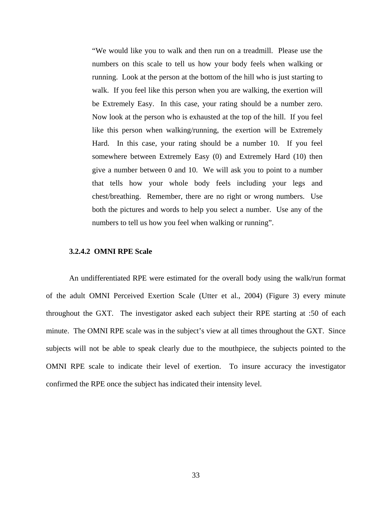"We would like you to walk and then run on a treadmill. Please use the numbers on this scale to tell us how your body feels when walking or running. Look at the person at the bottom of the hill who is just starting to walk. If you feel like this person when you are walking, the exertion will be Extremely Easy. In this case, your rating should be a number zero. Now look at the person who is exhausted at the top of the hill. If you feel like this person when walking/running, the exertion will be Extremely Hard. In this case, your rating should be a number 10. If you feel somewhere between Extremely Easy (0) and Extremely Hard (10) then give a number between 0 and 10. We will ask you to point to a number that tells how your whole body feels including your legs and chest/breathing. Remember, there are no right or wrong numbers. Use both the pictures and words to help you select a number. Use any of the numbers to tell us how you feel when walking or running".

# **3.2.4.2 OMNI RPE Scale**

An undifferentiated RPE were estimated for the overall body using the walk/run format of the adult OMNI Perceived Exertion Scale (Utter et al., 2004) (Figure 3) every minute throughout the GXT. The investigator asked each subject their RPE starting at :50 of each minute. The OMNI RPE scale was in the subject's view at all times throughout the GXT. Since subjects will not be able to speak clearly due to the mouthpiece, the subjects pointed to the OMNI RPE scale to indicate their level of exertion. To insure accuracy the investigator confirmed the RPE once the subject has indicated their intensity level.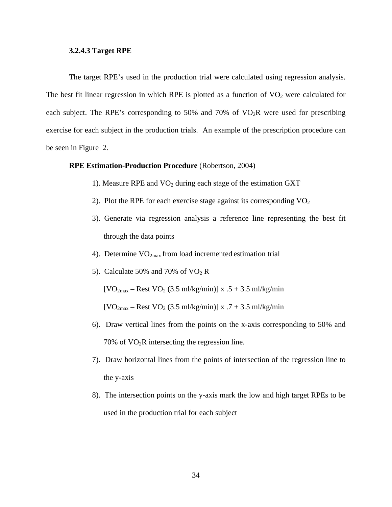# **3.2.4.3 Target RPE**

The target RPE's used in the production trial were calculated using regression analysis. The best fit linear regression in which RPE is plotted as a function of  $VO<sub>2</sub>$  were calculated for each subject. The RPE's corresponding to 50% and 70% of  $VO<sub>2</sub>R$  were used for prescribing exercise for each subject in the production trials. An example of the prescription procedure can be seen in Figure 2.

# **RPE Estimation-Production Procedure** (Robertson, 2004)

- 1). Measure RPE and  $VO<sub>2</sub>$  during each stage of the estimation GXT
- 2). Plot the RPE for each exercise stage against its corresponding  $VO<sub>2</sub>$
- 3). Generate via regression analysis a reference line representing the best fit through the data points
- 4). Determine  $VO_{2max}$  from load incremented estimation trial
- 5). Calculate 50% and 70% of  $VO<sub>2</sub>$  R

 $[VO<sub>2max</sub> - Rest VO<sub>2</sub> (3.5 ml/kg/min)] x .5 + 3.5 ml/kg/min$ 

 $[VO<sub>2max</sub> - Rest VO<sub>2</sub> (3.5 ml/kg/min)] x .7 + 3.5 ml/kg/min$ 

- 6). Draw vertical lines from the points on the x-axis corresponding to 50% and 70% of  $VO<sub>2</sub>R$  intersecting the regression line.
- 7). Draw horizontal lines from the points of intersection of the regression line to the y-axis
- 8). The intersection points on the y-axis mark the low and high target RPEs to be used in the production trial for each subject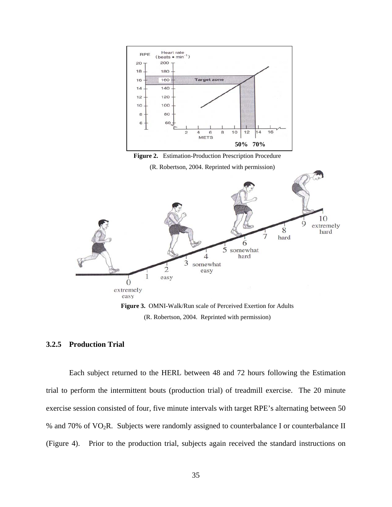

**Figure 2.** Estimation-Production Prescription Procedure

(R. Robertson, 2004. Reprinted with permission)



**Figure 3.** OMNI-Walk/Run scale of Perceived Exertion for Adults (R. Robertson, 2004. Reprinted with permission)

## **3.2.5 Production Trial**

Each subject returned to the HERL between 48 and 72 hours following the Estimation trial to perform the intermittent bouts (production trial) of treadmill exercise. The 20 minute exercise session consisted of four, five minute intervals with target RPE's alternating between 50 % and 70% of VO<sub>2</sub>R. Subjects were randomly assigned to counterbalance I or counterbalance II (Figure 4). Prior to the production trial, subjects again received the standard instructions on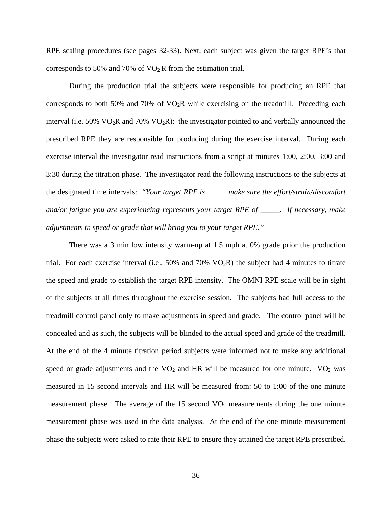RPE scaling procedures (see pages 32-33). Next, each subject was given the target RPE's that corresponds to 50% and 70% of  $VO<sub>2</sub>R$  from the estimation trial.

During the production trial the subjects were responsible for producing an RPE that corresponds to both 50% and 70% of  $VO<sub>2</sub>R$  while exercising on the treadmill. Preceding each interval (i.e. 50% VO<sub>2</sub>R and 70% VO<sub>2</sub>R): the investigator pointed to and verbally announced the prescribed RPE they are responsible for producing during the exercise interval. During each exercise interval the investigator read instructions from a script at minutes 1:00, 2:00, 3:00 and 3:30 during the titration phase. The investigator read the following instructions to the subjects at the designated time intervals: *"Your target RPE is \_\_\_\_\_ make sure the effort/strain/discomfort and/or fatigue you are experiencing represents your target RPE of \_\_\_\_\_. If necessary, make adjustments in speed or grade that will bring you to your target RPE."* 

There was a 3 min low intensity warm-up at 1.5 mph at 0% grade prior the production trial. For each exercise interval (i.e.,  $50\%$  and  $70\%$  VO<sub>2</sub>R) the subject had 4 minutes to titrate the speed and grade to establish the target RPE intensity. The OMNI RPE scale will be in sight of the subjects at all times throughout the exercise session. The subjects had full access to the treadmill control panel only to make adjustments in speed and grade. The control panel will be concealed and as such, the subjects will be blinded to the actual speed and grade of the treadmill. At the end of the 4 minute titration period subjects were informed not to make any additional speed or grade adjustments and the  $VO<sub>2</sub>$  and HR will be measured for one minute.  $VO<sub>2</sub>$  was measured in 15 second intervals and HR will be measured from: 50 to 1:00 of the one minute measurement phase. The average of the  $15$  second  $VO<sub>2</sub>$  measurements during the one minute measurement phase was used in the data analysis. At the end of the one minute measurement phase the subjects were asked to rate their RPE to ensure they attained the target RPE prescribed.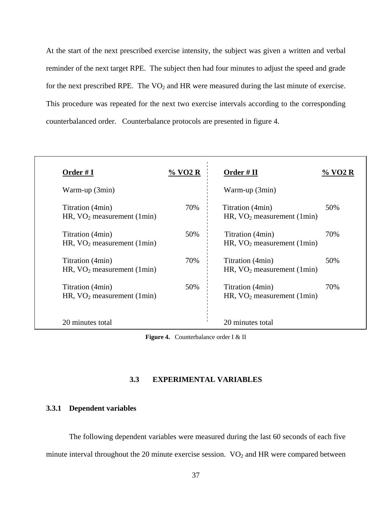At the start of the next prescribed exercise intensity, the subject was given a written and verbal reminder of the next target RPE. The subject then had four minutes to adjust the speed and grade for the next prescribed RPE. The  $VO<sub>2</sub>$  and HR were measured during the last minute of exercise. This procedure was repeated for the next two exercise intervals according to the corresponding counterbalanced order. Counterbalance protocols are presented in figure 4.

| Order #I                                         | % VO2 R | Order $#$ II                                     | $\%$ VO2 R |
|--------------------------------------------------|---------|--------------------------------------------------|------------|
| Warm-up (3min)                                   |         | Warm-up (3min)                                   |            |
| Titration (4min)<br>HR, $VO2 measurement (1min)$ | 70%     | Titration (4min)<br>HR, $VO2 measurement (1min)$ | 50%        |
| Titration (4min)<br>HR, $VO2 measurement (1min)$ | 50%     | Titration (4min)<br>HR, $VO2 measurement (1min)$ | 70%        |
| Titration (4min)<br>HR, $VO2 measurement (1min)$ | 70%     | Titration (4min)<br>HR, $VO2 measurement (1min)$ | 50%        |
| Titration (4min)<br>HR, $VO2 measurement (1min)$ | 50%     | Titration (4min)<br>HR, $VO2 measurement (1min)$ | 70%        |
| 20 minutes total                                 |         | 20 minutes total                                 |            |

**Figure 4.** Counterbalance order I & II

# **3.3 EXPERIMENTAL VARIABLES**

## **3.3.1 Dependent variables**

The following dependent variables were measured during the last 60 seconds of each five minute interval throughout the 20 minute exercise session.  $VO<sub>2</sub>$  and HR were compared between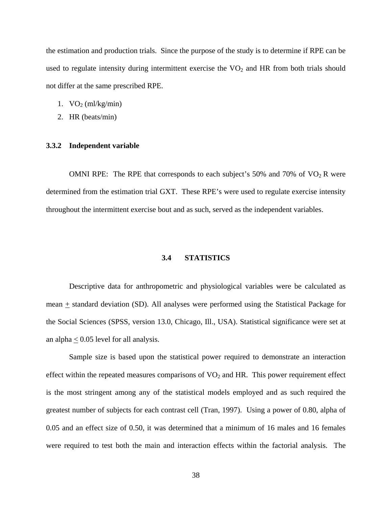the estimation and production trials. Since the purpose of the study is to determine if RPE can be used to regulate intensity during intermittent exercise the  $VO<sub>2</sub>$  and HR from both trials should not differ at the same prescribed RPE.

- 1.  $VO<sub>2</sub> (ml/kg/min)$
- 2. HR (beats/min)

# **3.3.2 Independent variable**

OMNI RPE: The RPE that corresponds to each subject's 50% and 70% of  $VO<sub>2</sub>$  R were determined from the estimation trial GXT. These RPE's were used to regulate exercise intensity throughout the intermittent exercise bout and as such, served as the independent variables.

# **3.4 STATISTICS**

Descriptive data for anthropometric and physiological variables were be calculated as mean  $\pm$  standard deviation (SD). All analyses were performed using the Statistical Package for the Social Sciences (SPSS, version 13.0, Chicago, Ill., USA). Statistical significance were set at an alpha  $< 0.05$  level for all analysis.

Sample size is based upon the statistical power required to demonstrate an interaction effect within the repeated measures comparisons of  $VO<sub>2</sub>$  and HR. This power requirement effect is the most stringent among any of the statistical models employed and as such required the greatest number of subjects for each contrast cell (Tran, 1997). Using a power of 0.80, alpha of 0.05 and an effect size of 0.50, it was determined that a minimum of 16 males and 16 females were required to test both the main and interaction effects within the factorial analysis. The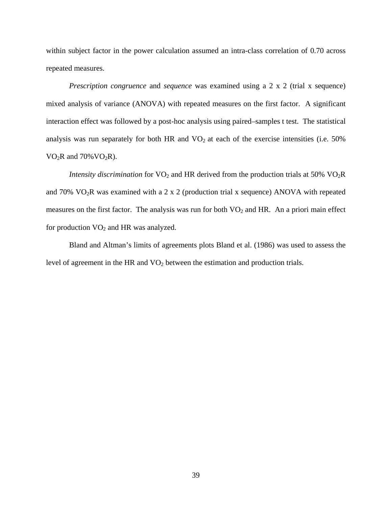within subject factor in the power calculation assumed an intra-class correlation of 0.70 across repeated measures.

*Prescription congruence* and *sequence* was examined using a 2 x 2 (trial x sequence) mixed analysis of variance (ANOVA) with repeated measures on the first factor. A significant interaction effect was followed by a post-hoc analysis using paired–samples t test. The statistical analysis was run separately for both HR and  $VO<sub>2</sub>$  at each of the exercise intensities (i.e. 50%)  $VO<sub>2</sub>R$  and  $70\%VO<sub>2</sub>R$ ).

*Intensity discrimination* for  $VO_2$  and HR derived from the production trials at 50%  $VO_2R$ and  $70\%$  VO<sub>2</sub>R was examined with a 2 x 2 (production trial x sequence) ANOVA with repeated measures on the first factor. The analysis was run for both  $VO<sub>2</sub>$  and HR. An a priori main effect for production  $VO<sub>2</sub>$  and HR was analyzed.

Bland and Altman's limits of agreements plots Bland et al. (1986) was used to assess the level of agreement in the HR and  $VO<sub>2</sub>$  between the estimation and production trials.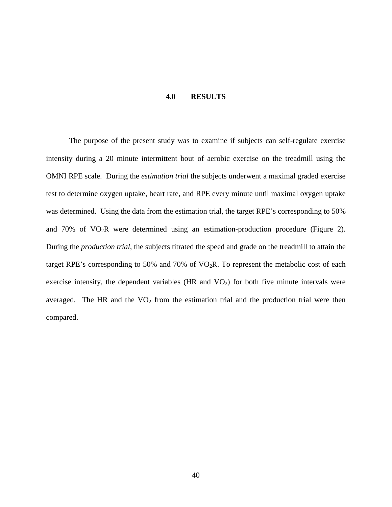## **4.0 RESULTS**

The purpose of the present study was to examine if subjects can self-regulate exercise intensity during a 20 minute intermittent bout of aerobic exercise on the treadmill using the OMNI RPE scale. During the *estimation trial* the subjects underwent a maximal graded exercise test to determine oxygen uptake, heart rate, and RPE every minute until maximal oxygen uptake was determined. Using the data from the estimation trial, the target RPE's corresponding to 50% and  $70\%$  of  $VO<sub>2</sub>R$  were determined using an estimation-production procedure (Figure 2). During the *production trial*, the subjects titrated the speed and grade on the treadmill to attain the target RPE's corresponding to 50% and 70% of  $VO<sub>2</sub>R$ . To represent the metabolic cost of each exercise intensity, the dependent variables (HR and  $VO<sub>2</sub>$ ) for both five minute intervals were averaged. The HR and the  $VO<sub>2</sub>$  from the estimation trial and the production trial were then compared.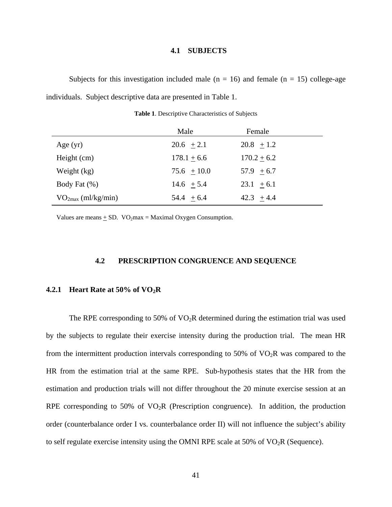# **4.1 SUBJECTS**

Subjects for this investigation included male  $(n = 16)$  and female  $(n = 15)$  college-age individuals. Subject descriptive data are presented in Table 1.

|                         | Male          | Female        |
|-------------------------|---------------|---------------|
| Age $(yr)$              | $20.6 + 2.1$  | $20.8 + 1.2$  |
| Height (cm)             | $178.1 + 6.6$ | $170.2 + 6.2$ |
| Weight (kg)             | $75.6 + 10.0$ | $57.9 + 6.7$  |
| Body Fat $(\% )$        | $14.6 + 5.4$  | $23.1 + 6.1$  |
| $VO_{2max}$ (ml/kg/min) | $54.4 + 6.4$  | $42.3 + 4.4$  |

**Table 1**. Descriptive Characteristics of Subjects

Values are means  $\pm$  SD. VO<sub>2</sub>max = Maximal Oxygen Consumption.

# **4.2 PRESCRIPTION CONGRUENCE AND SEQUENCE**

#### **4.2.1 Heart Rate at 50% of VO2R**

The RPE corresponding to 50% of  $VO<sub>2</sub>R$  determined during the estimation trial was used by the subjects to regulate their exercise intensity during the production trial. The mean HR from the intermittent production intervals corresponding to 50% of  $VO<sub>2</sub>R$  was compared to the HR from the estimation trial at the same RPE. Sub-hypothesis states that the HR from the estimation and production trials will not differ throughout the 20 minute exercise session at an RPE corresponding to 50% of  $VO<sub>2</sub>R$  (Prescription congruence). In addition, the production order (counterbalance order I vs. counterbalance order II) will not influence the subject's ability to self regulate exercise intensity using the OMNI RPE scale at 50% of  $VO<sub>2</sub>R$  (Sequence).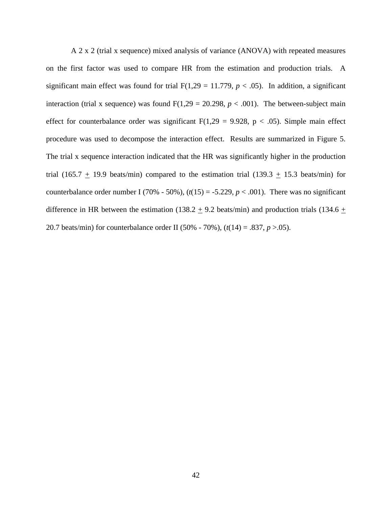A 2 x 2 (trial x sequence) mixed analysis of variance (ANOVA) with repeated measures on the first factor was used to compare HR from the estimation and production trials. A significant main effect was found for trial  $F(1,29 = 11.779, p < .05)$ . In addition, a significant interaction (trial x sequence) was found  $F(1,29 = 20.298, p < .001)$ . The between-subject main effect for counterbalance order was significant  $F(1,29 = 9.928, p < .05)$ . Simple main effect procedure was used to decompose the interaction effect. Results are summarized in Figure 5. The trial x sequence interaction indicated that the HR was significantly higher in the production trial (165.7  $\pm$  19.9 beats/min) compared to the estimation trial (139.3  $\pm$  15.3 beats/min) for counterbalance order number I (70% - 50%),  $(t(15) = -5.229, p < .001)$ . There was no significant difference in HR between the estimation (138.2  $\pm$  9.2 beats/min) and production trials (134.6  $\pm$ 20.7 beats/min) for counterbalance order II (50% - 70%), (*t*(14) = .837, *p* >.05).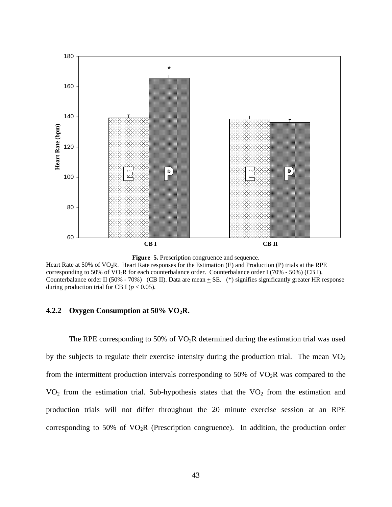



Heart Rate at 50% of VO<sub>2</sub>R. Heart Rate responses for the Estimation (E) and Production (P) trials at the RPE corresponding to 50% of VO2R for each counterbalance order. Counterbalance order I (70% - 50%) (CB I). Counterbalance order II (50% - 70%) (CB II). Data are mean  $\pm$  SE. (\*) signifies significantly greater HR response during production trial for CB I ( $p < 0.05$ ).

### **4.2.2 Oxygen Consumption at 50% VO2R.**

The RPE corresponding to 50% of  $VO<sub>2</sub>R$  determined during the estimation trial was used by the subjects to regulate their exercise intensity during the production trial. The mean  $VO<sub>2</sub>$ from the intermittent production intervals corresponding to 50% of  $VO<sub>2</sub>R$  was compared to the  $VO<sub>2</sub>$  from the estimation trial. Sub-hypothesis states that the  $VO<sub>2</sub>$  from the estimation and production trials will not differ throughout the 20 minute exercise session at an RPE corresponding to 50% of  $VO<sub>2</sub>R$  (Prescription congruence). In addition, the production order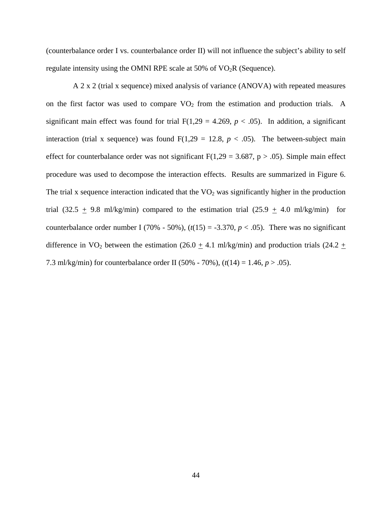(counterbalance order I vs. counterbalance order II) will not influence the subject's ability to self regulate intensity using the OMNI RPE scale at 50% of  $VO<sub>2</sub>R$  (Sequence).

 A 2 x 2 (trial x sequence) mixed analysis of variance (ANOVA) with repeated measures on the first factor was used to compare  $VO<sub>2</sub>$  from the estimation and production trials. A significant main effect was found for trial  $F(1,29 = 4.269, p < .05)$ . In addition, a significant interaction (trial x sequence) was found  $F(1,29 = 12.8, p < .05)$ . The between-subject main effect for counterbalance order was not significant  $F(1,29 = 3.687, p > .05)$ . Simple main effect procedure was used to decompose the interaction effects. Results are summarized in Figure 6. The trial x sequence interaction indicated that the  $VO<sub>2</sub>$  was significantly higher in the production trial (32.5  $\pm$  9.8 ml/kg/min) compared to the estimation trial (25.9  $\pm$  4.0 ml/kg/min) for counterbalance order number I (70% - 50%),  $(t(15) = -3.370, p < .05)$ . There was no significant difference in VO<sub>2</sub> between the estimation (26.0  $\pm$  4.1 ml/kg/min) and production trials (24.2  $\pm$ 7.3 ml/kg/min) for counterbalance order II (50% - 70%), (*t*(14) = 1.46, *p* > .05).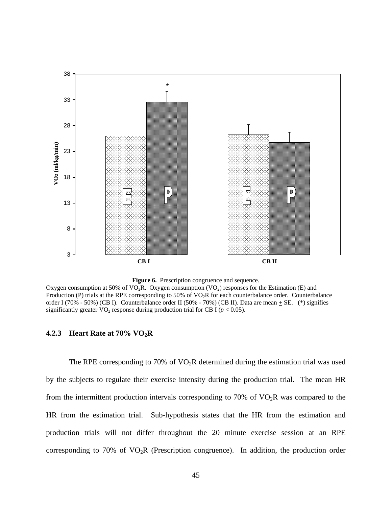



Oxygen consumption at 50% of  $VO<sub>2</sub>R$ . Oxygen consumption  $(VO<sub>2</sub>)$  responses for the Estimation (E) and Production (P) trials at the RPE corresponding to 50% of VO<sub>2</sub>R for each counterbalance order. Counterbalance order I (70% - 50%) (CB I). Counterbalance order II (50% - 70%) (CB II). Data are mean  $\pm$  SE. (\*) signifies significantly greater  $VO_2$  response during production trial for CB I ( $p < 0.05$ ).

### **4.2.3 Heart Rate at 70% VO2R**

The RPE corresponding to 70% of  $VO<sub>2</sub>R$  determined during the estimation trial was used by the subjects to regulate their exercise intensity during the production trial. The mean HR from the intermittent production intervals corresponding to 70% of  $VO<sub>2</sub>R$  was compared to the HR from the estimation trial. Sub-hypothesis states that the HR from the estimation and production trials will not differ throughout the 20 minute exercise session at an RPE corresponding to 70% of  $VO<sub>2</sub>R$  (Prescription congruence). In addition, the production order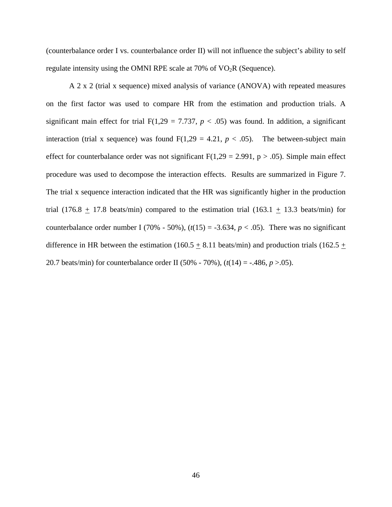(counterbalance order I vs. counterbalance order II) will not influence the subject's ability to self regulate intensity using the OMNI RPE scale at  $70\%$  of  $VO<sub>2</sub>R$  (Sequence).

 A 2 x 2 (trial x sequence) mixed analysis of variance (ANOVA) with repeated measures on the first factor was used to compare HR from the estimation and production trials. A significant main effect for trial  $F(1,29 = 7.737, p < .05)$  was found. In addition, a significant interaction (trial x sequence) was found  $F(1,29 = 4.21, p < .05)$ . The between-subject main effect for counterbalance order was not significant  $F(1,29 = 2.991, p > .05)$ . Simple main effect procedure was used to decompose the interaction effects. Results are summarized in Figure 7. The trial x sequence interaction indicated that the HR was significantly higher in the production trial (176.8  $\pm$  17.8 beats/min) compared to the estimation trial (163.1  $\pm$  13.3 beats/min) for counterbalance order number I (70% - 50%),  $(t(15) = -3.634, p < .05)$ . There was no significant difference in HR between the estimation (160.5  $\pm$  8.11 beats/min) and production trials (162.5  $\pm$ 20.7 beats/min) for counterbalance order II (50% - 70%), (*t*(14) = -.486, *p* >.05).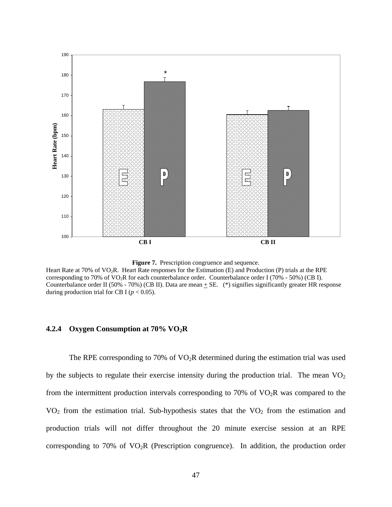



Heart Rate at 70% of VO<sub>2</sub>R. Heart Rate responses for the Estimation (E) and Production (P) trials at the RPE corresponding to 70% of VO2R for each counterbalance order. Counterbalance order I (70% - 50%) (CB I). Counterbalance order II (50% - 70%) (CB II). Data are mean  $\pm$  SE. (\*) signifies significantly greater HR response during production trial for CB I ( $p < 0.05$ ).

## **4.2.4 Oxygen Consumption at 70% VO2R**

The RPE corresponding to 70% of  $VO<sub>2</sub>R$  determined during the estimation trial was used by the subjects to regulate their exercise intensity during the production trial. The mean  $VO<sub>2</sub>$ from the intermittent production intervals corresponding to 70% of  $VO<sub>2</sub>R$  was compared to the  $VO<sub>2</sub>$  from the estimation trial. Sub-hypothesis states that the  $VO<sub>2</sub>$  from the estimation and production trials will not differ throughout the 20 minute exercise session at an RPE corresponding to 70% of  $VO<sub>2</sub>R$  (Prescription congruence). In addition, the production order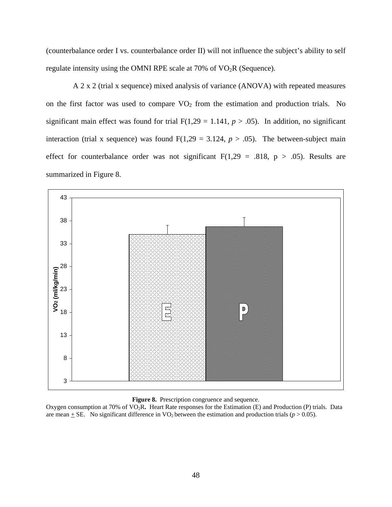(counterbalance order I vs. counterbalance order II) will not influence the subject's ability to self regulate intensity using the OMNI RPE scale at  $70\%$  of  $VO<sub>2</sub>R$  (Sequence).

 A 2 x 2 (trial x sequence) mixed analysis of variance (ANOVA) with repeated measures on the first factor was used to compare  $VO<sub>2</sub>$  from the estimation and production trials. No significant main effect was found for trial  $F(1,29 = 1.141, p > .05)$ . In addition, no significant interaction (trial x sequence) was found  $F(1,29 = 3.124, p > .05)$ . The between-subject main effect for counterbalance order was not significant  $F(1,29 = .818, p > .05)$ . Results are summarized in Figure 8.



**Figure 8.** Prescription congruence and sequence.

Oxygen consumption at 70% of VO2R**.** Heart Rate responses for the Estimation (E) and Production (P) trials. Data are mean  $\pm$  SE. No significant difference in VO<sub>2</sub> between the estimation and production trials ( $p > 0.05$ ).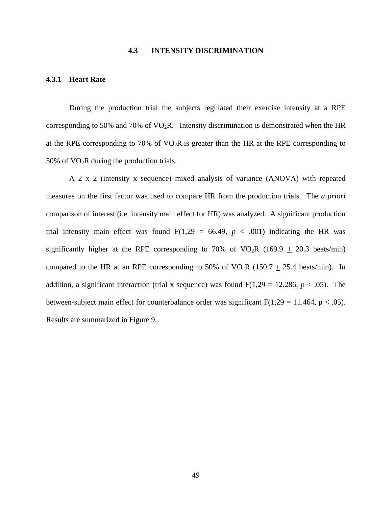# **4.3 INTENSITY DISCRIMINATION**

# **4.3.1 Heart Rate**

During the production trial the subjects regulated their exercise intensity at a RPE corresponding to 50% and 70% of  $VO<sub>2</sub>R$ . Intensity discrimination is demonstrated when the HR at the RPE corresponding to 70% of  $VO<sub>2</sub>R$  is greater than the HR at the RPE corresponding to 50% of  $VO<sub>2</sub>R$  during the production trials.

 A 2 x 2 (intensity x sequence) mixed analysis of variance (ANOVA) with repeated measures on the first factor was used to compare HR from the production trials. The *a priori* comparison of interest (i.e. intensity main effect for HR) was analyzed. A significant production trial intensity main effect was found  $F(1,29 = 66.49, p < .001)$  indicating the HR was significantly higher at the RPE corresponding to 70% of VO<sub>2</sub>R (169.9  $\pm$  20.3 beats/min) compared to the HR at an RPE corresponding to 50% of VO<sub>2</sub>R (150.7  $\pm$  25.4 beats/min). In addition, a significant interaction (trial x sequence) was found  $F(1,29 = 12.286, p < .05)$ . The between-subject main effect for counterbalance order was significant  $F(1,29 = 11.464, p < .05)$ . Results are summarized in Figure 9.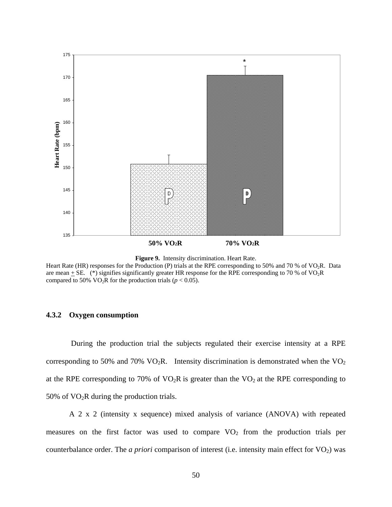



Heart Rate (HR) responses for the Production (P) trials at the RPE corresponding to 50% and 70 % of VO<sub>2</sub>R. Data are mean  $\pm$  SE. (\*) signifies significantly greater HR response for the RPE corresponding to 70 % of VO<sub>2</sub>R compared to 50% VO<sub>2</sub>R for the production trials ( $p < 0.05$ ).

# **4.3.2 Oxygen consumption**

 During the production trial the subjects regulated their exercise intensity at a RPE corresponding to 50% and 70%  $VO<sub>2</sub>R$ . Intensity discrimination is demonstrated when the  $VO<sub>2</sub>$ at the RPE corresponding to 70% of  $VO<sub>2</sub>R$  is greater than the  $VO<sub>2</sub>$  at the RPE corresponding to 50% of  $VO<sub>2</sub>R$  during the production trials.

 A 2 x 2 (intensity x sequence) mixed analysis of variance (ANOVA) with repeated measures on the first factor was used to compare  $VO<sub>2</sub>$  from the production trials per counterbalance order. The *a priori* comparison of interest (i.e. intensity main effect for VO<sub>2</sub>) was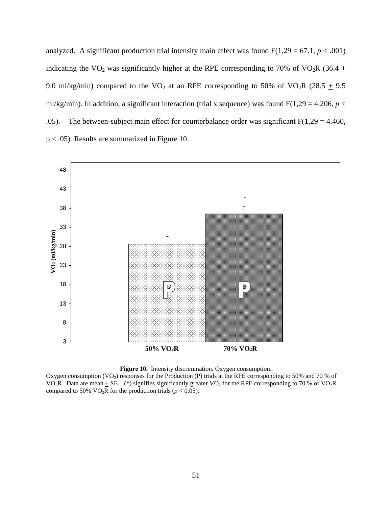analyzed. A significant production trial intensity main effect was found  $F(1,29 = 67.1, p < .001)$ indicating the VO<sub>2</sub> was significantly higher at the RPE corresponding to 70% of VO<sub>2</sub>R (36.4  $\pm$ 9.0 ml/kg/min) compared to the VO<sub>2</sub> at an RPE corresponding to 50% of VO<sub>2</sub>R (28.5  $\pm$  9.5 ml/kg/min). In addition, a significant interaction (trial x sequence) was found  $F(1,29 = 4.206, p <$ .05). The between-subject main effect for counterbalance order was significant  $F(1,29 = 4.460)$ , p < .05). Results are summarized in Figure 10.





Oxygen consumption  $(VO_2)$  responses for the Production (P) trials at the RPE corresponding to 50% and 70 % of VO<sub>2</sub>R. Data are mean  $\pm$  SE. (\*) signifies significantly greater VO<sub>2</sub> for the RPE corresponding to 70 % of VO<sub>2</sub>R compared to 50% VO<sub>2</sub>R for the production trials ( $p < 0.05$ ).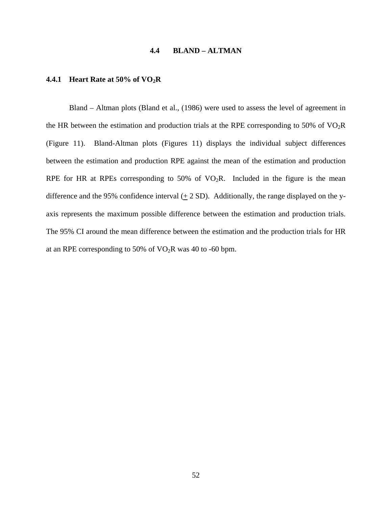# **4.4 BLAND – ALTMAN**

### **4.4.1 Heart Rate at 50% of VO2R**

Bland – Altman plots (Bland et al., (1986) were used to assess the level of agreement in the HR between the estimation and production trials at the RPE corresponding to 50% of  $VO<sub>2</sub>R$ (Figure 11). Bland-Altman plots (Figures 11) displays the individual subject differences between the estimation and production RPE against the mean of the estimation and production RPE for HR at RPEs corresponding to 50% of  $VO<sub>2</sub>R$ . Included in the figure is the mean difference and the 95% confidence interval  $(± 2 SD)$ . Additionally, the range displayed on the yaxis represents the maximum possible difference between the estimation and production trials. The 95% CI around the mean difference between the estimation and the production trials for HR at an RPE corresponding to 50% of  $VO<sub>2</sub>R$  was 40 to -60 bpm.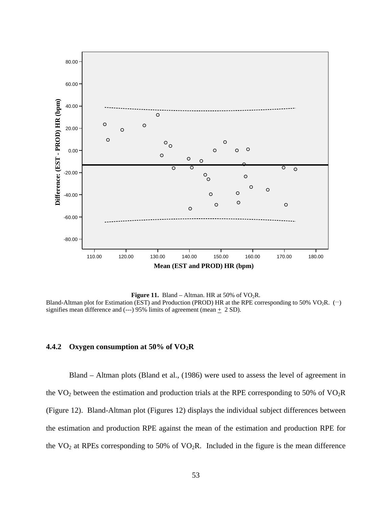

**Figure 11.** Bland – Altman. HR at 50% of  $VO<sub>2</sub>R$ . Bland-Altman plot for Estimation (EST) and Production (PROD) HR at the RPE corresponding to 50% VO<sub>2</sub>R. ( $\rightarrow$ ) signifies mean difference and (---) 95% limits of agreement (mean  $+$  2 SD).

# **4.4.2 Oxygen consumption at 50% of VO2R**

Bland – Altman plots (Bland et al., (1986) were used to assess the level of agreement in the  $VO<sub>2</sub>$  between the estimation and production trials at the RPE corresponding to 50% of  $VO<sub>2</sub>R$ (Figure 12). Bland-Altman plot (Figures 12) displays the individual subject differences between the estimation and production RPE against the mean of the estimation and production RPE for the  $VO<sub>2</sub>$  at RPEs corresponding to 50% of  $VO<sub>2</sub>R$ . Included in the figure is the mean difference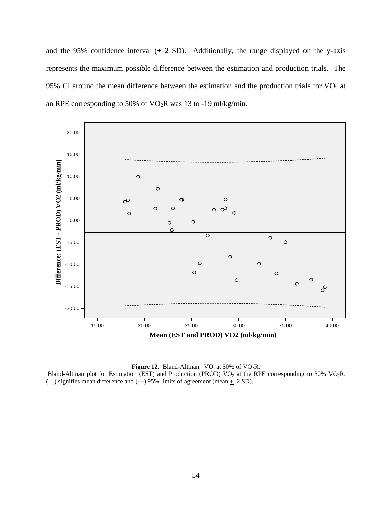and the 95% confidence interval  $(± 2 SD)$ . Additionally, the range displayed on the y-axis represents the maximum possible difference between the estimation and production trials. The 95% CI around the mean difference between the estimation and the production trials for  $VO<sub>2</sub>$  at an RPE corresponding to 50% of  $VO<sub>2</sub>R$  was 13 to -19 ml/kg/min.



**Figure 12.** Bland-Altman.  $VO<sub>2</sub>$  at 50% of  $VO<sub>2</sub>R$ . Bland-Altman plot for Estimation (EST) and Production (PROD)  $VO<sub>2</sub>$  at the RPE corresponding to 50%  $VO<sub>2</sub>R$ .  $\left(\rightarrow\right)$  signifies mean difference and  $\left(\rightarrow\right)$  95% limits of agreement (mean  $\pm$  2 SD).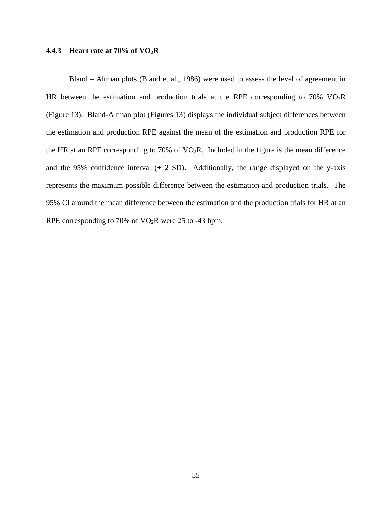### **4.4.3 Heart rate at 70% of VO2R**

Bland – Altman plots (Bland et al., 1986) were used to assess the level of agreement in HR between the estimation and production trials at the RPE corresponding to 70%  $VO<sub>2</sub>R$ (Figure 13). Bland-Altman plot (Figures 13) displays the individual subject differences between the estimation and production RPE against the mean of the estimation and production RPE for the HR at an RPE corresponding to 70% of  $VO<sub>2</sub>R$ . Included in the figure is the mean difference and the 95% confidence interval  $(± 2 SD)$ . Additionally, the range displayed on the y-axis represents the maximum possible difference between the estimation and production trials. The 95% CI around the mean difference between the estimation and the production trials for HR at an RPE corresponding to 70% of  $VO<sub>2</sub>R$  were 25 to -43 bpm.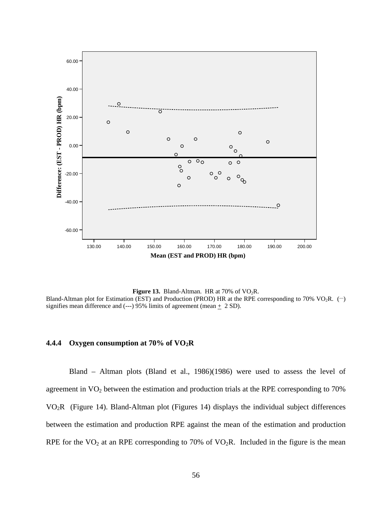

Figure 13. Bland-Altman. HR at 70% of VO<sub>2</sub>R. Bland-Altman plot for Estimation (EST) and Production (PROD) HR at the RPE corresponding to 70% VO<sub>2</sub>R.  $(-)$ signifies mean difference and (---) 95% limits of agreement (mean  $+$  2 SD).

# **4.4.4 Oxygen consumption at 70% of VO2R**

Bland – Altman plots (Bland et al., 1986)(1986) were used to assess the level of agreement in VO<sub>2</sub> between the estimation and production trials at the RPE corresponding to 70% VO2R (Figure 14). Bland-Altman plot (Figures 14) displays the individual subject differences between the estimation and production RPE against the mean of the estimation and production RPE for the  $VO<sub>2</sub>$  at an RPE corresponding to 70% of  $VO<sub>2</sub>R$ . Included in the figure is the mean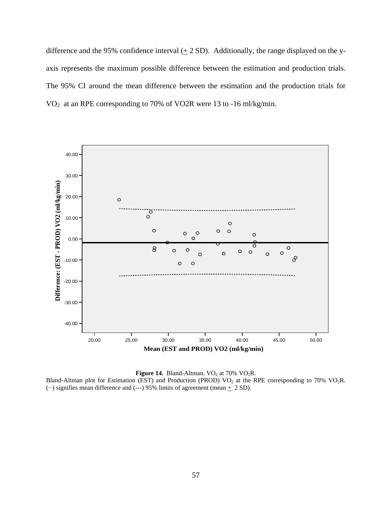difference and the 95% confidence interval  $(± 2 SD)$ . Additionally, the range displayed on the yaxis represents the maximum possible difference between the estimation and production trials. The 95% CI around the mean difference between the estimation and the production trials for VO2 at an RPE corresponding to 70% of VO2R were 13 to -16 ml/kg/min.



**Figure 14.** Bland-Altman.  $VO<sub>2</sub>$  at 70%  $VO<sub>2</sub>R$ . Bland-Altman plot for Estimation (EST) and Production (PROD)  $VO_2$  at the RPE corresponding to 70%  $VO_2R$ .  $($  - $)$  signifies mean difference and (---) 95% limits of agreement (mean  $+$  2 SD).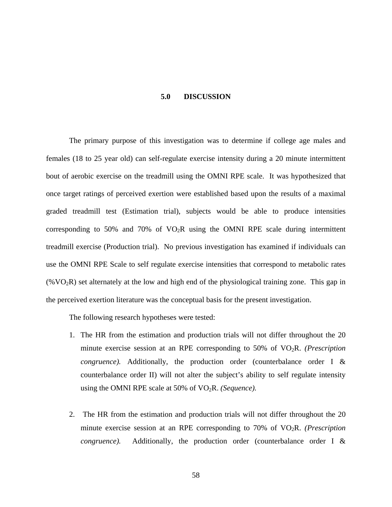#### **5.0 DISCUSSION**

The primary purpose of this investigation was to determine if college age males and females (18 to 25 year old) can self-regulate exercise intensity during a 20 minute intermittent bout of aerobic exercise on the treadmill using the OMNI RPE scale. It was hypothesized that once target ratings of perceived exertion were established based upon the results of a maximal graded treadmill test (Estimation trial), subjects would be able to produce intensities corresponding to 50% and 70% of  $VO<sub>2</sub>R$  using the OMNI RPE scale during intermittent treadmill exercise (Production trial). No previous investigation has examined if individuals can use the OMNI RPE Scale to self regulate exercise intensities that correspond to metabolic rates  $(\%VO<sub>2</sub>R)$  set alternately at the low and high end of the physiological training zone. This gap in the perceived exertion literature was the conceptual basis for the present investigation.

The following research hypotheses were tested:

- 1. The HR from the estimation and production trials will not differ throughout the 20 minute exercise session at an RPE corresponding to 50% of VO2R. *(Prescription congruence).* Additionally, the production order (counterbalance order I & counterbalance order II) will not alter the subject's ability to self regulate intensity using the OMNI RPE scale at 50% of VO<sub>2</sub>R. *(Sequence)*.
- 2. The HR from the estimation and production trials will not differ throughout the 20 minute exercise session at an RPE corresponding to 70% of VO2R. *(Prescription congruence).* Additionally, the production order (counterbalance order I &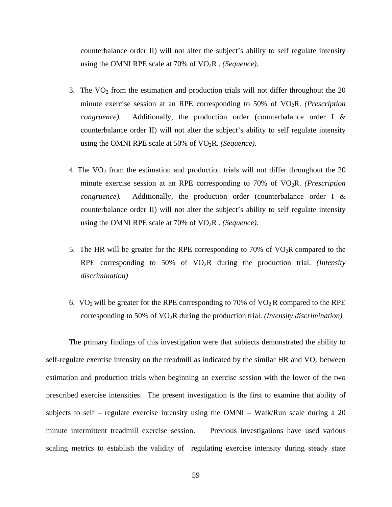counterbalance order II) will not alter the subject's ability to self regulate intensity using the OMNI RPE scale at 70% of VO2R . *(Sequence)*.

- 3. The  $VO<sub>2</sub>$  from the estimation and production trials will not differ throughout the 20 minute exercise session at an RPE corresponding to 50% of VO2R. *(Prescription congruence).* Additionally, the production order (counterbalance order I & counterbalance order II) will not alter the subject's ability to self regulate intensity using the OMNI RPE scale at 50% of VO2R. *(Sequence).*
- 4. The  $VO<sub>2</sub>$  from the estimation and production trials will not differ throughout the 20 minute exercise session at an RPE corresponding to 70% of VO2R. *(Prescription congruence).* Additionally, the production order (counterbalance order I & counterbalance order II) will not alter the subject's ability to self regulate intensity using the OMNI RPE scale at 70% of VO2R . *(Sequence).*
- 5. The HR will be greater for the RPE corresponding to 70% of  $VO<sub>2</sub>R$  compared to the RPE corresponding to 50% of VO2R during the production trial. *(Intensity discrimination)*
- 6. VO<sub>2</sub> will be greater for the RPE corresponding to 70% of VO<sub>2</sub> R compared to the RPE corresponding to 50% of VO2R during the production trial. *(Intensity discrimination)*

The primary findings of this investigation were that subjects demonstrated the ability to self-regulate exercise intensity on the treadmill as indicated by the similar HR and  $VO<sub>2</sub>$  between estimation and production trials when beginning an exercise session with the lower of the two prescribed exercise intensities. The present investigation is the first to examine that ability of subjects to self – regulate exercise intensity using the OMNI – Walk/Run scale during a 20 minute intermittent treadmill exercise session. Previous investigations have used various scaling metrics to establish the validity of regulating exercise intensity during steady state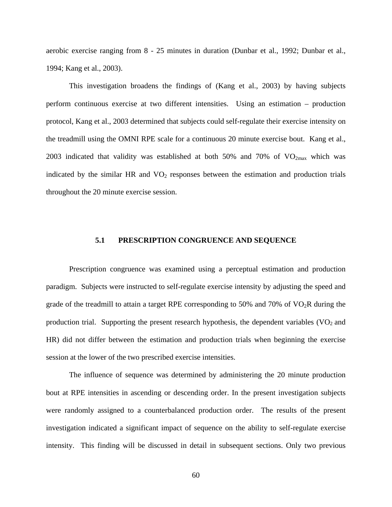aerobic exercise ranging from 8 - 25 minutes in duration (Dunbar et al., 1992; Dunbar et al., 1994; Kang et al., 2003).

This investigation broadens the findings of (Kang et al., 2003) by having subjects perform continuous exercise at two different intensities. Using an estimation – production protocol, Kang et al., 2003 determined that subjects could self-regulate their exercise intensity on the treadmill using the OMNI RPE scale for a continuous 20 minute exercise bout. Kang et al., 2003 indicated that validity was established at both 50% and 70% of  $VO<sub>2max</sub>$  which was indicated by the similar HR and  $VO<sub>2</sub>$  responses between the estimation and production trials throughout the 20 minute exercise session.

### **5.1 PRESCRIPTION CONGRUENCE AND SEQUENCE**

Prescription congruence was examined using a perceptual estimation and production paradigm. Subjects were instructed to self-regulate exercise intensity by adjusting the speed and grade of the treadmill to attain a target RPE corresponding to 50% and 70% of  $VO<sub>2</sub>R$  during the production trial. Supporting the present research hypothesis, the dependent variables  $(VO<sub>2</sub>$  and HR) did not differ between the estimation and production trials when beginning the exercise session at the lower of the two prescribed exercise intensities.

The influence of sequence was determined by administering the 20 minute production bout at RPE intensities in ascending or descending order. In the present investigation subjects were randomly assigned to a counterbalanced production order. The results of the present investigation indicated a significant impact of sequence on the ability to self-regulate exercise intensity. This finding will be discussed in detail in subsequent sections. Only two previous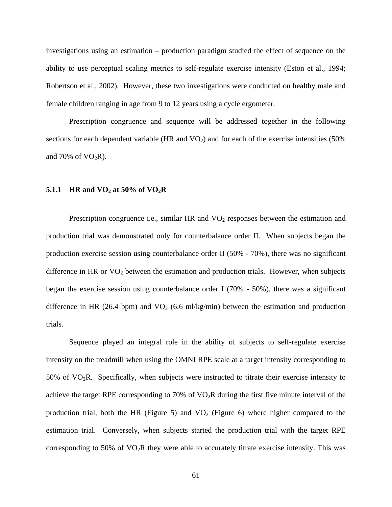investigations using an estimation – production paradigm studied the effect of sequence on the ability to use perceptual scaling metrics to self-regulate exercise intensity (Eston et al., 1994; Robertson et al., 2002). However, these two investigations were conducted on healthy male and female children ranging in age from 9 to 12 years using a cycle ergometer.

Prescription congruence and sequence will be addressed together in the following sections for each dependent variable (HR and  $VO<sub>2</sub>$ ) and for each of the exercise intensities (50%) and 70% of  $VO<sub>2</sub>R$ ).

## **5.1.1 HR and VO2 at 50% of VO2R**

Prescription congruence i.e., similar HR and  $VO<sub>2</sub>$  responses between the estimation and production trial was demonstrated only for counterbalance order II. When subjects began the production exercise session using counterbalance order II (50% - 70%), there was no significant difference in HR or  $VO<sub>2</sub>$  between the estimation and production trials. However, when subjects began the exercise session using counterbalance order I (70% - 50%), there was a significant difference in HR (26.4 bpm) and  $VO<sub>2</sub>$  (6.6 ml/kg/min) between the estimation and production trials.

Sequence played an integral role in the ability of subjects to self-regulate exercise intensity on the treadmill when using the OMNI RPE scale at a target intensity corresponding to  $50\%$  of VO<sub>2</sub>R. Specifically, when subjects were instructed to titrate their exercise intensity to achieve the target RPE corresponding to 70% of  $VO<sub>2</sub>R$  during the first five minute interval of the production trial, both the HR (Figure 5) and  $VO<sub>2</sub>$  (Figure 6) where higher compared to the estimation trial. Conversely, when subjects started the production trial with the target RPE corresponding to 50% of  $VO<sub>2</sub>R$  they were able to accurately titrate exercise intensity. This was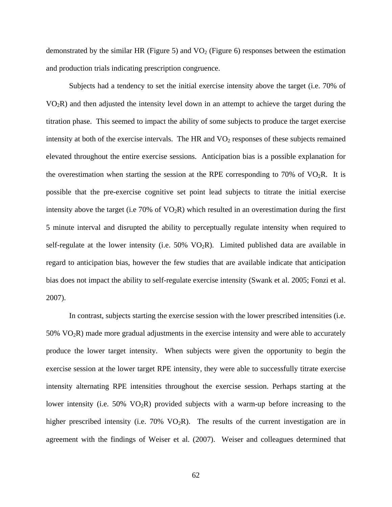demonstrated by the similar HR (Figure 5) and  $VO<sub>2</sub>$  (Figure 6) responses between the estimation and production trials indicating prescription congruence.

Subjects had a tendency to set the initial exercise intensity above the target (i.e. 70% of  $VO<sub>2</sub>R$ ) and then adjusted the intensity level down in an attempt to achieve the target during the titration phase. This seemed to impact the ability of some subjects to produce the target exercise intensity at both of the exercise intervals. The HR and  $VO<sub>2</sub>$  responses of these subjects remained elevated throughout the entire exercise sessions. Anticipation bias is a possible explanation for the overestimation when starting the session at the RPE corresponding to 70% of  $VO<sub>2</sub>R$ . It is possible that the pre-exercise cognitive set point lead subjects to titrate the initial exercise intensity above the target (i.e  $70\%$  of  $VO<sub>2</sub>R$ ) which resulted in an overestimation during the first 5 minute interval and disrupted the ability to perceptually regulate intensity when required to self-regulate at the lower intensity (i.e.  $50\%$  VO<sub>2</sub>R). Limited published data are available in regard to anticipation bias, however the few studies that are available indicate that anticipation bias does not impact the ability to self-regulate exercise intensity (Swank et al. 2005; Fonzi et al. 2007).

In contrast, subjects starting the exercise session with the lower prescribed intensities (i.e.  $50\%$  VO<sub>2</sub>R) made more gradual adjustments in the exercise intensity and were able to accurately produce the lower target intensity. When subjects were given the opportunity to begin the exercise session at the lower target RPE intensity, they were able to successfully titrate exercise intensity alternating RPE intensities throughout the exercise session. Perhaps starting at the lower intensity (i.e.  $50\%$  VO<sub>2</sub>R) provided subjects with a warm-up before increasing to the higher prescribed intensity (i.e.  $70\%$  VO<sub>2</sub>R). The results of the current investigation are in agreement with the findings of Weiser et al. (2007). Weiser and colleagues determined that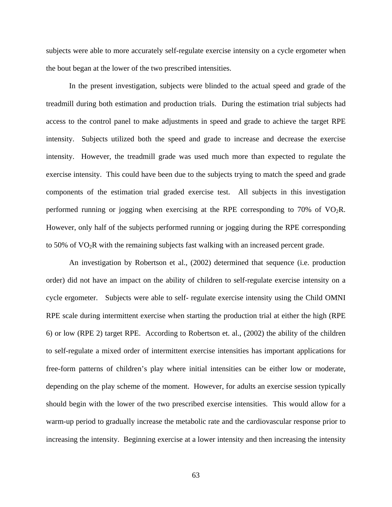subjects were able to more accurately self-regulate exercise intensity on a cycle ergometer when the bout began at the lower of the two prescribed intensities.

In the present investigation, subjects were blinded to the actual speed and grade of the treadmill during both estimation and production trials. During the estimation trial subjects had access to the control panel to make adjustments in speed and grade to achieve the target RPE intensity. Subjects utilized both the speed and grade to increase and decrease the exercise intensity. However, the treadmill grade was used much more than expected to regulate the exercise intensity. This could have been due to the subjects trying to match the speed and grade components of the estimation trial graded exercise test. All subjects in this investigation performed running or jogging when exercising at the RPE corresponding to 70% of  $VO<sub>2</sub>R$ . However, only half of the subjects performed running or jogging during the RPE corresponding to 50% of VO2R with the remaining subjects fast walking with an increased percent grade.

An investigation by Robertson et al., (2002) determined that sequence (i.e. production order) did not have an impact on the ability of children to self-regulate exercise intensity on a cycle ergometer. Subjects were able to self- regulate exercise intensity using the Child OMNI RPE scale during intermittent exercise when starting the production trial at either the high (RPE 6) or low (RPE 2) target RPE. According to Robertson et. al., (2002) the ability of the children to self-regulate a mixed order of intermittent exercise intensities has important applications for free-form patterns of children's play where initial intensities can be either low or moderate, depending on the play scheme of the moment. However, for adults an exercise session typically should begin with the lower of the two prescribed exercise intensities. This would allow for a warm-up period to gradually increase the metabolic rate and the cardiovascular response prior to increasing the intensity. Beginning exercise at a lower intensity and then increasing the intensity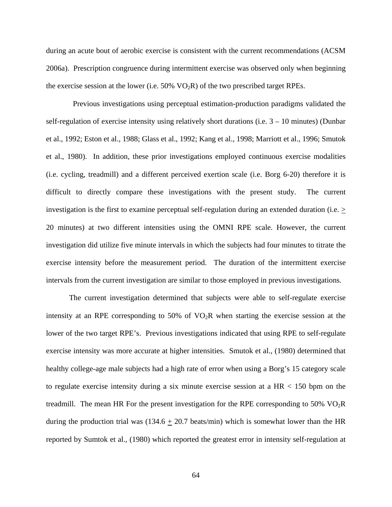during an acute bout of aerobic exercise is consistent with the current recommendations (ACSM 2006a). Prescription congruence during intermittent exercise was observed only when beginning the exercise session at the lower (i.e.  $50\%$  VO<sub>2</sub>R) of the two prescribed target RPEs.

 Previous investigations using perceptual estimation-production paradigms validated the self-regulation of exercise intensity using relatively short durations (i.e.  $3 - 10$  minutes) (Dunbar et al., 1992; Eston et al., 1988; Glass et al., 1992; Kang et al., 1998; Marriott et al., 1996; Smutok et al., 1980). In addition, these prior investigations employed continuous exercise modalities (i.e. cycling, treadmill) and a different perceived exertion scale (i.e. Borg 6-20) therefore it is difficult to directly compare these investigations with the present study. The current investigation is the first to examine perceptual self-regulation during an extended duration (i.e.  $\geq$ 20 minutes) at two different intensities using the OMNI RPE scale. However, the current investigation did utilize five minute intervals in which the subjects had four minutes to titrate the exercise intensity before the measurement period. The duration of the intermittent exercise intervals from the current investigation are similar to those employed in previous investigations.

The current investigation determined that subjects were able to self-regulate exercise intensity at an RPE corresponding to 50% of  $VO<sub>2</sub>R$  when starting the exercise session at the lower of the two target RPE's. Previous investigations indicated that using RPE to self-regulate exercise intensity was more accurate at higher intensities. Smutok et al., (1980) determined that healthy college-age male subjects had a high rate of error when using a Borg's 15 category scale to regulate exercise intensity during a six minute exercise session at a  $HR < 150$  bpm on the treadmill. The mean HR For the present investigation for the RPE corresponding to 50%  $VO<sub>2</sub>R$ during the production trial was  $(134.6 \pm 20.7 \text{ beats/min})$  which is somewhat lower than the HR reported by Sumtok et al., (1980) which reported the greatest error in intensity self-regulation at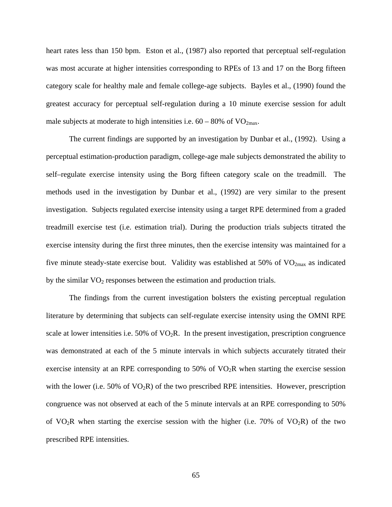heart rates less than 150 bpm. Eston et al., (1987) also reported that perceptual self-regulation was most accurate at higher intensities corresponding to RPEs of 13 and 17 on the Borg fifteen category scale for healthy male and female college-age subjects. Bayles et al., (1990) found the greatest accuracy for perceptual self-regulation during a 10 minute exercise session for adult male subjects at moderate to high intensities i.e.  $60 - 80\%$  of VO<sub>2max</sub>.

The current findings are supported by an investigation by Dunbar et al., (1992). Using a perceptual estimation-production paradigm, college-age male subjects demonstrated the ability to self–regulate exercise intensity using the Borg fifteen category scale on the treadmill. The methods used in the investigation by Dunbar et al., (1992) are very similar to the present investigation. Subjects regulated exercise intensity using a target RPE determined from a graded treadmill exercise test (i.e. estimation trial). During the production trials subjects titrated the exercise intensity during the first three minutes, then the exercise intensity was maintained for a five minute steady-state exercise bout. Validity was established at 50% of  $VO<sub>2max</sub>$  as indicated by the similar  $VO<sub>2</sub>$  responses between the estimation and production trials.

The findings from the current investigation bolsters the existing perceptual regulation literature by determining that subjects can self-regulate exercise intensity using the OMNI RPE scale at lower intensities i.e.  $50\%$  of  $VO<sub>2</sub>R$ . In the present investigation, prescription congruence was demonstrated at each of the 5 minute intervals in which subjects accurately titrated their exercise intensity at an RPE corresponding to 50% of  $VO<sub>2</sub>R$  when starting the exercise session with the lower (i.e.  $50\%$  of  $VO<sub>2</sub>R$ ) of the two prescribed RPE intensities. However, prescription congruence was not observed at each of the 5 minute intervals at an RPE corresponding to 50% of VO<sub>2</sub>R when starting the exercise session with the higher (i.e. 70% of VO<sub>2</sub>R) of the two prescribed RPE intensities.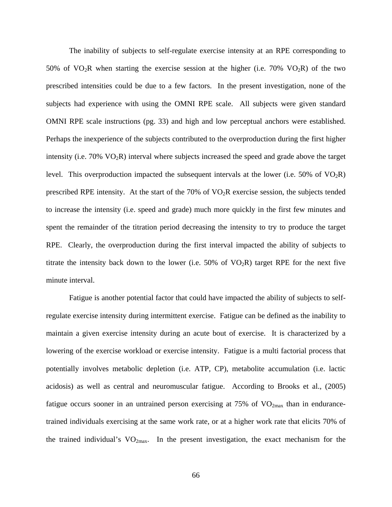The inability of subjects to self-regulate exercise intensity at an RPE corresponding to 50% of  $VO<sub>2</sub>R$  when starting the exercise session at the higher (i.e. 70%  $VO<sub>2</sub>R$ ) of the two prescribed intensities could be due to a few factors. In the present investigation, none of the subjects had experience with using the OMNI RPE scale. All subjects were given standard OMNI RPE scale instructions (pg. 33) and high and low perceptual anchors were established. Perhaps the inexperience of the subjects contributed to the overproduction during the first higher intensity (i.e. 70% VO2R) interval where subjects increased the speed and grade above the target level. This overproduction impacted the subsequent intervals at the lower (i.e. 50% of  $VO<sub>2</sub>R$ ) prescribed RPE intensity. At the start of the  $70\%$  of  $\rm VO_2R$  exercise session, the subjects tended to increase the intensity (i.e. speed and grade) much more quickly in the first few minutes and spent the remainder of the titration period decreasing the intensity to try to produce the target RPE. Clearly, the overproduction during the first interval impacted the ability of subjects to titrate the intensity back down to the lower (i.e.  $50\%$  of  $VO<sub>2</sub>R$ ) target RPE for the next five minute interval.

Fatigue is another potential factor that could have impacted the ability of subjects to selfregulate exercise intensity during intermittent exercise. Fatigue can be defined as the inability to maintain a given exercise intensity during an acute bout of exercise. It is characterized by a lowering of the exercise workload or exercise intensity. Fatigue is a multi factorial process that potentially involves metabolic depletion (i.e. ATP, CP), metabolite accumulation (i.e. lactic acidosis) as well as central and neuromuscular fatigue. According to Brooks et al., (2005) fatigue occurs sooner in an untrained person exercising at  $75\%$  of  $VO<sub>2max</sub>$  than in endurancetrained individuals exercising at the same work rate, or at a higher work rate that elicits 70% of the trained individual's  $VO<sub>2max</sub>$ . In the present investigation, the exact mechanism for the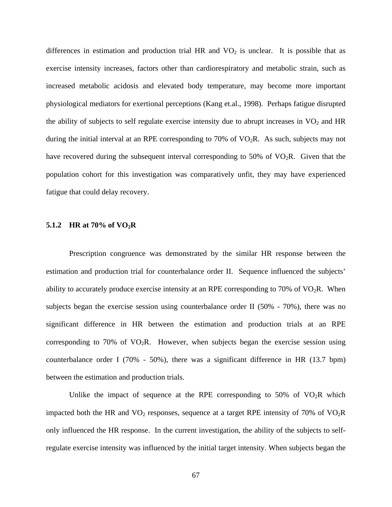differences in estimation and production trial HR and  $VO<sub>2</sub>$  is unclear. It is possible that as exercise intensity increases, factors other than cardiorespiratory and metabolic strain, such as increased metabolic acidosis and elevated body temperature, may become more important physiological mediators for exertional perceptions (Kang et.al., 1998). Perhaps fatigue disrupted the ability of subjects to self regulate exercise intensity due to abrupt increases in  $VO<sub>2</sub>$  and HR during the initial interval at an RPE corresponding to 70% of  $VO<sub>2</sub>R$ . As such, subjects may not have recovered during the subsequent interval corresponding to 50% of  $VO<sub>2</sub>R$ . Given that the population cohort for this investigation was comparatively unfit, they may have experienced fatigue that could delay recovery.

#### **5.1.2 HR at 70% of VO2R**

Prescription congruence was demonstrated by the similar HR response between the estimation and production trial for counterbalance order II. Sequence influenced the subjects' ability to accurately produce exercise intensity at an RPE corresponding to 70% of  $VO<sub>2</sub>R$ . When subjects began the exercise session using counterbalance order II (50% - 70%), there was no significant difference in HR between the estimation and production trials at an RPE corresponding to 70% of  $VO<sub>2</sub>R$ . However, when subjects began the exercise session using counterbalance order I (70% - 50%), there was a significant difference in HR (13.7 bpm) between the estimation and production trials.

Unlike the impact of sequence at the RPE corresponding to 50% of  $VO<sub>2</sub>R$  which impacted both the HR and  $VO<sub>2</sub>$  responses, sequence at a target RPE intensity of 70% of  $VO<sub>2</sub>R$ only influenced the HR response. In the current investigation, the ability of the subjects to selfregulate exercise intensity was influenced by the initial target intensity. When subjects began the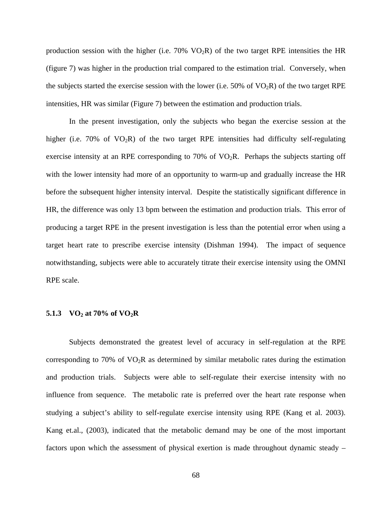production session with the higher (i.e.  $70\%$  VO<sub>2</sub>R) of the two target RPE intensities the HR (figure 7) was higher in the production trial compared to the estimation trial. Conversely, when the subjects started the exercise session with the lower (i.e.  $50\%$  of VO<sub>2</sub>R) of the two target RPE intensities, HR was similar (Figure 7) between the estimation and production trials.

In the present investigation, only the subjects who began the exercise session at the higher (i.e.  $70\%$  of  $VO<sub>2</sub>R$ ) of the two target RPE intensities had difficulty self-regulating exercise intensity at an RPE corresponding to  $70\%$  of  $VO<sub>2</sub>R$ . Perhaps the subjects starting off with the lower intensity had more of an opportunity to warm-up and gradually increase the HR before the subsequent higher intensity interval. Despite the statistically significant difference in HR, the difference was only 13 bpm between the estimation and production trials. This error of producing a target RPE in the present investigation is less than the potential error when using a target heart rate to prescribe exercise intensity (Dishman 1994). The impact of sequence notwithstanding, subjects were able to accurately titrate their exercise intensity using the OMNI RPE scale.

#### 5.1.3 **VO<sub>2</sub>** at 70% of  $VO_2R$

Subjects demonstrated the greatest level of accuracy in self-regulation at the RPE corresponding to 70% of  $VO<sub>2</sub>R$  as determined by similar metabolic rates during the estimation and production trials. Subjects were able to self-regulate their exercise intensity with no influence from sequence. The metabolic rate is preferred over the heart rate response when studying a subject's ability to self-regulate exercise intensity using RPE (Kang et al. 2003). Kang et.al., (2003), indicated that the metabolic demand may be one of the most important factors upon which the assessment of physical exertion is made throughout dynamic steady –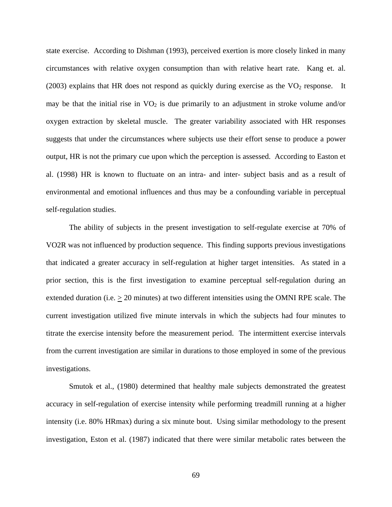state exercise. According to Dishman (1993), perceived exertion is more closely linked in many circumstances with relative oxygen consumption than with relative heart rate. Kang et. al. (2003) explains that HR does not respond as quickly during exercise as the  $VO<sub>2</sub>$  response. It may be that the initial rise in  $VO<sub>2</sub>$  is due primarily to an adjustment in stroke volume and/or oxygen extraction by skeletal muscle. The greater variability associated with HR responses suggests that under the circumstances where subjects use their effort sense to produce a power output, HR is not the primary cue upon which the perception is assessed. According to Easton et al. (1998) HR is known to fluctuate on an intra- and inter- subject basis and as a result of environmental and emotional influences and thus may be a confounding variable in perceptual self-regulation studies.

The ability of subjects in the present investigation to self-regulate exercise at 70% of VO2R was not influenced by production sequence. This finding supports previous investigations that indicated a greater accuracy in self-regulation at higher target intensities. As stated in a prior section, this is the first investigation to examine perceptual self-regulation during an extended duration (i.e.  $\geq 20$  minutes) at two different intensities using the OMNI RPE scale. The current investigation utilized five minute intervals in which the subjects had four minutes to titrate the exercise intensity before the measurement period. The intermittent exercise intervals from the current investigation are similar in durations to those employed in some of the previous investigations.

Smutok et al., (1980) determined that healthy male subjects demonstrated the greatest accuracy in self-regulation of exercise intensity while performing treadmill running at a higher intensity (i.e. 80% HRmax) during a six minute bout. Using similar methodology to the present investigation, Eston et al. (1987) indicated that there were similar metabolic rates between the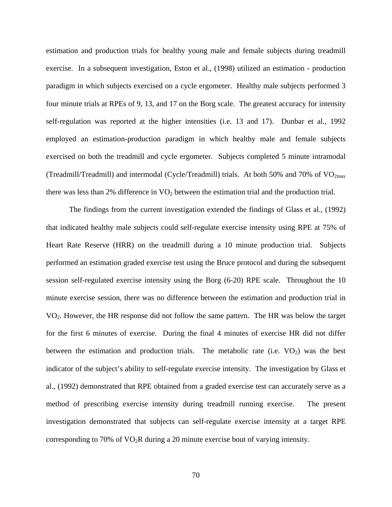estimation and production trials for healthy young male and female subjects during treadmill exercise. In a subsequent investigation, Eston et al., (1998) utilized an estimation - production paradigm in which subjects exercised on a cycle ergometer. Healthy male subjects performed 3 four minute trials at RPEs of 9, 13, and 17 on the Borg scale. The greatest accuracy for intensity self-regulation was reported at the higher intensities (i.e. 13 and 17). Dunbar et al., 1992 employed an estimation-production paradigm in which healthy male and female subjects exercised on both the treadmill and cycle ergometer. Subjects completed 5 minute intramodal (Treadmill/Treadmill) and intermodal (Cycle/Treadmill) trials. At both 50% and 70% of  $VO<sub>2max</sub>$ there was less than 2% difference in  $VO<sub>2</sub>$  between the estimation trial and the production trial.

The findings from the current investigation extended the findings of Glass et al., (1992) that indicated healthy male subjects could self-regulate exercise intensity using RPE at 75% of Heart Rate Reserve (HRR) on the treadmill during a 10 minute production trial. Subjects performed an estimation graded exercise test using the Bruce protocol and during the subsequent session self-regulated exercise intensity using the Borg (6-20) RPE scale. Throughout the 10 minute exercise session, there was no difference between the estimation and production trial in VO2. However, the HR response did not follow the same pattern. The HR was below the target for the first 6 minutes of exercise. During the final 4 minutes of exercise HR did not differ between the estimation and production trials. The metabolic rate (i.e.  $VO<sub>2</sub>$ ) was the best indicator of the subject's ability to self-regulate exercise intensity. The investigation by Glass et al., (1992) demonstrated that RPE obtained from a graded exercise test can accurately serve as a method of prescribing exercise intensity during treadmill running exercise. The present investigation demonstrated that subjects can self-regulate exercise intensity at a target RPE corresponding to 70% of  $VO<sub>2</sub>R$  during a 20 minute exercise bout of varying intensity.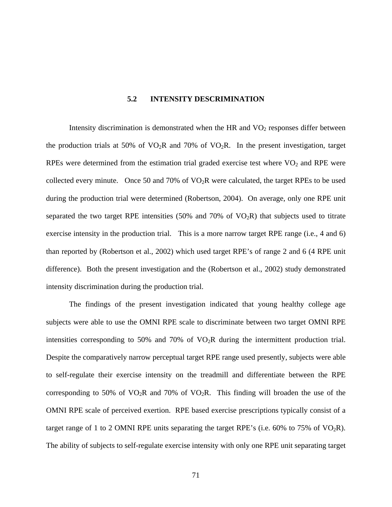#### **5.2 INTENSITY DESCRIMINATION**

Intensity discrimination is demonstrated when the HR and  $VO<sub>2</sub>$  responses differ between the production trials at 50% of  $VO<sub>2</sub>R$  and 70% of  $VO<sub>2</sub>R$ . In the present investigation, target RPEs were determined from the estimation trial graded exercise test where  $VO<sub>2</sub>$  and RPE were collected every minute. Once 50 and 70% of  $VO<sub>2</sub>R$  were calculated, the target RPEs to be used during the production trial were determined (Robertson, 2004). On average, only one RPE unit separated the two target RPE intensities  $(50\%$  and  $70\%$  of VO<sub>2</sub>R) that subjects used to titrate exercise intensity in the production trial. This is a more narrow target RPE range (i.e., 4 and 6) than reported by (Robertson et al., 2002) which used target RPE's of range 2 and 6 (4 RPE unit difference). Both the present investigation and the (Robertson et al., 2002) study demonstrated intensity discrimination during the production trial.

The findings of the present investigation indicated that young healthy college age subjects were able to use the OMNI RPE scale to discriminate between two target OMNI RPE intensities corresponding to 50% and 70% of  $VO<sub>2</sub>R$  during the intermittent production trial. Despite the comparatively narrow perceptual target RPE range used presently, subjects were able to self-regulate their exercise intensity on the treadmill and differentiate between the RPE corresponding to 50% of  $VO<sub>2</sub>R$  and 70% of  $VO<sub>2</sub>R$ . This finding will broaden the use of the OMNI RPE scale of perceived exertion. RPE based exercise prescriptions typically consist of a target range of 1 to 2 OMNI RPE units separating the target RPE's (i.e.  $60\%$  to 75% of VO<sub>2</sub>R). The ability of subjects to self-regulate exercise intensity with only one RPE unit separating target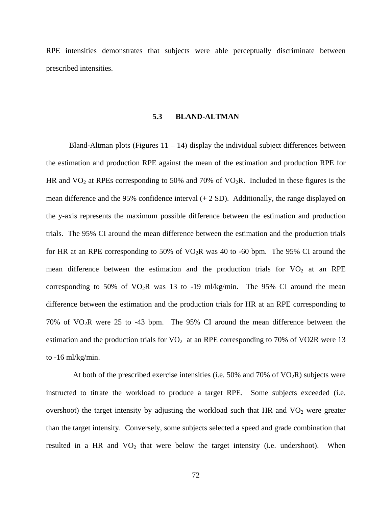RPE intensities demonstrates that subjects were able perceptually discriminate between prescribed intensities.

#### **5.3 BLAND-ALTMAN**

Bland-Altman plots (Figures  $11 - 14$ ) display the individual subject differences between the estimation and production RPE against the mean of the estimation and production RPE for HR and  $VO<sub>2</sub>$  at RPEs corresponding to 50% and 70% of  $VO<sub>2</sub>R$ . Included in these figures is the mean difference and the 95% confidence interval  $(± 2 SD)$ . Additionally, the range displayed on the y-axis represents the maximum possible difference between the estimation and production trials. The 95% CI around the mean difference between the estimation and the production trials for HR at an RPE corresponding to 50% of  $VO<sub>2</sub>R$  was 40 to -60 bpm. The 95% CI around the mean difference between the estimation and the production trials for  $VO<sub>2</sub>$  at an RPE corresponding to 50% of  $VO<sub>2</sub>R$  was 13 to -19 ml/kg/min. The 95% CI around the mean difference between the estimation and the production trials for HR at an RPE corresponding to 70% of  $VO<sub>2</sub>R$  were 25 to -43 bpm. The 95% CI around the mean difference between the estimation and the production trials for  $VO<sub>2</sub>$  at an RPE corresponding to 70% of VO2R were 13 to -16 ml/kg/min.

At both of the prescribed exercise intensities (i.e. 50% and 70% of  $VO<sub>2</sub>R$ ) subjects were instructed to titrate the workload to produce a target RPE. Some subjects exceeded (i.e. overshoot) the target intensity by adjusting the workload such that HR and  $VO<sub>2</sub>$  were greater than the target intensity. Conversely, some subjects selected a speed and grade combination that resulted in a HR and  $VO<sub>2</sub>$  that were below the target intensity (i.e. undershoot). When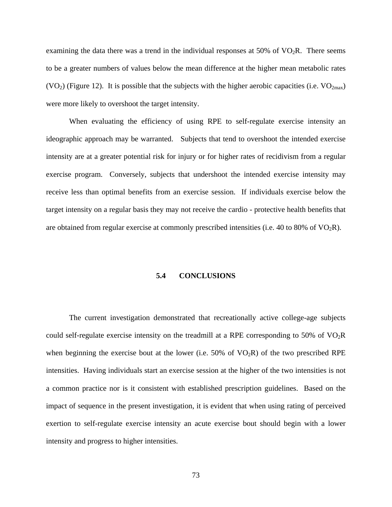examining the data there was a trend in the individual responses at  $50\%$  of  $VO<sub>2</sub>R$ . There seems to be a greater numbers of values below the mean difference at the higher mean metabolic rates (VO<sub>2</sub>) (Figure 12). It is possible that the subjects with the higher aerobic capacities (i.e. VO<sub>2max</sub>) were more likely to overshoot the target intensity.

When evaluating the efficiency of using RPE to self-regulate exercise intensity an ideographic approach may be warranted. Subjects that tend to overshoot the intended exercise intensity are at a greater potential risk for injury or for higher rates of recidivism from a regular exercise program. Conversely, subjects that undershoot the intended exercise intensity may receive less than optimal benefits from an exercise session. If individuals exercise below the target intensity on a regular basis they may not receive the cardio - protective health benefits that are obtained from regular exercise at commonly prescribed intensities (i.e. 40 to 80% of  $VO<sub>2</sub>R$ ).

#### **5.4 CONCLUSIONS**

The current investigation demonstrated that recreationally active college-age subjects could self-regulate exercise intensity on the treadmill at a RPE corresponding to 50% of VO2R when beginning the exercise bout at the lower (i.e.  $50\%$  of VO<sub>2</sub>R) of the two prescribed RPE intensities. Having individuals start an exercise session at the higher of the two intensities is not a common practice nor is it consistent with established prescription guidelines. Based on the impact of sequence in the present investigation, it is evident that when using rating of perceived exertion to self-regulate exercise intensity an acute exercise bout should begin with a lower intensity and progress to higher intensities.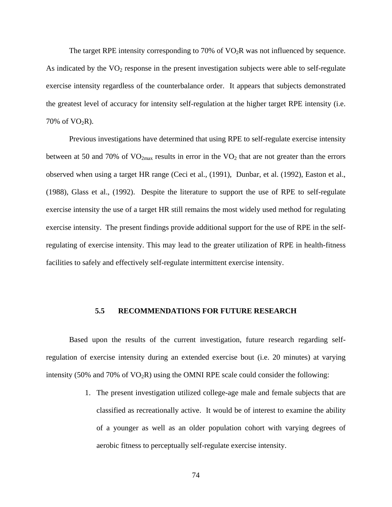The target RPE intensity corresponding to 70% of  $VO<sub>2</sub>R$  was not influenced by sequence. As indicated by the  $VO<sub>2</sub>$  response in the present investigation subjects were able to self-regulate exercise intensity regardless of the counterbalance order. It appears that subjects demonstrated the greatest level of accuracy for intensity self-regulation at the higher target RPE intensity (i.e. 70% of  $VO<sub>2</sub>R$ ).

Previous investigations have determined that using RPE to self-regulate exercise intensity between at 50 and 70% of  $VO_{2max}$  results in error in the  $VO_2$  that are not greater than the errors observed when using a target HR range (Ceci et al., (1991), Dunbar, et al. (1992), Easton et al., (1988), Glass et al., (1992). Despite the literature to support the use of RPE to self-regulate exercise intensity the use of a target HR still remains the most widely used method for regulating exercise intensity. The present findings provide additional support for the use of RPE in the selfregulating of exercise intensity. This may lead to the greater utilization of RPE in health-fitness facilities to safely and effectively self-regulate intermittent exercise intensity.

#### **5.5 RECOMMENDATIONS FOR FUTURE RESEARCH**

Based upon the results of the current investigation, future research regarding selfregulation of exercise intensity during an extended exercise bout (i.e. 20 minutes) at varying intensity (50% and 70% of  $VO<sub>2</sub>R$ ) using the OMNI RPE scale could consider the following:

> 1. The present investigation utilized college-age male and female subjects that are classified as recreationally active. It would be of interest to examine the ability of a younger as well as an older population cohort with varying degrees of aerobic fitness to perceptually self-regulate exercise intensity.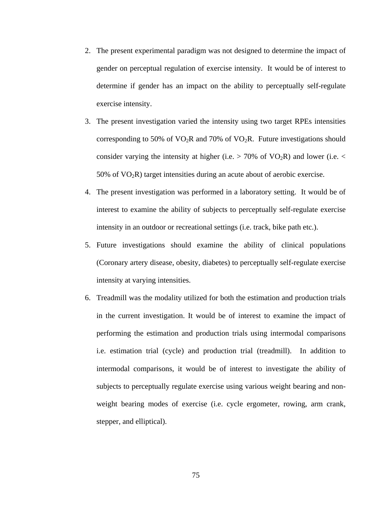- 2. The present experimental paradigm was not designed to determine the impact of gender on perceptual regulation of exercise intensity. It would be of interest to determine if gender has an impact on the ability to perceptually self-regulate exercise intensity.
- 3. The present investigation varied the intensity using two target RPEs intensities corresponding to 50% of  $VO<sub>2</sub>R$  and 70% of  $VO<sub>2</sub>R$ . Future investigations should consider varying the intensity at higher (i.e.  $> 70\%$  of VO<sub>2</sub>R) and lower (i.e.  $<$ 50% of  $VO<sub>2</sub>R$ ) target intensities during an acute about of aerobic exercise.
- 4. The present investigation was performed in a laboratory setting. It would be of interest to examine the ability of subjects to perceptually self-regulate exercise intensity in an outdoor or recreational settings (i.e. track, bike path etc.).
- 5. Future investigations should examine the ability of clinical populations (Coronary artery disease, obesity, diabetes) to perceptually self-regulate exercise intensity at varying intensities.
- 6. Treadmill was the modality utilized for both the estimation and production trials in the current investigation. It would be of interest to examine the impact of performing the estimation and production trials using intermodal comparisons i.e. estimation trial (cycle) and production trial (treadmill). In addition to intermodal comparisons, it would be of interest to investigate the ability of subjects to perceptually regulate exercise using various weight bearing and nonweight bearing modes of exercise (i.e. cycle ergometer, rowing, arm crank, stepper, and elliptical).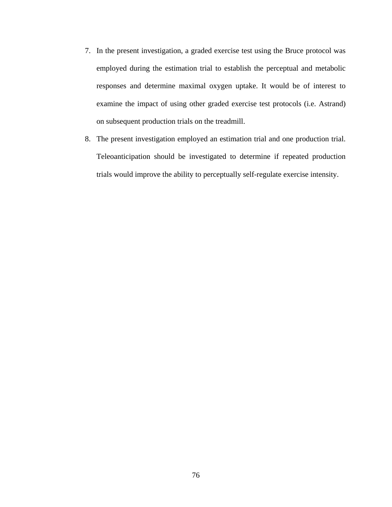- 7. In the present investigation, a graded exercise test using the Bruce protocol was employed during the estimation trial to establish the perceptual and metabolic responses and determine maximal oxygen uptake. It would be of interest to examine the impact of using other graded exercise test protocols (i.e. Astrand) on subsequent production trials on the treadmill.
- 8. The present investigation employed an estimation trial and one production trial. Teleoanticipation should be investigated to determine if repeated production trials would improve the ability to perceptually self-regulate exercise intensity.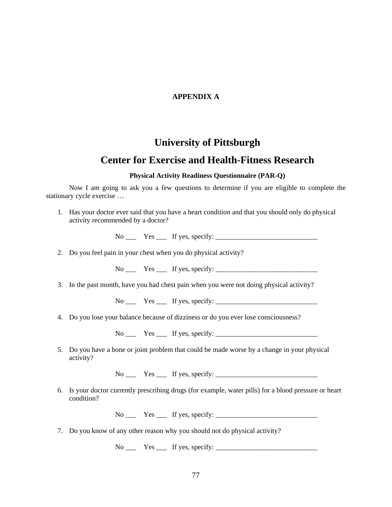#### **APPENDIX A**

## **University of Pittsburgh**

## **Center for Exercise and Health-Fitness Research**

#### **Physical Activity Readiness Questionnaire (PAR-Q)**

Now I am going to ask you a few questions to determine if you are eligible to complete the stationary cycle exercise …

1. Has your doctor ever said that you have a heart condition and that you should only do physical activity recommended by a doctor?

No Yes If yes, specify:

2. Do you feel pain in your chest when you do physical activity?

 $No \_\_\_\_\_\_\_\$  Yes  $\_\_\_\_\$  If yes, specify:

3. In the past month, have you had chest pain when you were not doing physical activity?

 $No \_\_\_\_$  Yes  $\_\_\_\$  If yes, specify:  $\_\_\_\_\_\_\_\_\_\_\_\_\_\_$ 

4. Do you lose your balance because of dizziness or do you ever lose consciousness?

 $No \_\_$  Yes  $\_\_$  If yes, specify:  $\_\_$ 

5. Do you have a bone or joint problem that could be made worse by a change in your physical activity?

 $No \_\_$  Yes  $\_\_$  If yes, specify:  $\_\_$ 

6. Is your doctor currently prescribing drugs (for example, water pills) for a blood pressure or heart condition?

 $No \_\_$  Yes  $\_\_$  If yes, specify:  $\_\_$ 

7. Do you know of any other reason why you should not do physical activity?

 $No \_\_$  Yes  $\_\_$  If yes, specify:  $\_\_$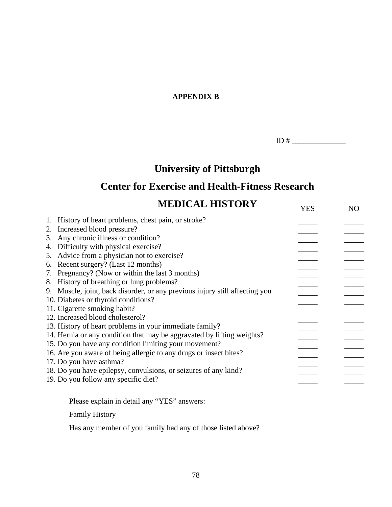# **APPENDIX B**

ID #  $\qquad$ 

# **University of Pittsburgh**

# **Center for Exercise and Health-Fitness Research**

| <b>MEDICAL HISTORY</b>                                                      | <b>YES</b> | NO. |
|-----------------------------------------------------------------------------|------------|-----|
| 1. History of heart problems, chest pain, or stroke?                        |            |     |
| Increased blood pressure?<br>2.                                             |            |     |
| Any chronic illness or condition?<br>3.                                     |            |     |
| Difficulty with physical exercise?<br>4.                                    |            |     |
| Advice from a physician not to exercise?<br>5.                              |            |     |
| Recent surgery? (Last 12 months)<br>6.                                      |            |     |
| Pregnancy? (Now or within the last 3 months)<br>7.                          |            |     |
| 8. History of breathing or lung problems?                                   |            |     |
| 9. Muscle, joint, back disorder, or any previous injury still affecting you |            |     |
| 10. Diabetes or thyroid conditions?                                         |            |     |
| 11. Cigarette smoking habit?                                                |            |     |
| 12. Increased blood cholesterol?                                            |            |     |
| 13. History of heart problems in your immediate family?                     |            |     |
| 14. Hernia or any condition that may be aggravated by lifting weights?      |            |     |
| 15. Do you have any condition limiting your movement?                       |            |     |
| 16. Are you aware of being allergic to any drugs or insect bites?           |            |     |
| 17. Do you have asthma?                                                     |            |     |
| 18. Do you have epilepsy, convulsions, or seizures of any kind?             |            |     |
| 19. Do you follow any specific diet?                                        |            |     |
| Please explain in detail any "YES" answers:                                 |            |     |
| <b>Family History</b>                                                       |            |     |

Has any member of you family had any of those listed above?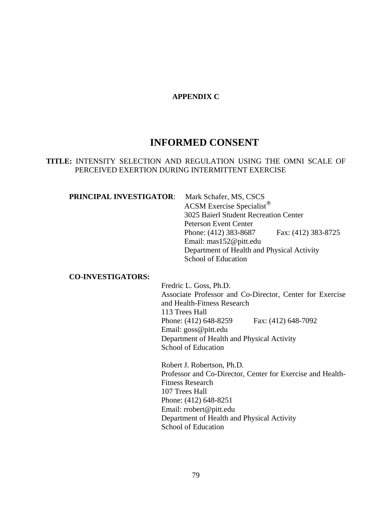#### **APPENDIX C**

# **INFORMED CONSENT**

#### **TITLE:** INTENSITY SELECTION AND REGULATION USING THE OMNI SCALE OF PERCEIVED EXERTION DURING INTERMITTENT EXERCISE

#### **PRINCIPAL INVESTIGATOR:** Mark Schafer, MS, CSCS

 ACSM Exercise Specialist® 3025 Baierl Student Recreation Center Peterson Event Center Phone: (412) 383-8687 Fax: (412) 383-8725 Email: mas152@pitt.edu Department of Health and Physical Activity School of Education

#### **CO-INVESTIGATORS:**

Fredric L. Goss, Ph.D. Associate Professor and Co-Director, Center for Exercise and Health-Fitness Research 113 Trees Hall Phone: (412) 648-8259 Fax: (412) 648-7092 Email: goss@pitt.edu Department of Health and Physical Activity School of Education

Robert J. Robertson, Ph.D. Professor and Co-Director, Center for Exercise and Health-Fitness Research 107 Trees Hall Phone: (412) 648-8251 Email: rrobert@pitt.edu Department of Health and Physical Activity School of Education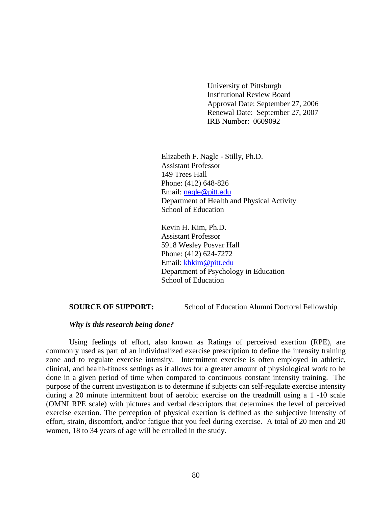University of Pittsburgh Institutional Review Board Approval Date: September 27, 2006 Renewal Date: September 27, 2007 IRB Number: 0609092

 Elizabeth F. Nagle - Stilly, Ph.D. Assistant Professor 149 Trees Hall Phone: (412) 648-826 Email: [nagle@pitt.edu](mailto:nagle@pitt.edu) Department of Health and Physical Activity School of Education

Kevin H. Kim, Ph.D. Assistant Professor 5918 Wesley Posvar Hall Phone: (412) 624-7272 Email: [khkim@pitt.edu](mailto:khkim@pitt.edu) Department of Psychology in Education School of Education

**SOURCE OF SUPPORT:** School of Education Alumni Doctoral Fellowship

#### *Why is this research being done?*

Using feelings of effort, also known as Ratings of perceived exertion (RPE), are commonly used as part of an individualized exercise prescription to define the intensity training zone and to regulate exercise intensity. Intermittent exercise is often employed in athletic, clinical, and health-fitness settings as it allows for a greater amount of physiological work to be done in a given period of time when compared to continuous constant intensity training. The purpose of the current investigation is to determine if subjects can self-regulate exercise intensity during a 20 minute intermittent bout of aerobic exercise on the treadmill using a 1 -10 scale (OMNI RPE scale) with pictures and verbal descriptors that determines the level of perceived exercise exertion. The perception of physical exertion is defined as the subjective intensity of effort, strain, discomfort, and/or fatigue that you feel during exercise. A total of 20 men and 20 women, 18 to 34 years of age will be enrolled in the study.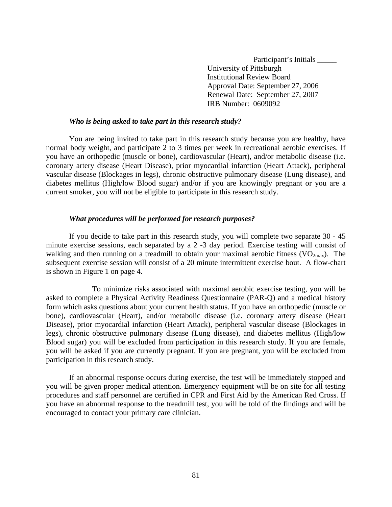Participant's Initials \_\_\_\_\_ University of Pittsburgh Institutional Review Board Approval Date: September 27, 2006 Renewal Date: September 27, 2007 IRB Number: 0609092

#### *Who is being asked to take part in this research study?*

You are being invited to take part in this research study because you are healthy, have normal body weight, and participate 2 to 3 times per week in recreational aerobic exercises. If you have an orthopedic (muscle or bone), cardiovascular (Heart), and/or metabolic disease (i.e. coronary artery disease (Heart Disease), prior myocardial infarction (Heart Attack), peripheral vascular disease (Blockages in legs), chronic obstructive pulmonary disease (Lung disease), and diabetes mellitus (High/low Blood sugar) and/or if you are knowingly pregnant or you are a current smoker, you will not be eligible to participate in this research study.

#### *What procedures will be performed for research purposes?*

If you decide to take part in this research study, you will complete two separate 30 - 45 minute exercise sessions, each separated by a 2 -3 day period. Exercise testing will consist of walking and then running on a treadmill to obtain your maximal aerobic fitness ( $VO<sub>2max</sub>$ ). The subsequent exercise session will consist of a 20 minute intermittent exercise bout. A flow-chart is shown in Figure 1 on page 4.

 To minimize risks associated with maximal aerobic exercise testing, you will be asked to complete a Physical Activity Readiness Questionnaire (PAR-Q) and a medical history form which asks questions about your current health status. If you have an orthopedic (muscle or bone), cardiovascular (Heart), and/or metabolic disease (i.e. coronary artery disease (Heart Disease), prior myocardial infarction (Heart Attack), peripheral vascular disease (Blockages in legs), chronic obstructive pulmonary disease (Lung disease), and diabetes mellitus (High/low Blood sugar) you will be excluded from participation in this research study. If you are female, you will be asked if you are currently pregnant. If you are pregnant, you will be excluded from participation in this research study.

If an abnormal response occurs during exercise, the test will be immediately stopped and you will be given proper medical attention. Emergency equipment will be on site for all testing procedures and staff personnel are certified in CPR and First Aid by the American Red Cross. If you have an abnormal response to the treadmill test, you will be told of the findings and will be encouraged to contact your primary care clinician.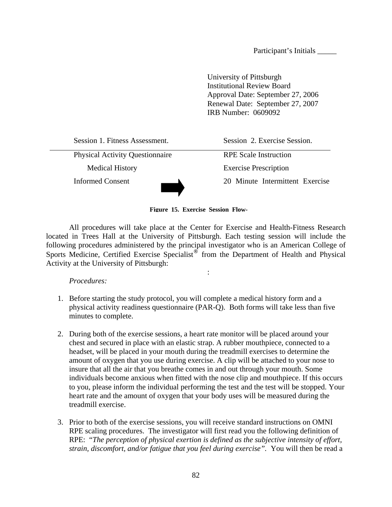Participant's Initials \_\_\_\_\_

University of Pittsburgh Institutional Review Board Approval Date: September 27, 2006 Renewal Date: September 27, 2007 IRB Number: 0609092

Session 1. Fitness Assessment. Session 2. Exercise Session. Physical Activity Questionnaire RPE Scale Instruction Medical History Exercise Prescription Informed Consent 20 Minute Intermittent Exercise

**Figure 15. Exercise Session Flow-**

All procedures will take place at the Center for Exercise and Health-Fitness Research located in Trees Hall at the University of Pittsburgh. Each testing session will include the following procedures administered by the principal investigator who is an American College of Sports Medicine, Certified Exercise Specialist<sup>®</sup> from the Department of Health and Physical Activity at the University of Pittsburgh:

:

*Procedures:* 

- 1. Before starting the study protocol, you will complete a medical history form and a physical activity readiness questionnaire (PAR-Q). Both forms will take less than five minutes to complete.
- 2. During both of the exercise sessions, a heart rate monitor will be placed around your chest and secured in place with an elastic strap. A rubber mouthpiece, connected to a headset, will be placed in your mouth during the treadmill exercises to determine the amount of oxygen that you use during exercise. A clip will be attached to your nose to insure that all the air that you breathe comes in and out through your mouth. Some individuals become anxious when fitted with the nose clip and mouthpiece. If this occurs to you, please inform the individual performing the test and the test will be stopped. Your heart rate and the amount of oxygen that your body uses will be measured during the treadmill exercise.
- 3. Prior to both of the exercise sessions, you will receive standard instructions on OMNI RPE scaling procedures. The investigator will first read you the following definition of RPE: "*The perception of physical exertion is defined as the subjective intensity of effort, strain, discomfort, and/or fatigue that you feel during exercise".* You will then be read a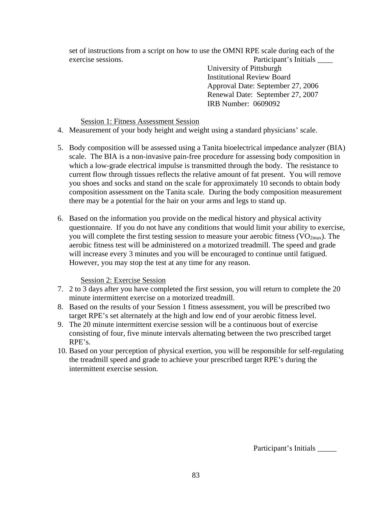set of instructions from a script on how to use the OMNI RPE scale during each of the exercise sessions. Participant's Initials \_\_\_\_

University of Pittsburgh Institutional Review Board Approval Date: September 27, 2006 Renewal Date: September 27, 2007 IRB Number: 0609092

#### Session 1: Fitness Assessment Session

- 4. Measurement of your body height and weight using a standard physicians' scale.
- 5. Body composition will be assessed using a Tanita bioelectrical impedance analyzer (BIA) scale. The BIA is a non-invasive pain-free procedure for assessing body composition in which a low-grade electrical impulse is transmitted through the body. The resistance to current flow through tissues reflects the relative amount of fat present. You will remove you shoes and socks and stand on the scale for approximately 10 seconds to obtain body composition assessment on the Tanita scale. During the body composition measurement there may be a potential for the hair on your arms and legs to stand up.
- 6. Based on the information you provide on the medical history and physical activity questionnaire. If you do not have any conditions that would limit your ability to exercise, you will complete the first testing session to measure your aerobic fitness  $(VO<sub>2max</sub>)$ . The aerobic fitness test will be administered on a motorized treadmill. The speed and grade will increase every 3 minutes and you will be encouraged to continue until fatigued. However, you may stop the test at any time for any reason.

#### Session 2: Exercise Session

- 7. 2 to 3 days after you have completed the first session, you will return to complete the 20 minute intermittent exercise on a motorized treadmill.
- 8. Based on the results of your Session 1 fitness assessment, you will be prescribed two target RPE's set alternately at the high and low end of your aerobic fitness level.
- 9. The 20 minute intermittent exercise session will be a continuous bout of exercise consisting of four, five minute intervals alternating between the two prescribed target RPE's.
- 10. Based on your perception of physical exertion, you will be responsible for self-regulating the treadmill speed and grade to achieve your prescribed target RPE's during the intermittent exercise session.

Participant's Initials \_\_\_\_\_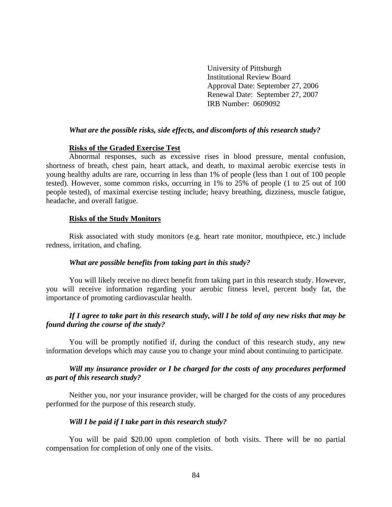University of Pittsburgh Institutional Review Board Approval Date: September 27, 2006 Renewal Date: September 27, 2007 IRB Number: 0609092

#### *What are the possible risks, side effects, and discomforts of this research study?*

#### **Risks of the Graded Exercise Test**

Abnormal responses, such as excessive rises in blood pressure, mental confusion, shortness of breath, chest pain, heart attack, and death, to maximal aerobic exercise tests in young healthy adults are rare, occurring in less than 1% of people (less than 1 out of 100 people tested). However, some common risks, occurring in 1% to 25% of people (1 to 25 out of 100 people tested), of maximal exercise testing include; heavy breathing, dizziness, muscle fatigue, headache, and overall fatigue.

#### **Risks of the Study Monitors**

Risk associated with study monitors (e.g. heart rate monitor, mouthpiece, etc.) include redness, irritation, and chafing.

#### *What are possible benefits from taking part in this study?*

You will likely receive no direct benefit from taking part in this research study. However, you will receive information regarding your aerobic fitness level, percent body fat, the importance of promoting cardiovascular health.

#### *If I agree to take part in this research study, will I be told of any new risks that may be found during the course of the study?*

You will be promptly notified if, during the conduct of this research study, any new information develops which may cause you to change your mind about continuing to participate.

#### *Will my insurance provider or I be charged for the costs of any procedures performed as part of this research study?*

Neither you, nor your insurance provider, will be charged for the costs of any procedures performed for the purpose of this research study.

#### *Will I be paid if I take part in this research study?*

You will be paid \$20.00 upon completion of both visits. There will be no partial compensation for completion of only one of the visits.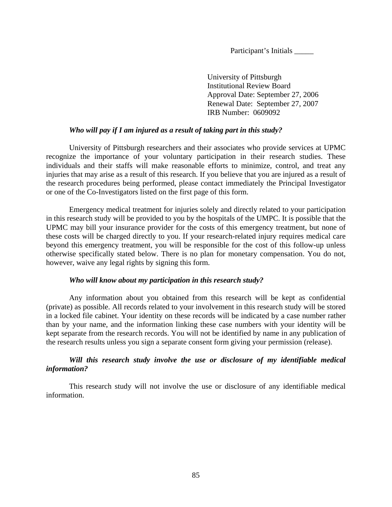Participant's Initials \_\_\_\_\_

University of Pittsburgh Institutional Review Board Approval Date: September 27, 2006 Renewal Date: September 27, 2007 IRB Number: 0609092

#### *Who will pay if I am injured as a result of taking part in this study?*

University of Pittsburgh researchers and their associates who provide services at UPMC recognize the importance of your voluntary participation in their research studies. These individuals and their staffs will make reasonable efforts to minimize, control, and treat any injuries that may arise as a result of this research. If you believe that you are injured as a result of the research procedures being performed, please contact immediately the Principal Investigator or one of the Co-Investigators listed on the first page of this form.

Emergency medical treatment for injuries solely and directly related to your participation in this research study will be provided to you by the hospitals of the UMPC. It is possible that the UPMC may bill your insurance provider for the costs of this emergency treatment, but none of these costs will be charged directly to you. If your research-related injury requires medical care beyond this emergency treatment, you will be responsible for the cost of this follow-up unless otherwise specifically stated below. There is no plan for monetary compensation. You do not, however, waive any legal rights by signing this form.

#### *Who will know about my participation in this research study?*

Any information about you obtained from this research will be kept as confidential (private) as possible. All records related to your involvement in this research study will be stored in a locked file cabinet. Your identity on these records will be indicated by a case number rather than by your name, and the information linking these case numbers with your identity will be kept separate from the research records. You will not be identified by name in any publication of the research results unless you sign a separate consent form giving your permission (release).

### *Will this research study involve the use or disclosure of my identifiable medical information?*

This research study will not involve the use or disclosure of any identifiable medical information.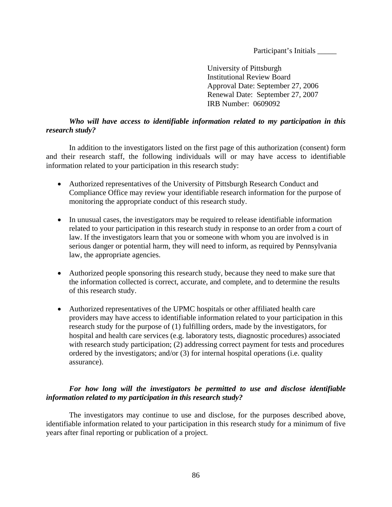Participant's Initials \_\_\_\_\_\_\_\_\_

University of Pittsburgh Institutional Review Board Approval Date: September 27, 2006 Renewal Date: September 27, 2007 IRB Number: 0609092

#### *Who will have access to identifiable information related to my participation in this research study?*

In addition to the investigators listed on the first page of this authorization (consent) form and their research staff, the following individuals will or may have access to identifiable information related to your participation in this research study:

- Authorized representatives of the University of Pittsburgh Research Conduct and Compliance Office may review your identifiable research information for the purpose of monitoring the appropriate conduct of this research study.
- In unusual cases, the investigators may be required to release identifiable information related to your participation in this research study in response to an order from a court of law. If the investigators learn that you or someone with whom you are involved is in serious danger or potential harm, they will need to inform, as required by Pennsylvania law, the appropriate agencies.
- Authorized people sponsoring this research study, because they need to make sure that the information collected is correct, accurate, and complete, and to determine the results of this research study.
- Authorized representatives of the UPMC hospitals or other affiliated health care providers may have access to identifiable information related to your participation in this research study for the purpose of (1) fulfilling orders, made by the investigators, for hospital and health care services (e.g. laboratory tests, diagnostic procedures) associated with research study participation; (2) addressing correct payment for tests and procedures ordered by the investigators; and/or (3) for internal hospital operations (i.e. quality assurance).

#### *For how long will the investigators be permitted to use and disclose identifiable information related to my participation in this research study?*

The investigators may continue to use and disclose, for the purposes described above, identifiable information related to your participation in this research study for a minimum of five years after final reporting or publication of a project.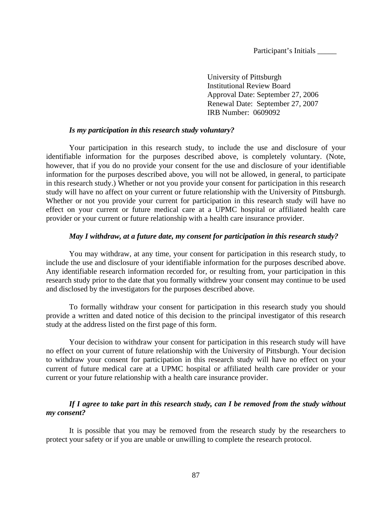Participant's Initials \_\_\_\_\_

University of Pittsburgh Institutional Review Board Approval Date: September 27, 2006 Renewal Date: September 27, 2007 IRB Number: 0609092

#### *Is my participation in this research study voluntary?*

Your participation in this research study, to include the use and disclosure of your identifiable information for the purposes described above, is completely voluntary. (Note, however, that if you do no provide your consent for the use and disclosure of your identifiable information for the purposes described above, you will not be allowed, in general, to participate in this research study.) Whether or not you provide your consent for participation in this research study will have no affect on your current or future relationship with the University of Pittsburgh. Whether or not you provide your current for participation in this research study will have no effect on your current or future medical care at a UPMC hospital or affiliated health care provider or your current or future relationship with a health care insurance provider.

#### *May I withdraw, at a future date, my consent for participation in this research study?*

You may withdraw, at any time, your consent for participation in this research study, to include the use and disclosure of your identifiable information for the purposes described above. Any identifiable research information recorded for, or resulting from, your participation in this research study prior to the date that you formally withdrew your consent may continue to be used and disclosed by the investigators for the purposes described above.

To formally withdraw your consent for participation in this research study you should provide a written and dated notice of this decision to the principal investigator of this research study at the address listed on the first page of this form.

Your decision to withdraw your consent for participation in this research study will have no effect on your current of future relationship with the University of Pittsburgh. Your decision to withdraw your consent for participation in this research study will have no effect on your current of future medical care at a UPMC hospital or affiliated health care provider or your current or your future relationship with a health care insurance provider.

#### *If I agree to take part in this research study, can I be removed from the study without my consent?*

It is possible that you may be removed from the research study by the researchers to protect your safety or if you are unable or unwilling to complete the research protocol.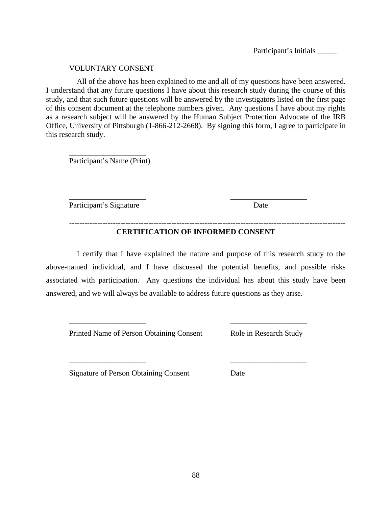Participant's Initials \_\_\_\_\_\_\_\_\_

#### VOLUNTARY CONSENT

All of the above has been explained to me and all of my questions have been answered. I understand that any future questions I have about this research study during the course of this study, and that such future questions will be answered by the investigators listed on the first page of this consent document at the telephone numbers given. Any questions I have about my rights as a research subject will be answered by the Human Subject Protection Advocate of the IRB Office, University of Pittsburgh (1-866-212-2668). By signing this form, I agree to participate in this research study.

\_\_\_\_\_\_\_\_\_\_\_\_\_\_\_\_\_\_\_\_ Participant's Name (Print)

Participant's Signature Date

### **CERTIFICATION OF INFORMED CONSENT**

------------------------------------------------------------------------------------------------------------

\_\_\_\_\_\_\_\_\_\_\_\_\_\_\_\_\_\_\_\_ \_\_\_\_\_\_\_\_\_\_\_\_\_\_\_\_\_\_\_\_

 I certify that I have explained the nature and purpose of this research study to the above-named individual, and I have discussed the potential benefits, and possible risks associated with participation. Any questions the individual has about this study have been answered, and we will always be available to address future questions as they arise.

\_\_\_\_\_\_\_\_\_\_\_\_\_\_\_\_\_\_\_\_ \_\_\_\_\_\_\_\_\_\_\_\_\_\_\_\_\_\_\_\_

\_\_\_\_\_\_\_\_\_\_\_\_\_\_\_\_\_\_\_\_ \_\_\_\_\_\_\_\_\_\_\_\_\_\_\_\_\_\_\_\_

Printed Name of Person Obtaining Consent Role in Research Study

Signature of Person Obtaining Consent Date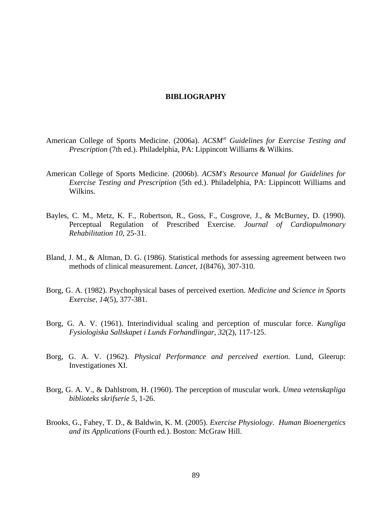#### **BIBLIOGRAPHY**

- American College of Sports Medicine. (2006a). *ACSM<sup>®</sup> Guidelines for Exercise Testing and Prescription* (7th ed.). Philadelphia, PA: Lippincott Williams & Wilkins.
- American College of Sports Medicine. (2006b). *ACSM's Resource Manual for Guidelines for Exercise Testing and Prescription* (5th ed.). Philadelphia, PA: Lippincott Williams and Wilkins.
- Bayles, C. M., Metz, K. F., Robertson, R., Goss, F., Cosgrove, J., & McBurney, D. (1990). Perceptual Regulation of Prescribed Exercise. *Journal of Cardiopulmonary Rehabilitation 10*, 25-31.
- Bland, J. M., & Altman, D. G. (1986). Statistical methods for assessing agreement between two methods of clinical measurement. *Lancet, 1*(8476), 307-310.
- Borg, G. A. (1982). Psychophysical bases of perceived exertion. *Medicine and Science in Sports Exercise, 14*(5), 377-381.
- Borg, G. A. V. (1961). Interindividual scaling and perception of muscular force. *Kungliga Fysiologiska Sallskapet i Lunds Forhandlingar, 32*(2), 117-125.
- Borg, G. A. V. (1962). *Physical Performance and perceived exertion*. Lund, Gleerup: Investigationes XI.
- Borg, G. A. V., & Dahlstrom, H. (1960). The perception of muscular work. *Umea vetenskapliga biblioteks skrifserie 5*, 1-26.
- Brooks, G., Fahey, T. D., & Baldwin, K. M. (2005). *Exercise Physiology. Human Bioenergetics and its Applications* (Fourth ed.). Boston: McGraw Hill.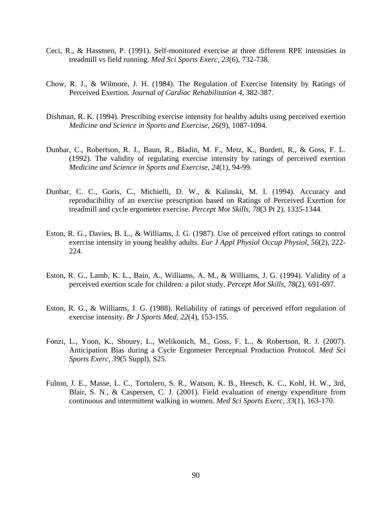- Ceci, R., & Hassmen, P. (1991). Self-monitored exercise at three different RPE intensities in treadmill vs field running. *Med Sci Sports Exerc, 23*(6), 732-738.
- Chow, R. J., & Wilmore, J. H. (1984). The Regulation of Exercise Intensity by Ratings of Perceived Exertion. *Journal of Cardiac Rehabilitation 4*, 382-387.
- Dishman, R. K. (1994). Prescribing exercise intensity for healthy adults using perceived exertion *Medicine and Science in Sports and Exercise, 26*(9), 1087-1094.
- Dunbar, C., Robertson, R. J., Baun, R., Bladin, M. F., Metz, K., Burdett, R., & Goss, F. L. (1992). The validity of regulating exercise intensity by ratings of perceived exertion *Medicine and Science in Sports and Exercise, 24*(1), 94-99.
- Dunbar, C. C., Goris, C., Michielli, D. W., & Kalinski, M. I. (1994). Accuracy and reproducibility of an exercise prescription based on Ratings of Perceived Exertion for treadmill and cycle ergometer exercise. *Percept Mot Skills, 78*(3 Pt 2), 1335-1344.
- Eston, R. G., Davies, B. L., & Williams, J. G. (1987). Use of perceived effort ratings to control exercise intensity in young healthy adults. *Eur J Appl Physiol Occup Physiol, 56*(2), 222- 224.
- Eston, R. G., Lamb, K. L., Bain, A., Williams, A. M., & Williams, J. G. (1994). Validity of a perceived exertion scale for children: a pilot study. *Percept Mot Skills, 78*(2), 691-697.
- Eston, R. G., & Williams, J. G. (1988). Reliability of ratings of perceived effort regulation of exercise intensity. *Br J Sports Med, 22*(4), 153-155.
- Fonzi, L., Yoon, K., Shouey, L., Welikonich, M., Goss, F. L., & Robertson, R. J. (2007). Anticipation Bias during a Cycle Ergometer Perceptual Production Protocol. *Med Sci Sports Exerc, 39*(5 Suppl), S25.
- Fulton, J. E., Masse, L. C., Tortolero, S. R., Watson, K. B., Heesch, K. C., Kohl, H. W., 3rd, Blair, S. N., & Caspersen, C. J. (2001). Field evaluation of energy expenditure from continuous and intermittent walking in women. *Med Sci Sports Exerc, 33*(1), 163-170.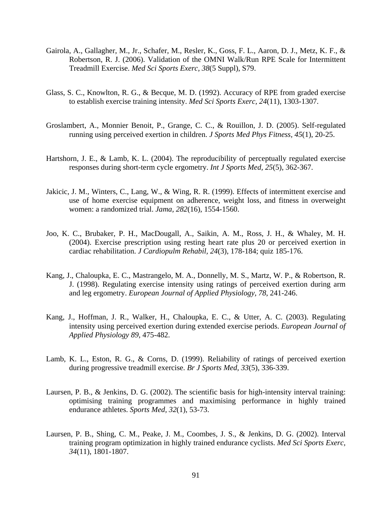- Gairola, A., Gallagher, M., Jr., Schafer, M., Resler, K., Goss, F. L., Aaron, D. J., Metz, K. F., & Robertson, R. J. (2006). Validation of the OMNI Walk/Run RPE Scale for Intermittent Treadmill Exercise. *Med Sci Sports Exerc, 38*(5 Suppl), S79.
- Glass, S. C., Knowlton, R. G., & Becque, M. D. (1992). Accuracy of RPE from graded exercise to establish exercise training intensity. *Med Sci Sports Exerc, 24*(11), 1303-1307.
- Groslambert, A., Monnier Benoit, P., Grange, C. C., & Rouillon, J. D. (2005). Self-regulated running using perceived exertion in children. *J Sports Med Phys Fitness, 45*(1), 20-25.
- Hartshorn, J. E., & Lamb, K. L. (2004). The reproducibility of perceptually regulated exercise responses during short-term cycle ergometry. *Int J Sports Med, 25*(5), 362-367.
- Jakicic, J. M., Winters, C., Lang, W., & Wing, R. R. (1999). Effects of intermittent exercise and use of home exercise equipment on adherence, weight loss, and fitness in overweight women: a randomized trial. *Jama, 282*(16), 1554-1560.
- Joo, K. C., Brubaker, P. H., MacDougall, A., Saikin, A. M., Ross, J. H., & Whaley, M. H. (2004). Exercise prescription using resting heart rate plus 20 or perceived exertion in cardiac rehabilitation. *J Cardiopulm Rehabil, 24*(3), 178-184; quiz 185-176.
- Kang, J., Chaloupka, E. C., Mastrangelo, M. A., Donnelly, M. S., Martz, W. P., & Robertson, R. J. (1998). Regulating exercise intensity using ratings of perceived exertion during arm and leg ergometry. *European Journal of Applied Physiology, 78*, 241-246.
- Kang, J., Hoffman, J. R., Walker, H., Chaloupka, E. C., & Utter, A. C. (2003). Regulating intensity using perceived exertion during extended exercise periods. *European Journal of Applied Physiology 89*, 475-482.
- Lamb, K. L., Eston, R. G., & Corns, D. (1999). Reliability of ratings of perceived exertion during progressive treadmill exercise. *Br J Sports Med, 33*(5), 336-339.
- Laursen, P. B., & Jenkins, D. G. (2002). The scientific basis for high-intensity interval training: optimising training programmes and maximising performance in highly trained endurance athletes. *Sports Med, 32*(1), 53-73.
- Laursen, P. B., Shing, C. M., Peake, J. M., Coombes, J. S., & Jenkins, D. G. (2002). Interval training program optimization in highly trained endurance cyclists. *Med Sci Sports Exerc, 34*(11), 1801-1807.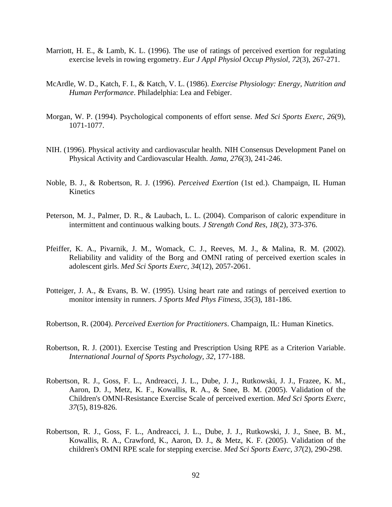- Marriott, H. E.,  $\&$  Lamb, K. L. (1996). The use of ratings of perceived exertion for regulating exercise levels in rowing ergometry. *Eur J Appl Physiol Occup Physiol, 72*(3), 267-271.
- McArdle, W. D., Katch, F. I., & Katch, V. L. (1986). *Exercise Physiology: Energy, Nutrition and Human Performance*. Philadelphia: Lea and Febiger.
- Morgan, W. P. (1994). Psychological components of effort sense. *Med Sci Sports Exerc, 26*(9), 1071-1077.
- NIH. (1996). Physical activity and cardiovascular health. NIH Consensus Development Panel on Physical Activity and Cardiovascular Health. *Jama, 276*(3), 241-246.
- Noble, B. J., & Robertson, R. J. (1996). *Perceived Exertion* (1st ed.). Champaign, IL Human Kinetics
- Peterson, M. J., Palmer, D. R., & Laubach, L. L. (2004). Comparison of caloric expenditure in intermittent and continuous walking bouts. *J Strength Cond Res, 18*(2), 373-376.
- Pfeiffer, K. A., Pivarnik, J. M., Womack, C. J., Reeves, M. J., & Malina, R. M. (2002). Reliability and validity of the Borg and OMNI rating of perceived exertion scales in adolescent girls. *Med Sci Sports Exerc, 34*(12), 2057-2061.
- Potteiger, J. A., & Evans, B. W. (1995). Using heart rate and ratings of perceived exertion to monitor intensity in runners. *J Sports Med Phys Fitness, 35*(3), 181-186.
- Robertson, R. (2004). *Perceived Exertion for Practitioners*. Champaign, IL: Human Kinetics.
- Robertson, R. J. (2001). Exercise Testing and Prescription Using RPE as a Criterion Variable. *International Journal of Sports Psychology, 32*, 177-188.
- Robertson, R. J., Goss, F. L., Andreacci, J. L., Dube, J. J., Rutkowski, J. J., Frazee, K. M., Aaron, D. J., Metz, K. F., Kowallis, R. A., & Snee, B. M. (2005). Validation of the Children's OMNI-Resistance Exercise Scale of perceived exertion. *Med Sci Sports Exerc, 37*(5), 819-826.
- Robertson, R. J., Goss, F. L., Andreacci, J. L., Dube, J. J., Rutkowski, J. J., Snee, B. M., Kowallis, R. A., Crawford, K., Aaron, D. J., & Metz, K. F. (2005). Validation of the children's OMNI RPE scale for stepping exercise. *Med Sci Sports Exerc, 37*(2), 290-298.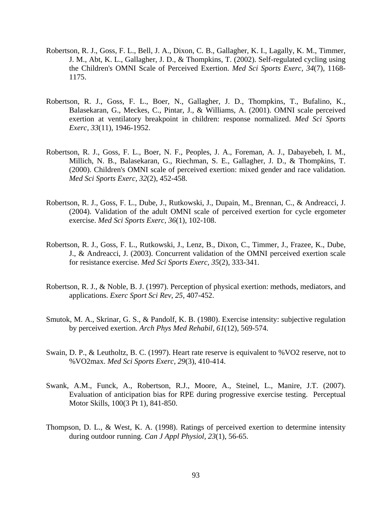- Robertson, R. J., Goss, F. L., Bell, J. A., Dixon, C. B., Gallagher, K. I., Lagally, K. M., Timmer, J. M., Abt, K. L., Gallagher, J. D., & Thompkins, T. (2002). Self-regulated cycling using the Children's OMNI Scale of Perceived Exertion. *Med Sci Sports Exerc, 34*(7), 1168- 1175.
- Robertson, R. J., Goss, F. L., Boer, N., Gallagher, J. D., Thompkins, T., Bufalino, K., Balasekaran, G., Meckes, C., Pintar, J., & Williams, A. (2001). OMNI scale perceived exertion at ventilatory breakpoint in children: response normalized. *Med Sci Sports Exerc, 33*(11), 1946-1952.
- Robertson, R. J., Goss, F. L., Boer, N. F., Peoples, J. A., Foreman, A. J., Dabayebeh, I. M., Millich, N. B., Balasekaran, G., Riechman, S. E., Gallagher, J. D., & Thompkins, T. (2000). Children's OMNI scale of perceived exertion: mixed gender and race validation. *Med Sci Sports Exerc, 32*(2), 452-458.
- Robertson, R. J., Goss, F. L., Dube, J., Rutkowski, J., Dupain, M., Brennan, C., & Andreacci, J. (2004). Validation of the adult OMNI scale of perceived exertion for cycle ergometer exercise. *Med Sci Sports Exerc, 36*(1), 102-108.
- Robertson, R. J., Goss, F. L., Rutkowski, J., Lenz, B., Dixon, C., Timmer, J., Frazee, K., Dube, J., & Andreacci, J. (2003). Concurrent validation of the OMNI perceived exertion scale for resistance exercise. *Med Sci Sports Exerc, 35*(2), 333-341.
- Robertson, R. J., & Noble, B. J. (1997). Perception of physical exertion: methods, mediators, and applications. *Exerc Sport Sci Rev, 25*, 407-452.
- Smutok, M. A., Skrinar, G. S., & Pandolf, K. B. (1980). Exercise intensity: subjective regulation by perceived exertion. *Arch Phys Med Rehabil, 61*(12), 569-574.
- Swain, D. P., & Leutholtz, B. C. (1997). Heart rate reserve is equivalent to %VO2 reserve, not to %VO2max. *Med Sci Sports Exerc, 29*(3), 410-414.
- Swank, A.M., Funck, A., Robertson, R.J., Moore, A., Steinel, L., Manire, J.T. (2007). Evaluation of anticipation bias for RPE during progressive exercise testing. Perceptual Motor Skills, 100(3 Pt 1), 841-850.
- Thompson, D. L., & West, K. A. (1998). Ratings of perceived exertion to determine intensity during outdoor running. *Can J Appl Physiol, 23*(1), 56-65.